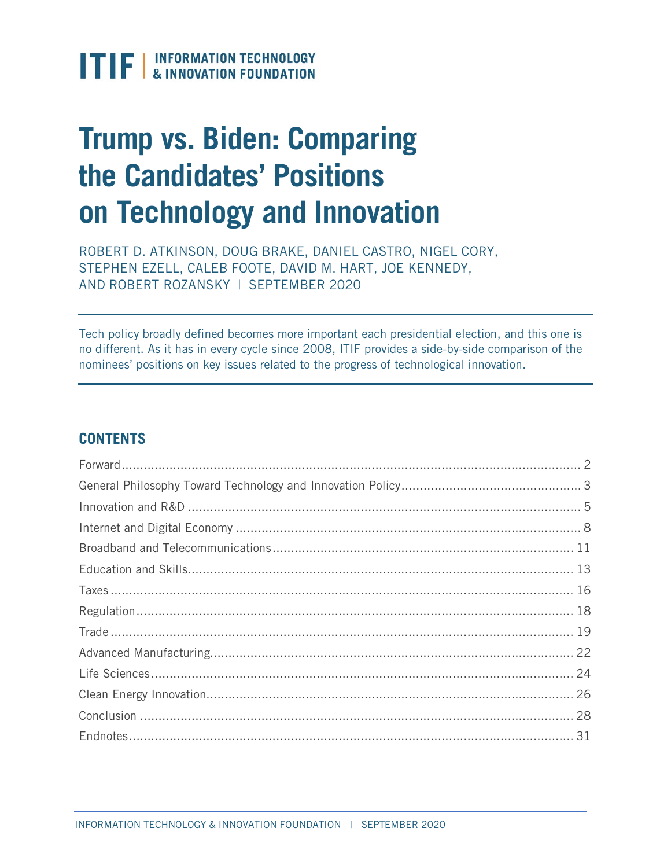

# **Trump vs. Biden: Comparing the Candidates' Positions on Technology and Innovation**

ROBERT D. ATKINSON, DOUG BRAKE, DANIEL CASTRO, NIGEL CORY, STEPHEN EZELL, CALEB FOOTE, DAVID M. HART, JOE KENNEDY, AND ROBERT ROZANSKY | SEPTEMBER 2020

Tech policy broadly defined becomes more important each presidential election, and this one is no different. As it has in every cycle since 2008, ITIF provides a side-by-side comparison of the nominees' positions on key issues related to the progress of technological innovation.

# **CONTENTS**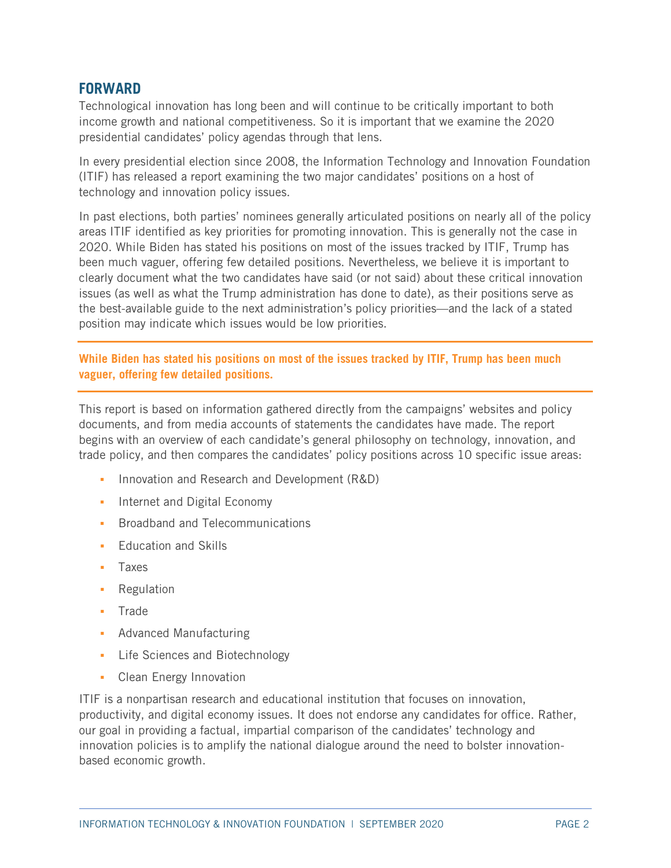# <span id="page-1-0"></span>**FORWARD**

Technological innovation has long been and will continue to be critically important to both income growth and national competitiveness. So it is important that we examine the 2020 presidential candidates' policy agendas through that lens.

In every presidential election since 2008, the Information Technology and Innovation Foundation (ITIF) has released a report examining the two major candidates' positions on a host of technology and innovation policy issues.

In past elections, both parties' nominees generally articulated positions on nearly all of the policy areas ITIF identified as key priorities for promoting innovation. This is generally not the case in 2020. While Biden has stated his positions on most of the issues tracked by ITIF, Trump has been much vaguer, offering few detailed positions. Nevertheless, we believe it is important to clearly document what the two candidates have said (or not said) about these critical innovation issues (as well as what the Trump administration has done to date), as their positions serve as the best-available guide to the next administration's policy priorities—and the lack of a stated position may indicate which issues would be low priorities.

**While Biden has stated his positions on most of the issues tracked by ITIF, Trump has been much vaguer, offering few detailed positions.**

This report is based on information gathered directly from the campaigns' websites and policy documents, and from media accounts of statements the candidates have made. The report begins with an overview of each candidate's general philosophy on technology, innovation, and trade policy, and then compares the candidates' policy positions across 10 specific issue areas:

- **Innovation and Research and Development (R&D)**
- **Internet and Digital Economy**
- **Broadband and Telecommunications**
- **•** Fducation and Skills
- Taxes
- Regulation
- Trade
- **Advanced Manufacturing**
- Life Sciences and Biotechnology
- **Clean Energy Innovation**

ITIF is a nonpartisan research and educational institution that focuses on innovation, productivity, and digital economy issues. It does not endorse any candidates for office. Rather, our goal in providing a factual, impartial comparison of the candidates' technology and innovation policies is to amplify the national dialogue around the need to bolster innovationbased economic growth.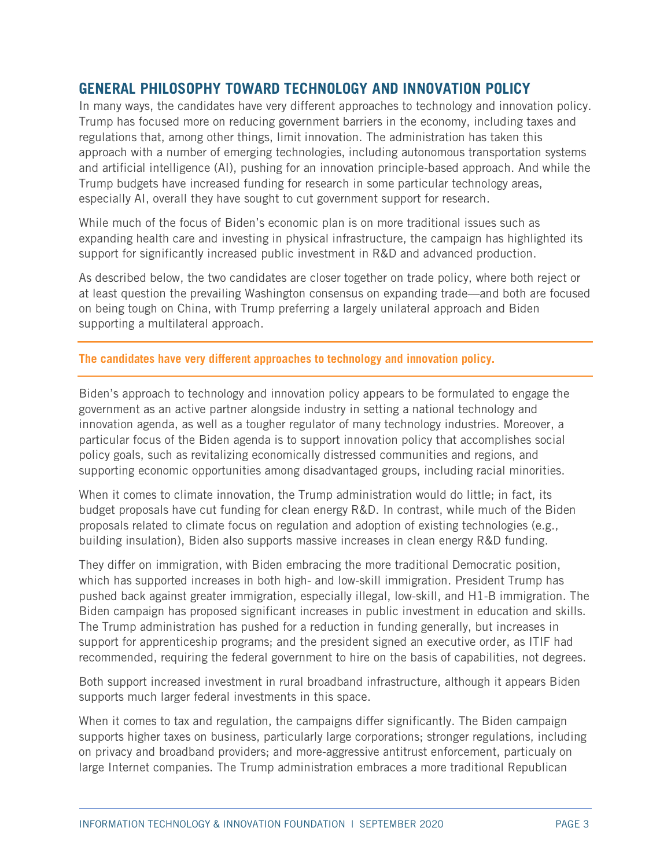# <span id="page-2-0"></span>**GENERAL PHILOSOPHY TOWARD TECHNOLOGY AND INNOVATION POLICY**

In many ways, the candidates have very different approaches to technology and innovation policy. Trump has focused more on reducing government barriers in the economy, including taxes and regulations that, among other things, limit innovation. The administration has taken this approach with a number of emerging technologies, including autonomous transportation systems and artificial intelligence (AI), pushing for an innovation principle-based approach. And while the Trump budgets have increased funding for research in some particular technology areas, especially AI, overall they have sought to cut government support for research.

While much of the focus of Biden's economic plan is on more traditional issues such as expanding health care and investing in physical infrastructure, the campaign has highlighted its support for significantly increased public investment in R&D and advanced production.

As described below, the two candidates are closer together on trade policy, where both reject or at least question the prevailing Washington consensus on expanding trade—and both are focused on being tough on China, with Trump preferring a largely unilateral approach and Biden supporting a multilateral approach.

## **The candidates have very different approaches to technology and innovation policy.**

Biden's approach to technology and innovation policy appears to be formulated to engage the government as an active partner alongside industry in setting a national technology and innovation agenda, as well as a tougher regulator of many technology industries. Moreover, a particular focus of the Biden agenda is to support innovation policy that accomplishes social policy goals, such as revitalizing economically distressed communities and regions, and supporting economic opportunities among disadvantaged groups, including racial minorities.

When it comes to climate innovation, the Trump administration would do little; in fact, its budget proposals have cut funding for clean energy R&D. In contrast, while much of the Biden proposals related to climate focus on regulation and adoption of existing technologies (e.g., building insulation), Biden also supports massive increases in clean energy R&D funding.

They differ on immigration, with Biden embracing the more traditional Democratic position, which has supported increases in both high- and low-skill immigration. President Trump has pushed back against greater immigration, especially illegal, low-skill, and H1-B immigration. The Biden campaign has proposed significant increases in public investment in education and skills. The Trump administration has pushed for a reduction in funding generally, but increases in support for apprenticeship programs; and the president signed an executive order, as ITIF had recommended, requiring the federal government to hire on the basis of capabilities, not degrees.

Both support increased investment in rural broadband infrastructure, although it appears Biden supports much larger federal investments in this space.

When it comes to tax and regulation, the campaigns differ significantly. The Biden campaign supports higher taxes on business, particularly large corporations; stronger regulations, including on privacy and broadband providers; and more-aggressive antitrust enforcement, particualy on large Internet companies. The Trump administration embraces a more traditional Republican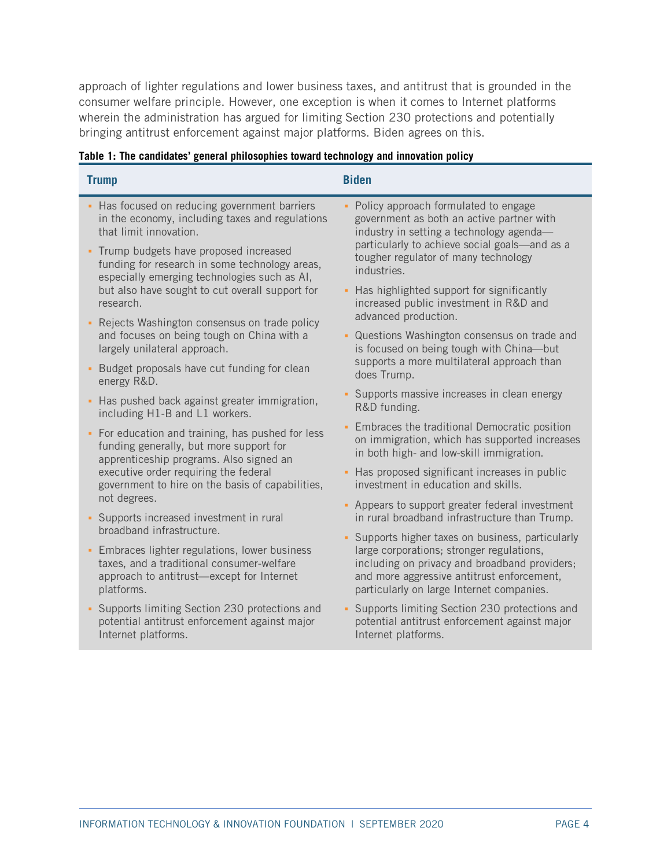approach of lighter regulations and lower business taxes, and antitrust that is grounded in the consumer welfare principle. However, one exception is when it comes to Internet platforms wherein the administration has argued for limiting Section 230 protections and potentially bringing antitrust enforcement against major platforms. Biden agrees on this.

| <b>Trump</b>                                                                                                                                              | <b>Biden</b>                                                                                                                                                                          |
|-----------------------------------------------------------------------------------------------------------------------------------------------------------|---------------------------------------------------------------------------------------------------------------------------------------------------------------------------------------|
| • Has focused on reducing government barriers                                                                                                             | Policy approach formulated to engage                                                                                                                                                  |
| in the economy, including taxes and regulations                                                                                                           | government as both an active partner with                                                                                                                                             |
| that limit innovation.                                                                                                                                    | industry in setting a technology agenda-                                                                                                                                              |
| Trump budgets have proposed increased                                                                                                                     | particularly to achieve social goals-and as a                                                                                                                                         |
| funding for research in some technology areas,                                                                                                            | tougher regulator of many technology                                                                                                                                                  |
| especially emerging technologies such as AI,                                                                                                              | industries.                                                                                                                                                                           |
| but also have sought to cut overall support for<br>research.                                                                                              | Has highlighted support for significantly<br>increased public investment in R&D and<br>advanced production.                                                                           |
| Rejects Washington consensus on trade policy<br>and focuses on being tough on China with a<br>largely unilateral approach.                                | • Questions Washington consensus on trade and<br>is focused on being tough with China-but                                                                                             |
| Budget proposals have cut funding for clean<br>×<br>energy R&D.                                                                                           | supports a more multilateral approach than<br>does Trump.                                                                                                                             |
| Has pushed back against greater immigration,                                                                                                              | • Supports massive increases in clean energy                                                                                                                                          |
| including H1-B and L1 workers.                                                                                                                            | R&D funding.                                                                                                                                                                          |
| • For education and training, has pushed for less                                                                                                         | Embraces the traditional Democratic position                                                                                                                                          |
| funding generally, but more support for                                                                                                                   | on immigration, which has supported increases                                                                                                                                         |
| apprenticeship programs. Also signed an                                                                                                                   | in both high- and low-skill immigration.                                                                                                                                              |
| executive order requiring the federal                                                                                                                     | Has proposed significant increases in public                                                                                                                                          |
| government to hire on the basis of capabilities,                                                                                                          | investment in education and skills.                                                                                                                                                   |
| not degrees.                                                                                                                                              | - Appears to support greater federal investment                                                                                                                                       |
| Supports increased investment in rural                                                                                                                    | in rural broadband infrastructure than Trump.                                                                                                                                         |
| broadband infrastructure.                                                                                                                                 | • Supports higher taxes on business, particularly                                                                                                                                     |
| Embraces lighter regulations, lower business<br>×<br>taxes, and a traditional consumer-welfare<br>approach to antitrust-except for Internet<br>platforms. | large corporations; stronger regulations,<br>including on privacy and broadband providers;<br>and more aggressive antitrust enforcement,<br>particularly on large Internet companies. |
| Supports limiting Section 230 protections and                                                                                                             | • Supports limiting Section 230 protections and                                                                                                                                       |
| potential antitrust enforcement against major                                                                                                             | potential antitrust enforcement against major                                                                                                                                         |
| Internet platforms.                                                                                                                                       | Internet platforms.                                                                                                                                                                   |

## **Table 1: The candidates' general philosophies toward technology and innovation policy**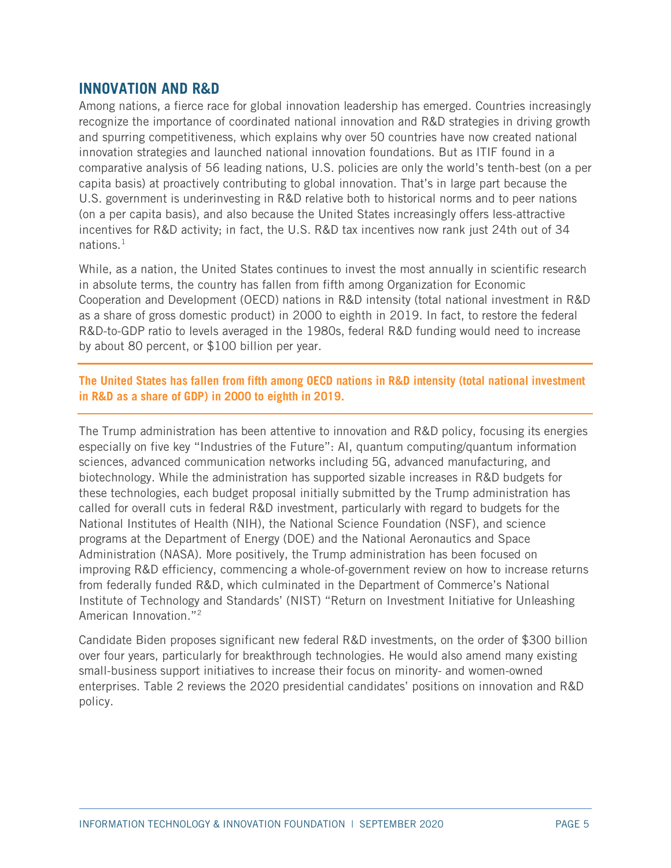## <span id="page-4-0"></span>**INNOVATION AND R&D**

Among nations, a fierce race for global innovation leadership has emerged. Countries increasingly recognize the importance of coordinated national innovation and R&D strategies in driving growth and spurring competitiveness, which explains why over 50 countries have now created national innovation strategies and launched national innovation foundations. But as ITIF found in a comparative analysis of 56 leading nations, U.S. policies are only the world's tenth-best (on a per capita basis) at proactively contributing to global innovation. That's in large part because the U.S. government is underinvesting in R&D relative both to historical norms and to peer nations (on a per capita basis), and also because the United States increasingly offers less-attractive incentives for R&D activity; in fact, the U.S. R&D tax incentives now rank just 24th out of 34 nations. $<sup>1</sup>$  $<sup>1</sup>$  $<sup>1</sup>$ </sup>

While, as a nation, the United States continues to invest the most annually in scientific research in absolute terms, the country has fallen from fifth among Organization for Economic Cooperation and Development (OECD) nations in R&D intensity (total national investment in R&D as a share of gross domestic product) in 2000 to eighth in 2019. In fact, to restore the federal R&D-to-GDP ratio to levels averaged in the 1980s, federal R&D funding would need to increase by about 80 percent, or \$100 billion per year.

**The United States has fallen from fifth among OECD nations in R&D intensity (total national investment in R&D as a share of GDP) in 2000 to eighth in 2019.**

The Trump administration has been attentive to innovation and R&D policy, focusing its energies especially on five key "Industries of the Future": AI, quantum computing/quantum information sciences, advanced communication networks including 5G, advanced manufacturing, and biotechnology. While the administration has supported sizable increases in R&D budgets for these technologies, each budget proposal initially submitted by the Trump administration has called for overall cuts in federal R&D investment, particularly with regard to budgets for the National Institutes of Health (NIH), the National Science Foundation (NSF), and science programs at the Department of Energy (DOE) and the National Aeronautics and Space Administration (NASA). More positively, the Trump administration has been focused on improving R&D efficiency, commencing a whole-of-government review on how to increase returns from federally funded R&D, which culminated in the Department of Commerce's National Institute of Technology and Standards' (NIST) "Return on Investment Initiative for Unleashing American Innovation."[2](#page-30-2)

Candidate Biden proposes significant new federal R&D investments, on the order of \$300 billion over four years, particularly for breakthrough technologies. He would also amend many existing small-business support initiatives to increase their focus on minority- and women-owned enterprises. [Table 2](#page-5-0) reviews the 2020 presidential candidates' positions on innovation and R&D policy.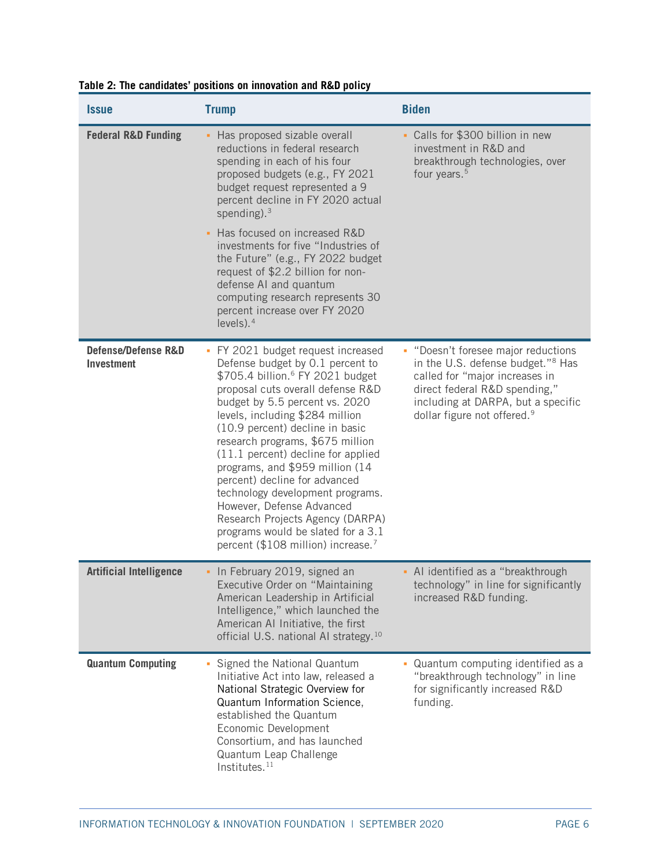| <i><b>Issue</b></i>                                 | <b>Trump</b>                                                                                                                                                                                                                                                                                                                                                                                                                                                                                                                                                                                                   | <b>Biden</b>                                                                                                                                                                                                                             |
|-----------------------------------------------------|----------------------------------------------------------------------------------------------------------------------------------------------------------------------------------------------------------------------------------------------------------------------------------------------------------------------------------------------------------------------------------------------------------------------------------------------------------------------------------------------------------------------------------------------------------------------------------------------------------------|------------------------------------------------------------------------------------------------------------------------------------------------------------------------------------------------------------------------------------------|
| <b>Federal R&amp;D Funding</b>                      | - Has proposed sizable overall<br>reductions in federal research<br>spending in each of his four<br>proposed budgets (e.g., FY 2021<br>budget request represented a 9<br>percent decline in FY 2020 actual<br>spending). $3$                                                                                                                                                                                                                                                                                                                                                                                   | • Calls for \$300 billion in new<br>investment in R&D and<br>breakthrough technologies, over<br>four years. <sup>5</sup>                                                                                                                 |
|                                                     | - Has focused on increased R&D<br>investments for five "Industries of<br>the Future" (e.g., FY 2022 budget<br>request of \$2.2 billion for non-<br>defense AI and quantum<br>computing research represents 30<br>percent increase over FY 2020<br>levels). $4$                                                                                                                                                                                                                                                                                                                                                 |                                                                                                                                                                                                                                          |
| <b>Defense/Defense R&amp;D</b><br><b>Investment</b> | • FY 2021 budget request increased<br>Defense budget by 0.1 percent to<br>\$705.4 billion. <sup>6</sup> FY 2021 budget<br>proposal cuts overall defense R&D<br>budget by 5.5 percent vs. 2020<br>levels, including \$284 million<br>(10.9 percent) decline in basic<br>research programs, \$675 million<br>(11.1 percent) decline for applied<br>programs, and \$959 million (14<br>percent) decline for advanced<br>technology development programs.<br>However, Defense Advanced<br>Research Projects Agency (DARPA)<br>programs would be slated for a 3.1<br>percent (\$108 million) increase. <sup>7</sup> | • "Doesn't foresee major reductions<br>in the U.S. defense budget." <sup>8</sup> Has<br>called for "major increases in<br>direct federal R&D spending,"<br>including at DARPA, but a specific<br>dollar figure not offered. <sup>9</sup> |
| <b>Artificial Intelligence</b>                      | • In February 2019, signed an<br>Executive Order on "Maintaining<br>American Leadership in Artificial<br>Intelligence," which launched the<br>American AI Initiative, the first<br>official U.S. national AI strategy. <sup>10</sup>                                                                                                                                                                                                                                                                                                                                                                           | - Al identified as a "breakthrough<br>technology" in line for significantly<br>increased R&D funding.                                                                                                                                    |
| <b>Quantum Computing</b>                            | • Signed the National Quantum<br>Initiative Act into law, released a<br>National Strategic Overview for<br>Quantum Information Science,<br>established the Quantum<br>Economic Development<br>Consortium, and has launched<br>Quantum Leap Challenge<br>Institutes. <sup>11</sup>                                                                                                                                                                                                                                                                                                                              | • Quantum computing identified as a<br>"breakthrough technology" in line<br>for significantly increased R&D<br>funding.                                                                                                                  |

## <span id="page-5-0"></span>**Table 2: The candidates' positions on innovation and R&D policy**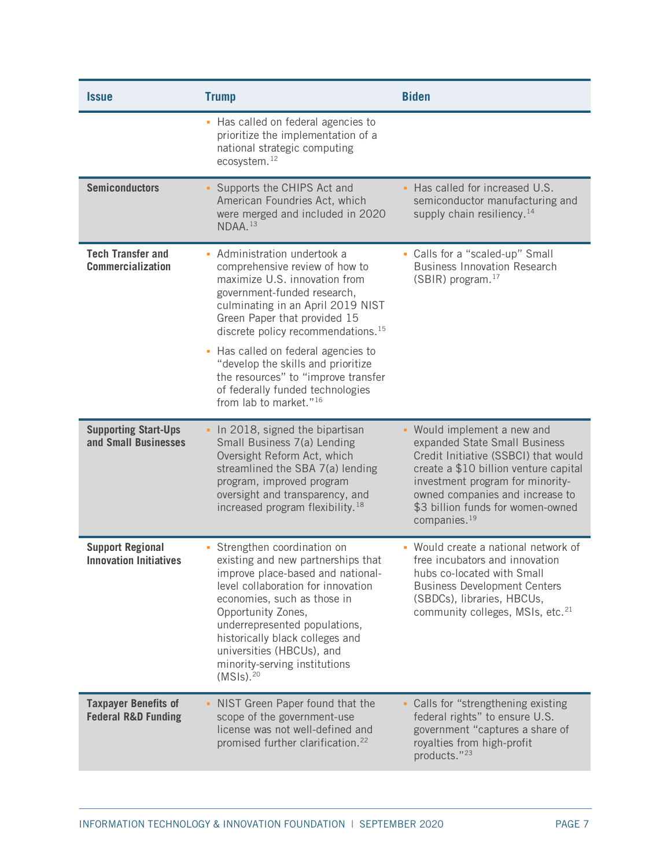| <b>Issue</b>                                                  | <b>Trump</b>                                                                                                                                                                                                                                                                                                                                                                                                                                        | <b>Biden</b>                                                                                                                                                                                                                                                                          |
|---------------------------------------------------------------|-----------------------------------------------------------------------------------------------------------------------------------------------------------------------------------------------------------------------------------------------------------------------------------------------------------------------------------------------------------------------------------------------------------------------------------------------------|---------------------------------------------------------------------------------------------------------------------------------------------------------------------------------------------------------------------------------------------------------------------------------------|
|                                                               | • Has called on federal agencies to<br>prioritize the implementation of a<br>national strategic computing<br>ecosystem. <sup>12</sup>                                                                                                                                                                                                                                                                                                               |                                                                                                                                                                                                                                                                                       |
| <b>Semiconductors</b>                                         | • Supports the CHIPS Act and<br>American Foundries Act, which<br>were merged and included in 2020<br>NDAA. <sup>13</sup>                                                                                                                                                                                                                                                                                                                            | Has called for increased U.S.<br>semiconductor manufacturing and<br>supply chain resiliency. $14$                                                                                                                                                                                     |
| <b>Tech Transfer and</b><br><b>Commercialization</b>          | - Administration undertook a<br>comprehensive review of how to<br>maximize U.S. innovation from<br>government-funded research,<br>culminating in an April 2019 NIST<br>Green Paper that provided 15<br>discrete policy recommendations. <sup>15</sup><br>• Has called on federal agencies to<br>"develop the skills and prioritize<br>the resources" to "improve transfer<br>of federally funded technologies<br>from lab to market." <sup>16</sup> | • Calls for a "scaled-up" Small<br><b>Business Innovation Research</b><br>(SBIR) program. <sup>17</sup>                                                                                                                                                                               |
| <b>Supporting Start-Ups</b><br>and Small Businesses           | - In 2018, signed the bipartisan<br>Small Business 7(a) Lending<br>Oversight Reform Act, which<br>streamlined the SBA 7(a) lending<br>program, improved program<br>oversight and transparency, and<br>increased program flexibility. <sup>18</sup>                                                                                                                                                                                                  | • Would implement a new and<br>expanded State Small Business<br>Credit Initiative (SSBCI) that would<br>create a \$10 billion venture capital<br>investment program for minority-<br>owned companies and increase to<br>\$3 billion funds for women-owned<br>companies. <sup>19</sup> |
| <b>Support Regional</b><br><b>Innovation Initiatives</b>      | • Strengthen coordination on<br>existing and new partnerships that<br>improve place-based and national-<br>level collaboration for innovation<br>economies, such as those in<br>Opportunity Zones,<br>underrepresented populations,<br>historically black colleges and<br>universities (HBCUs), and<br>minority-serving institutions<br>(MSIs). <sup>20</sup>                                                                                       | Would create a national network of<br>free incubators and innovation<br>hubs co-located with Small<br><b>Business Development Centers</b><br>(SBDCs), libraries, HBCUs,<br>community colleges, MSIs, etc. <sup>21</sup>                                                               |
| <b>Taxpayer Benefits of</b><br><b>Federal R&amp;D Funding</b> | • NIST Green Paper found that the<br>scope of the government-use<br>license was not well-defined and<br>promised further clarification. <sup>22</sup>                                                                                                                                                                                                                                                                                               | • Calls for "strengthening existing<br>federal rights" to ensure U.S.<br>government "captures a share of<br>royalties from high-profit<br>products."23                                                                                                                                |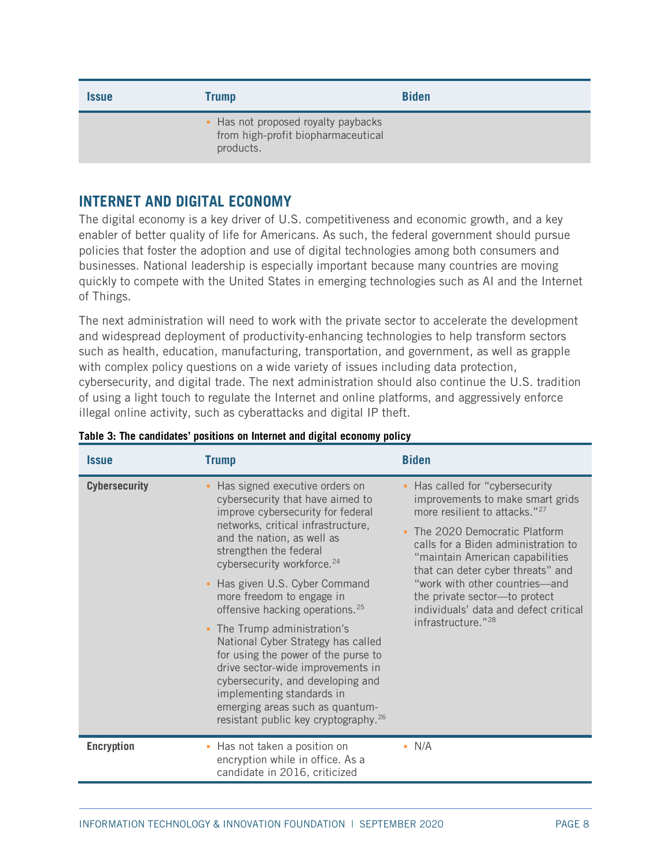| <i><b>Issue</b></i> | Trump                                                                                  | <b>Biden</b> |
|---------------------|----------------------------------------------------------------------------------------|--------------|
|                     | • Has not proposed royalty paybacks<br>from high-profit biopharmaceutical<br>products. |              |

# <span id="page-7-0"></span>**INTERNET AND DIGITAL ECONOMY**

The digital economy is a key driver of U.S. competitiveness and economic growth, and a key enabler of better quality of life for Americans. As such, the federal government should pursue policies that foster the adoption and use of digital technologies among both consumers and businesses. National leadership is especially important because many countries are moving quickly to compete with the United States in emerging technologies such as AI and the Internet of Things.

The next administration will need to work with the private sector to accelerate the development and widespread deployment of productivity-enhancing technologies to help transform sectors such as health, education, manufacturing, transportation, and government, as well as grapple with complex policy questions on a wide variety of issues including data protection, cybersecurity, and digital trade. The next administration should also continue the U.S. tradition of using a light touch to regulate the Internet and online platforms, and aggressively enforce illegal online activity, such as cyberattacks and digital IP theft.

| <i><b>Issue</b></i>  | <b>Trump</b>                                                                                                                                                                                                                                                                                                                                                                                                                                                                                                                                                                                                                                                               | <b>Biden</b>                                                                                                                                                                                                                                                                                                                                                                                                   |
|----------------------|----------------------------------------------------------------------------------------------------------------------------------------------------------------------------------------------------------------------------------------------------------------------------------------------------------------------------------------------------------------------------------------------------------------------------------------------------------------------------------------------------------------------------------------------------------------------------------------------------------------------------------------------------------------------------|----------------------------------------------------------------------------------------------------------------------------------------------------------------------------------------------------------------------------------------------------------------------------------------------------------------------------------------------------------------------------------------------------------------|
| <b>Cybersecurity</b> | • Has signed executive orders on<br>cybersecurity that have aimed to<br>improve cybersecurity for federal<br>networks, critical infrastructure,<br>and the nation, as well as<br>strengthen the federal<br>cybersecurity workforce. <sup>24</sup><br>• Has given U.S. Cyber Command<br>more freedom to engage in<br>offensive hacking operations. <sup>25</sup><br>• The Trump administration's<br>National Cyber Strategy has called<br>for using the power of the purse to<br>drive sector-wide improvements in<br>cybersecurity, and developing and<br>implementing standards in<br>emerging areas such as quantum-<br>resistant public key cryptography. <sup>26</sup> | • Has called for "cybersecurity"<br>improvements to make smart grids<br>more resilient to attacks." <sup>27</sup><br>The 2020 Democratic Platform<br>calls for a Biden administration to<br>"maintain American capabilities<br>that can deter cyber threats" and<br>"work with other countries-and<br>the private sector-to protect<br>individuals' data and defect critical<br>infrastructure." <sup>28</sup> |
| <b>Encryption</b>    | • Has not taken a position on<br>encryption while in office. As a<br>candidate in 2016, criticized                                                                                                                                                                                                                                                                                                                                                                                                                                                                                                                                                                         | $\blacksquare$ N/A                                                                                                                                                                                                                                                                                                                                                                                             |

#### **Table 3: The candidates' positions on Internet and digital economy policy**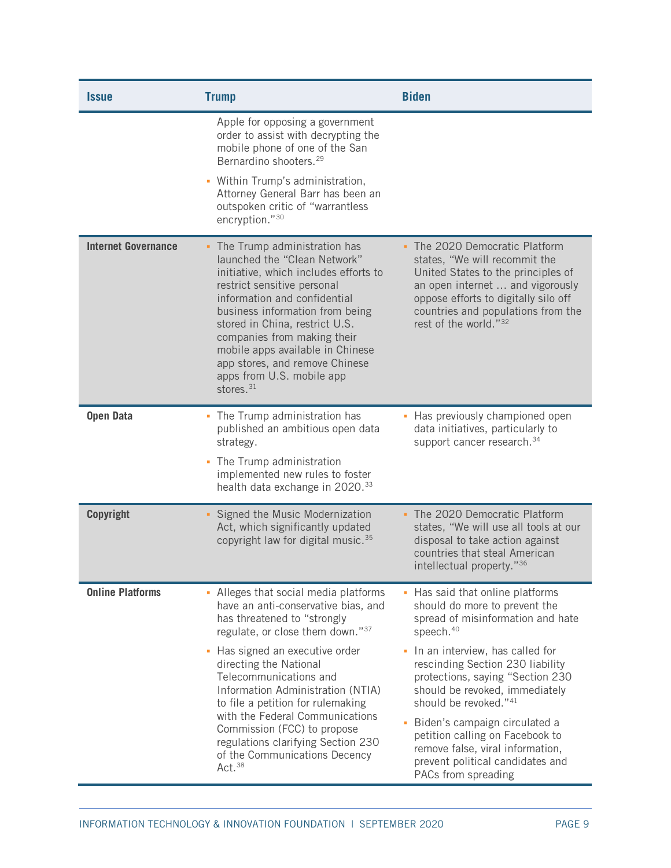| <i><b>Issue</b></i>        | <b>Trump</b>                                                                                                                                                                                                                                                                                                                                                                                           | <b>Biden</b>                                                                                                                                                                                                                                                                     |
|----------------------------|--------------------------------------------------------------------------------------------------------------------------------------------------------------------------------------------------------------------------------------------------------------------------------------------------------------------------------------------------------------------------------------------------------|----------------------------------------------------------------------------------------------------------------------------------------------------------------------------------------------------------------------------------------------------------------------------------|
|                            | Apple for opposing a government<br>order to assist with decrypting the<br>mobile phone of one of the San<br>Bernardino shooters. <sup>29</sup><br>• Within Trump's administration,<br>Attorney General Barr has been an<br>outspoken critic of "warrantless<br>encryption."30                                                                                                                          |                                                                                                                                                                                                                                                                                  |
| <b>Internet Governance</b> | • The Trump administration has<br>launched the "Clean Network"<br>initiative, which includes efforts to<br>restrict sensitive personal<br>information and confidential<br>business information from being<br>stored in China, restrict U.S.<br>companies from making their<br>mobile apps available in Chinese<br>app stores, and remove Chinese<br>apps from U.S. mobile app<br>stores. <sup>31</sup> | - The 2020 Democratic Platform<br>states, "We will recommit the<br>United States to the principles of<br>an open internet  and vigorously<br>oppose efforts to digitally silo off<br>countries and populations from the<br>rest of the world."32                                 |
| <b>Open Data</b>           | • The Trump administration has<br>published an ambitious open data<br>strategy.<br>• The Trump administration<br>implemented new rules to foster<br>health data exchange in 2020. <sup>33</sup>                                                                                                                                                                                                        | • Has previously championed open<br>data initiatives, particularly to<br>support cancer research. 34                                                                                                                                                                             |
| <b>Copyright</b>           | • Signed the Music Modernization<br>Act, which significantly updated<br>copyright law for digital music. <sup>35</sup>                                                                                                                                                                                                                                                                                 | • The 2020 Democratic Platform<br>states, "We will use all tools at our<br>disposal to take action against<br>countries that steal American<br>intellectual property."36                                                                                                         |
| <b>Online Platforms</b>    | • Alleges that social media platforms<br>have an anti-conservative bias, and<br>has threatened to "strongly<br>regulate, or close them down."37<br>• Has signed an executive order<br>directing the National<br>Telecommunications and<br>Information Administration (NTIA)                                                                                                                            | Has said that online platforms<br>should do more to prevent the<br>spread of misinformation and hate<br>speech. <sup>40</sup><br>In an interview, has called for<br>a,<br>rescinding Section 230 liability<br>protections, saying "Section 230<br>should be revoked, immediately |
| Act. <sup>38</sup>         | to file a petition for rulemaking<br>with the Federal Communications<br>Commission (FCC) to propose<br>regulations clarifying Section 230<br>of the Communications Decency                                                                                                                                                                                                                             | should be revoked."41<br>Biden's campaign circulated a<br>ú,<br>petition calling on Facebook to<br>remove false, viral information,<br>prevent political candidates and<br>PACs from spreading                                                                                   |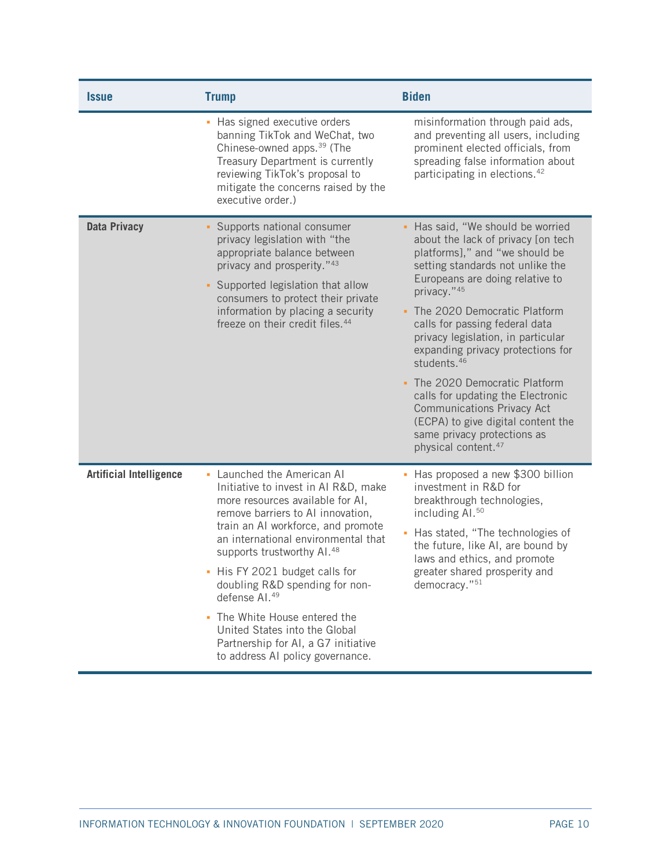| <i><b>Issue</b></i>            | <b>Trump</b>                                                                                                                                                                                                                                                                                                                                                                                                                                                                                                     | <b>Biden</b>                                                                                                                                                                                                                                                                                                                                                                                                                                                                                                                                                                              |
|--------------------------------|------------------------------------------------------------------------------------------------------------------------------------------------------------------------------------------------------------------------------------------------------------------------------------------------------------------------------------------------------------------------------------------------------------------------------------------------------------------------------------------------------------------|-------------------------------------------------------------------------------------------------------------------------------------------------------------------------------------------------------------------------------------------------------------------------------------------------------------------------------------------------------------------------------------------------------------------------------------------------------------------------------------------------------------------------------------------------------------------------------------------|
|                                | • Has signed executive orders<br>banning TikTok and WeChat, two<br>Chinese-owned apps. <sup>39</sup> (The<br>Treasury Department is currently<br>reviewing TikTok's proposal to<br>mitigate the concerns raised by the<br>executive order.)                                                                                                                                                                                                                                                                      | misinformation through paid ads,<br>and preventing all users, including<br>prominent elected officials, from<br>spreading false information about<br>participating in elections. <sup>42</sup>                                                                                                                                                                                                                                                                                                                                                                                            |
| <b>Data Privacy</b>            | • Supports national consumer<br>privacy legislation with "the<br>appropriate balance between<br>privacy and prosperity." <sup>43</sup><br>• Supported legislation that allow<br>consumers to protect their private<br>information by placing a security<br>freeze on their credit files. <sup>44</sup>                                                                                                                                                                                                           | - Has said, "We should be worried<br>about the lack of privacy [on tech<br>platforms]," and "we should be<br>setting standards not unlike the<br>Europeans are doing relative to<br>privacy."45<br>The 2020 Democratic Platform<br>calls for passing federal data<br>privacy legislation, in particular<br>expanding privacy protections for<br>students. <sup>46</sup><br>The 2020 Democratic Platform<br>calls for updating the Electronic<br><b>Communications Privacy Act</b><br>(ECPA) to give digital content the<br>same privacy protections as<br>physical content. <sup>47</sup> |
| <b>Artificial Intelligence</b> | • Launched the American Al<br>Initiative to invest in AI R&D, make<br>more resources available for AI,<br>remove barriers to AI innovation,<br>train an AI workforce, and promote<br>an international environmental that<br>supports trustworthy AI. <sup>48</sup><br>- His FY 2021 budget calls for<br>doubling R&D spending for non-<br>defense AI. <sup>49</sup><br>• The White House entered the<br>United States into the Global<br>Partnership for AI, a G7 initiative<br>to address AI policy governance. | Has proposed a new \$300 billion<br>investment in R&D for<br>breakthrough technologies,<br>including Al. <sup>50</sup><br>Has stated, "The technologies of<br>ú<br>the future, like AI, are bound by<br>laws and ethics, and promote<br>greater shared prosperity and<br>democracy."51                                                                                                                                                                                                                                                                                                    |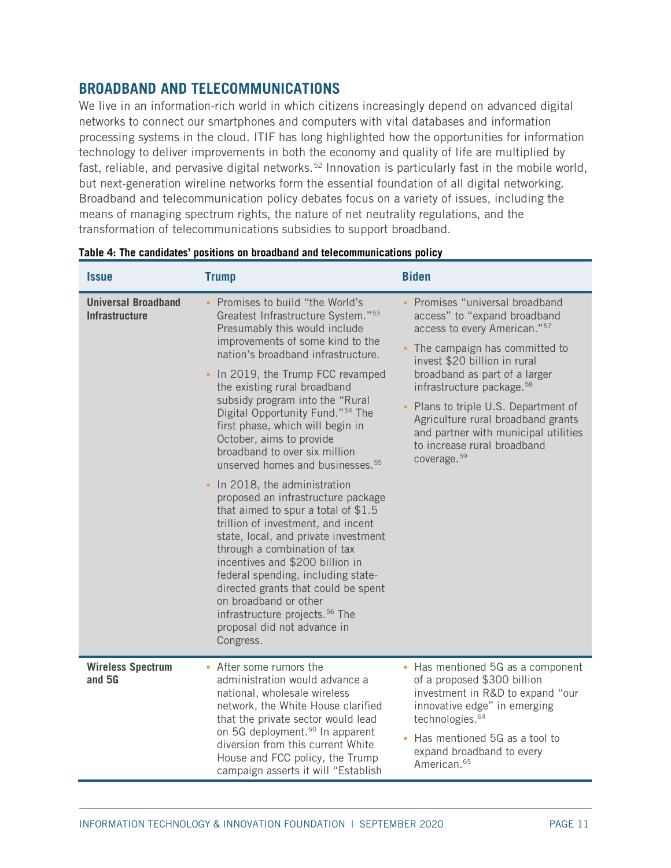# <span id="page-10-0"></span>**BROADBAND AND TELECOMMUNICATIONS**

We live in an information-rich world in which citizens increasingly depend on advanced digital networks to connect our smartphones and computers with vital databases and information processing systems in the cloud. ITIF has long highlighted how the opportunities for information technology to deliver improvements in both the economy and quality of life are multiplied by fast, reliable, and pervasive digital networks.<sup>[52](#page-33-0)</sup> Innovation is particularly fast in the mobile world, but next-generation wireline networks form the essential foundation of all digital networking. Broadband and telecommunication policy debates focus on a variety of issues, including the means of managing spectrum rights, the nature of net neutrality regulations, and the transformation of telecommunications subsidies to support broadband.

| <b>Issue</b>                                        | <b>Trump</b>                                                                                                                                                                                                                                                                                                                                                                                                                                                                                                                                                                                                                                                                                                                                                                                                                                                                                                                                                          | <b>Biden</b>                                                                                                                                                                                                                                                                                                                                                                                                                           |
|-----------------------------------------------------|-----------------------------------------------------------------------------------------------------------------------------------------------------------------------------------------------------------------------------------------------------------------------------------------------------------------------------------------------------------------------------------------------------------------------------------------------------------------------------------------------------------------------------------------------------------------------------------------------------------------------------------------------------------------------------------------------------------------------------------------------------------------------------------------------------------------------------------------------------------------------------------------------------------------------------------------------------------------------|----------------------------------------------------------------------------------------------------------------------------------------------------------------------------------------------------------------------------------------------------------------------------------------------------------------------------------------------------------------------------------------------------------------------------------------|
| <b>Universal Broadband</b><br><b>Infrastructure</b> | • Promises to build "the World's<br>Greatest Infrastructure System." <sup>53</sup><br>Presumably this would include<br>improvements of some kind to the<br>nation's broadband infrastructure.<br>• In 2019, the Trump FCC revamped<br>the existing rural broadband<br>subsidy program into the "Rural<br>Digital Opportunity Fund." <sup>54</sup> The<br>first phase, which will begin in<br>October, aims to provide<br>broadband to over six million<br>unserved homes and businesses. <sup>55</sup><br>• In 2018, the administration<br>proposed an infrastructure package<br>that aimed to spur a total of \$1.5<br>trillion of investment, and incent<br>state, local, and private investment<br>through a combination of tax<br>incentives and \$200 billion in<br>federal spending, including state-<br>directed grants that could be spent<br>on broadband or other<br>infrastructure projects. <sup>56</sup> The<br>proposal did not advance in<br>Congress. | • Promises "universal broadband<br>access" to "expand broadband<br>access to every American." <sup>57</sup><br>• The campaign has committed to<br>invest \$20 billion in rural<br>broadband as part of a larger<br>infrastructure package. <sup>58</sup><br>Plans to triple U.S. Department of<br>Agriculture rural broadband grants<br>and partner with municipal utilities<br>to increase rural broadband<br>coverage. <sup>59</sup> |
| <b>Wireless Spectrum</b><br>and 5G                  | • After some rumors the<br>administration would advance a<br>national, wholesale wireless<br>network, the White House clarified<br>that the private sector would lead<br>on 5G deployment. <sup>60</sup> In apparent<br>diversion from this current White<br>House and FCC policy, the Trump<br>campaign asserts it will "Establish                                                                                                                                                                                                                                                                                                                                                                                                                                                                                                                                                                                                                                   | • Has mentioned 5G as a component<br>of a proposed \$300 billion<br>investment in R&D to expand "our<br>innovative edge" in emerging<br>technologies. <sup>64</sup><br>Has mentioned 5G as a tool to<br>ú,<br>expand broadband to every<br>American. <sup>65</sup>                                                                                                                                                                     |

#### **Table 4: The candidates' positions on broadband and telecommunications policy**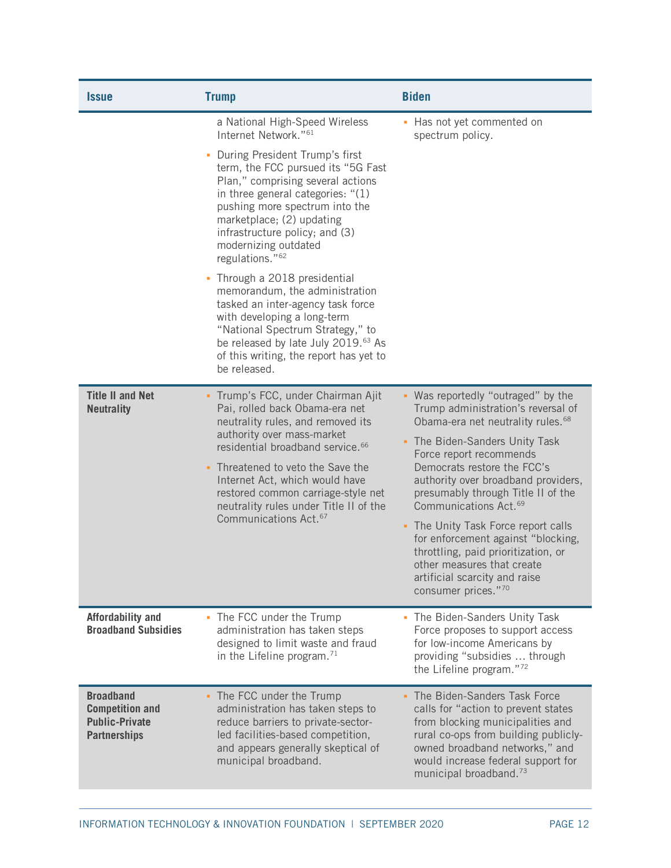| <i><b>Issue</b></i>                                                                        | <b>Trump</b>                                                                                                                                                                                                                                                                                                                                                                                                                                                                                                                                                                                                                                                           | <b>Biden</b>                                                                                                                                                                                                                                                                                                                                                                                                                                                                                                                                      |
|--------------------------------------------------------------------------------------------|------------------------------------------------------------------------------------------------------------------------------------------------------------------------------------------------------------------------------------------------------------------------------------------------------------------------------------------------------------------------------------------------------------------------------------------------------------------------------------------------------------------------------------------------------------------------------------------------------------------------------------------------------------------------|---------------------------------------------------------------------------------------------------------------------------------------------------------------------------------------------------------------------------------------------------------------------------------------------------------------------------------------------------------------------------------------------------------------------------------------------------------------------------------------------------------------------------------------------------|
|                                                                                            | a National High-Speed Wireless<br>Internet Network." <sup>61</sup><br>• During President Trump's first<br>term, the FCC pursued its "5G Fast<br>Plan," comprising several actions<br>in three general categories: "(1)<br>pushing more spectrum into the<br>marketplace; (2) updating<br>infrastructure policy; and (3)<br>modernizing outdated<br>regulations." <sup>62</sup><br>• Through a 2018 presidential<br>memorandum, the administration<br>tasked an inter-agency task force<br>with developing a long-term<br>"National Spectrum Strategy," to<br>be released by late July 2019. <sup>63</sup> As<br>of this writing, the report has yet to<br>be released. | • Has not yet commented on<br>spectrum policy.                                                                                                                                                                                                                                                                                                                                                                                                                                                                                                    |
| <b>Title II and Net</b><br><b>Neutrality</b>                                               | - Trump's FCC, under Chairman Ajit<br>Pai, rolled back Obama-era net<br>neutrality rules, and removed its<br>authority over mass-market<br>residential broadband service. <sup>66</sup><br>• Threatened to veto the Save the<br>Internet Act, which would have<br>restored common carriage-style net<br>neutrality rules under Title II of the<br>Communications Act. <sup>67</sup>                                                                                                                                                                                                                                                                                    | - Was reportedly "outraged" by the<br>Trump administration's reversal of<br>Obama-era net neutrality rules. <sup>68</sup><br>• The Biden-Sanders Unity Task<br>Force report recommends<br>Democrats restore the FCC's<br>authority over broadband providers,<br>presumably through Title II of the<br>Communications Act. <sup>69</sup><br>- The Unity Task Force report calls<br>for enforcement against "blocking,<br>throttling, paid prioritization, or<br>other measures that create<br>artificial scarcity and raise<br>consumer prices."70 |
| <b>Affordability and</b><br><b>Broadband Subsidies</b>                                     | • The FCC under the Trump<br>administration has taken steps<br>designed to limit waste and fraud<br>in the Lifeline program. <sup>71</sup>                                                                                                                                                                                                                                                                                                                                                                                                                                                                                                                             | • The Biden-Sanders Unity Task<br>Force proposes to support access<br>for low-income Americans by<br>providing "subsidies  through<br>the Lifeline program."72                                                                                                                                                                                                                                                                                                                                                                                    |
| <b>Broadband</b><br><b>Competition and</b><br><b>Public-Private</b><br><b>Partnerships</b> | • The FCC under the Trump<br>administration has taken steps to<br>reduce barriers to private-sector-<br>led facilities-based competition,<br>and appears generally skeptical of<br>municipal broadband.                                                                                                                                                                                                                                                                                                                                                                                                                                                                | The Biden-Sanders Task Force<br>calls for "action to prevent states<br>from blocking municipalities and<br>rural co-ops from building publicly-<br>owned broadband networks," and<br>would increase federal support for<br>municipal broadband. <sup>73</sup>                                                                                                                                                                                                                                                                                     |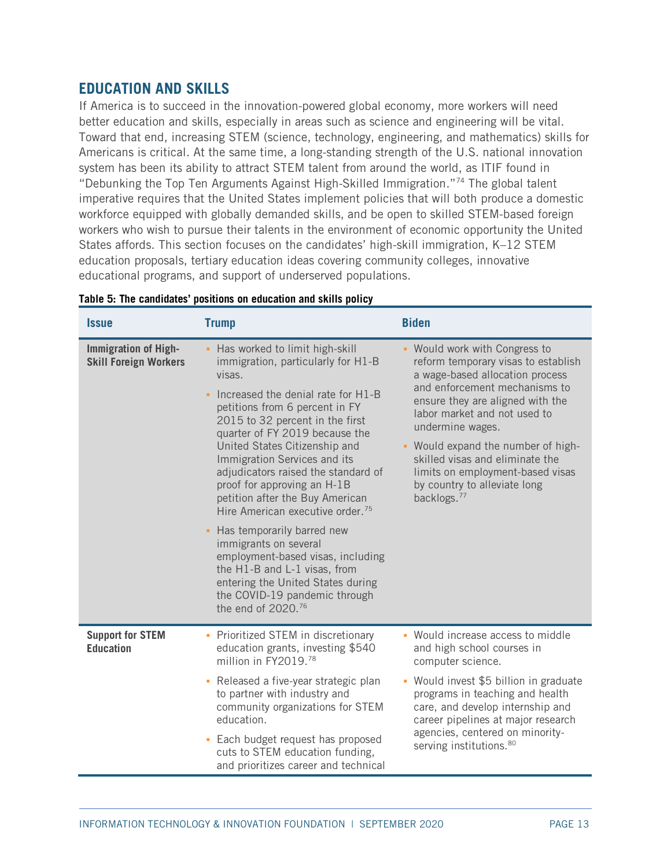# <span id="page-12-0"></span>**EDUCATION AND SKILLS**

If America is to succeed in the innovation-powered global economy, more workers will need better education and skills, especially in areas such as science and engineering will be vital. Toward that end, increasing STEM (science, technology, engineering, and mathematics) skills for Americans is critical. At the same time, a long-standing strength of the U.S. national innovation system has been its ability to attract STEM talent from around the world, as ITIF found in "Debunking the Top Ten Arguments Against High-Skilled Immigration.["74](#page-34-1) The global talent imperative requires that the United States implement policies that will both produce a domestic workforce equipped with globally demanded skills, and be open to skilled STEM-based foreign workers who wish to pursue their talents in the environment of economic opportunity the United States affords. This section focuses on the candidates' high-skill immigration, K–12 STEM education proposals, tertiary education ideas covering community colleges, innovative educational programs, and support of underserved populations.

| <b>Issue</b>                                                | <b>Trump</b>                                                                                                                                                                                                                                                                                                                                                                                                                                                                                                                                                                                                                                                                                  | <b>Biden</b>                                                                                                                                                                                                                                                                                                                                                                                             |
|-------------------------------------------------------------|-----------------------------------------------------------------------------------------------------------------------------------------------------------------------------------------------------------------------------------------------------------------------------------------------------------------------------------------------------------------------------------------------------------------------------------------------------------------------------------------------------------------------------------------------------------------------------------------------------------------------------------------------------------------------------------------------|----------------------------------------------------------------------------------------------------------------------------------------------------------------------------------------------------------------------------------------------------------------------------------------------------------------------------------------------------------------------------------------------------------|
| <b>Immigration of High-</b><br><b>Skill Foreign Workers</b> | - Has worked to limit high-skill<br>immigration, particularly for H1-B<br>visas.<br>Increased the denial rate for H1-B<br>petitions from 6 percent in FY<br>2015 to 32 percent in the first<br>quarter of FY 2019 because the<br>United States Citizenship and<br>Immigration Services and its<br>adjudicators raised the standard of<br>proof for approving an H-1B<br>petition after the Buy American<br>Hire American executive order. <sup>75</sup><br>- Has temporarily barred new<br>immigrants on several<br>employment-based visas, including<br>the H1-B and L-1 visas, from<br>entering the United States during<br>the COVID-19 pandemic through<br>the end of 2020. <sup>76</sup> | - Would work with Congress to<br>reform temporary visas to establish<br>a wage-based allocation process<br>and enforcement mechanisms to<br>ensure they are aligned with the<br>labor market and not used to<br>undermine wages.<br>- Would expand the number of high-<br>skilled visas and eliminate the<br>limits on employment-based visas<br>by country to alleviate long<br>backlogs. <sup>77</sup> |
| <b>Support for STEM</b><br><b>Education</b>                 | • Prioritized STEM in discretionary<br>education grants, investing \$540<br>million in FY2019.78<br>- Released a five-year strategic plan<br>to partner with industry and<br>community organizations for STEM<br>education.<br>• Each budget request has proposed<br>cuts to STEM education funding,<br>and prioritizes career and technical                                                                                                                                                                                                                                                                                                                                                  | • Would increase access to middle<br>and high school courses in<br>computer science.<br>Would invest \$5 billion in graduate<br>٠<br>programs in teaching and health<br>care, and develop internship and<br>career pipelines at major research<br>agencies, centered on minority-<br>serving institutions. <sup>80</sup>                                                                                 |

### **Table 5: The candidates' positions on education and skills policy**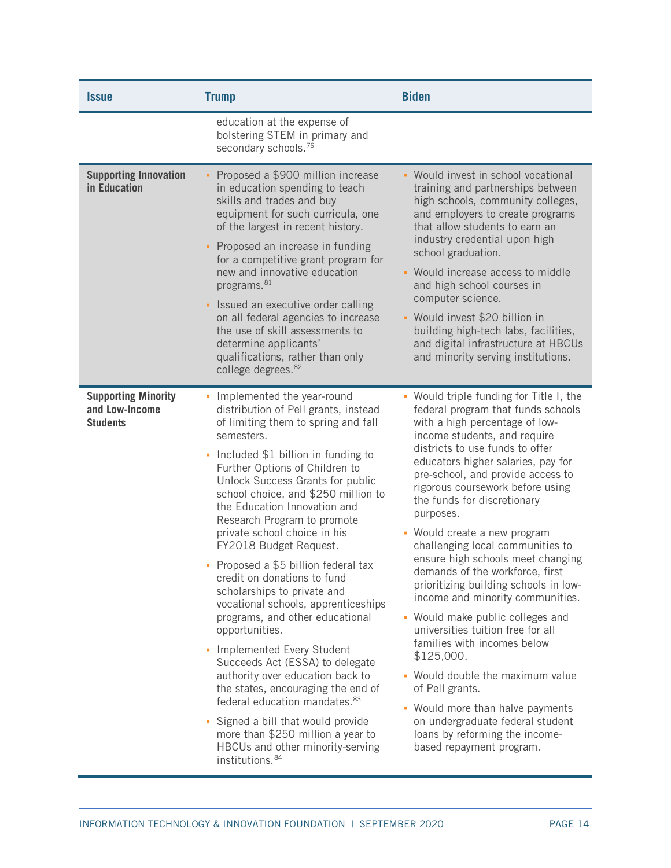| <b>Issue</b>                                                    | <b>Trump</b>                                                                                                                                                                                                                                                                                                                                                                                                                                                                                                                                                                                                                                                                                                                                                                                                                                                                                                                          | <b>Biden</b>                                                                                                                                                                                                                                                                                                                                                                                                                                                                                                                                                                                                                                                                                                                                                                                                                                                                                        |
|-----------------------------------------------------------------|---------------------------------------------------------------------------------------------------------------------------------------------------------------------------------------------------------------------------------------------------------------------------------------------------------------------------------------------------------------------------------------------------------------------------------------------------------------------------------------------------------------------------------------------------------------------------------------------------------------------------------------------------------------------------------------------------------------------------------------------------------------------------------------------------------------------------------------------------------------------------------------------------------------------------------------|-----------------------------------------------------------------------------------------------------------------------------------------------------------------------------------------------------------------------------------------------------------------------------------------------------------------------------------------------------------------------------------------------------------------------------------------------------------------------------------------------------------------------------------------------------------------------------------------------------------------------------------------------------------------------------------------------------------------------------------------------------------------------------------------------------------------------------------------------------------------------------------------------------|
|                                                                 | education at the expense of<br>bolstering STEM in primary and<br>secondary schools. <sup>79</sup>                                                                                                                                                                                                                                                                                                                                                                                                                                                                                                                                                                                                                                                                                                                                                                                                                                     |                                                                                                                                                                                                                                                                                                                                                                                                                                                                                                                                                                                                                                                                                                                                                                                                                                                                                                     |
| <b>Supporting Innovation</b><br>in Education                    | • Proposed a \$900 million increase<br>in education spending to teach<br>skills and trades and buy<br>equipment for such curricula, one<br>of the largest in recent history.<br>• Proposed an increase in funding<br>for a competitive grant program for<br>new and innovative education<br>programs. <sup>81</sup><br>• Issued an executive order calling<br>on all federal agencies to increase<br>the use of skill assessments to<br>determine applicants'<br>qualifications, rather than only<br>college degrees. 82                                                                                                                                                                                                                                                                                                                                                                                                              | • Would invest in school vocational<br>training and partnerships between<br>high schools, community colleges,<br>and employers to create programs<br>that allow students to earn an<br>industry credential upon high<br>school graduation.<br>Would increase access to middle<br>and high school courses in<br>computer science.<br>• Would invest \$20 billion in<br>building high-tech labs, facilities,<br>and digital infrastructure at HBCUs<br>and minority serving institutions.                                                                                                                                                                                                                                                                                                                                                                                                             |
| <b>Supporting Minority</b><br>and Low-Income<br><b>Students</b> | - Implemented the year-round<br>distribution of Pell grants, instead<br>of limiting them to spring and fall<br>semesters.<br>• Included \$1 billion in funding to<br>Further Options of Children to<br>Unlock Success Grants for public<br>school choice, and \$250 million to<br>the Education Innovation and<br>Research Program to promote<br>private school choice in his<br>FY2018 Budget Request.<br>• Proposed a \$5 billion federal tax<br>credit on donations to fund<br>scholarships to private and<br>vocational schools, apprenticeships<br>programs, and other educational<br>opportunities.<br>- Implemented Every Student<br>Succeeds Act (ESSA) to delegate<br>authority over education back to<br>the states, encouraging the end of<br>federal education mandates. 83<br>• Signed a bill that would provide<br>more than \$250 million a year to<br>HBCUs and other minority-serving<br>institutions. <sup>84</sup> | • Would triple funding for Title I, the<br>federal program that funds schools<br>with a high percentage of low-<br>income students, and require<br>districts to use funds to offer<br>educators higher salaries, pay for<br>pre-school, and provide access to<br>rigorous coursework before using<br>the funds for discretionary<br>purposes.<br>Would create a new program<br>٠<br>challenging local communities to<br>ensure high schools meet changing<br>demands of the workforce, first<br>prioritizing building schools in low-<br>income and minority communities.<br>• Would make public colleges and<br>universities tuition free for all<br>families with incomes below<br>\$125,000.<br>Would double the maximum value<br>×.<br>of Pell grants.<br>Would more than halve payments<br>٠<br>on undergraduate federal student<br>loans by reforming the income-<br>based repayment program. |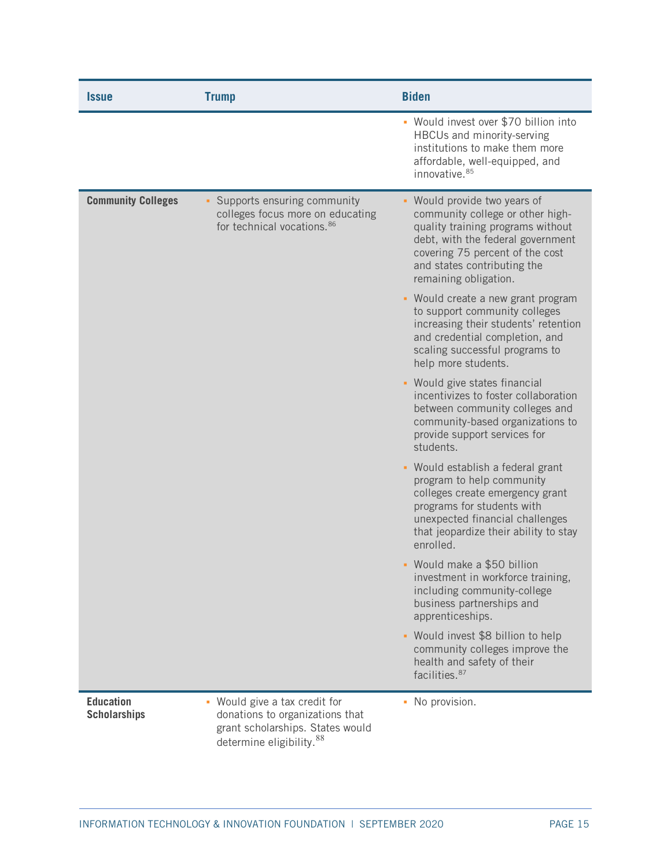| <i><b>Issue</b></i>                     | <b>Trump</b>                                                                                                                      | <b>Biden</b>                                                                                                                                                                                                                        |
|-----------------------------------------|-----------------------------------------------------------------------------------------------------------------------------------|-------------------------------------------------------------------------------------------------------------------------------------------------------------------------------------------------------------------------------------|
|                                         |                                                                                                                                   | • Would invest over \$70 billion into<br>HBCUs and minority-serving<br>institutions to make them more<br>affordable, well-equipped, and<br>innovative. 85                                                                           |
| <b>Community Colleges</b>               | Supports ensuring community<br>colleges focus more on educating<br>for technical vocations. 86                                    | Would provide two years of<br>community college or other high-<br>quality training programs without<br>debt, with the federal government<br>covering 75 percent of the cost<br>and states contributing the<br>remaining obligation. |
|                                         |                                                                                                                                   | - Would create a new grant program<br>to support community colleges<br>increasing their students' retention<br>and credential completion, and<br>scaling successful programs to<br>help more students.                              |
|                                         |                                                                                                                                   | • Would give states financial<br>incentivizes to foster collaboration<br>between community colleges and<br>community-based organizations to<br>provide support services for<br>students.                                            |
|                                         |                                                                                                                                   | Would establish a federal grant<br>program to help community<br>colleges create emergency grant<br>programs for students with<br>unexpected financial challenges<br>that jeopardize their ability to stay<br>enrolled.              |
|                                         |                                                                                                                                   | - Would make a \$50 billion<br>investment in workforce training,<br>including community-college<br>business partnerships and<br>apprenticeships.                                                                                    |
|                                         |                                                                                                                                   | • Would invest \$8 billion to help<br>community colleges improve the<br>health and safety of their<br>facilities. <sup>87</sup>                                                                                                     |
| <b>Education</b><br><b>Scholarships</b> | • Would give a tax credit for<br>donations to organizations that<br>grant scholarships. States would<br>determine eligibility. 88 | • No provision.                                                                                                                                                                                                                     |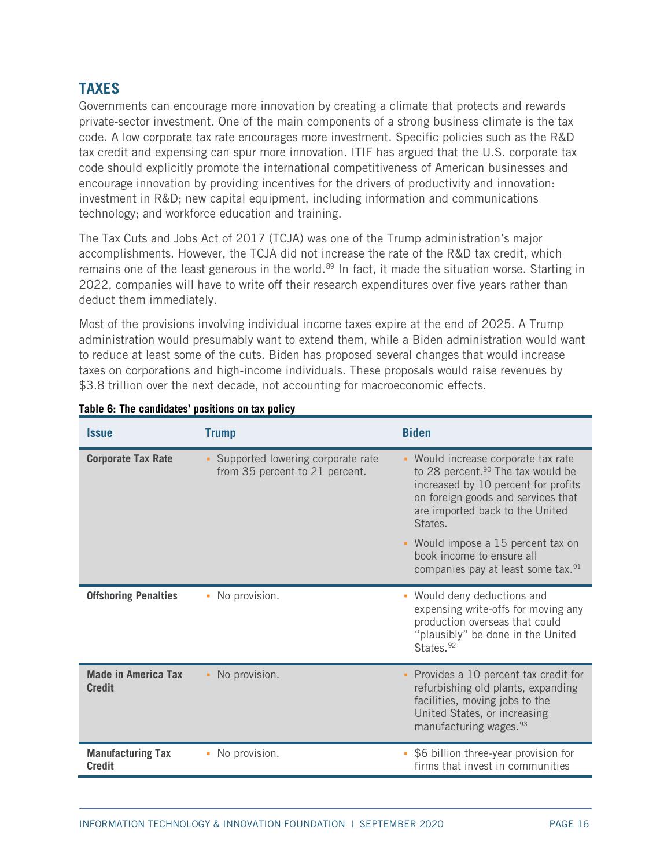# <span id="page-15-0"></span>**TAXES**

Governments can encourage more innovation by creating a climate that protects and rewards private-sector investment. One of the main components of a strong business climate is the tax code. A low corporate tax rate encourages more investment. Specific policies such as the R&D tax credit and expensing can spur more innovation. ITIF has argued that the U.S. corporate tax code should explicitly promote the international competitiveness of American businesses and encourage innovation by providing incentives for the drivers of productivity and innovation: investment in R&D; new capital equipment, including information and communications technology; and workforce education and training.

The Tax Cuts and Jobs Act of 2017 (TCJA) was one of the Trump administration's major accomplishments. However, the TCJA did not increase the rate of the R&D tax credit, which remains one of the least generous in the world.<sup>[89](#page-34-16)</sup> In fact, it made the situation worse. Starting in 2022, companies will have to write off their research expenditures over five years rather than deduct them immediately.

Most of the provisions involving individual income taxes expire at the end of 2025. A Trump administration would presumably want to extend them, while a Biden administration would want to reduce at least some of the cuts. Biden has proposed several changes that would increase taxes on corporations and high-income individuals. These proposals would raise revenues by \$3.8 trillion over the next decade, not accounting for macroeconomic effects.

| <i><b>Issue</b></i>                         | <b>Trump</b>                                                        | <b>Biden</b>                                                                                                                                                                                                    |
|---------------------------------------------|---------------------------------------------------------------------|-----------------------------------------------------------------------------------------------------------------------------------------------------------------------------------------------------------------|
| <b>Corporate Tax Rate</b>                   | Supported lowering corporate rate<br>from 35 percent to 21 percent. | • Would increase corporate tax rate<br>to 28 percent. <sup>90</sup> The tax would be<br>increased by 10 percent for profits<br>on foreign goods and services that<br>are imported back to the United<br>States. |
|                                             |                                                                     | • Would impose a 15 percent tax on<br>book income to ensure all<br>companies pay at least some tax. <sup>91</sup>                                                                                               |
| <b>Offshoring Penalties</b>                 | • No provision.                                                     | • Would deny deductions and<br>expensing write-offs for moving any<br>production overseas that could<br>"plausibly" be done in the United<br>States. <sup>92</sup>                                              |
| <b>Made in America Tax</b><br><b>Credit</b> | • No provision.                                                     | Provides a 10 percent tax credit for<br>refurbishing old plants, expanding<br>facilities, moving jobs to the<br>United States, or increasing<br>manufacturing wages. <sup>93</sup>                              |
| <b>Manufacturing Tax</b><br><b>Credit</b>   | No provision.<br>٠                                                  | \$6 billion three-year provision for<br>ù,<br>firms that invest in communities                                                                                                                                  |

## **Table 6: The candidates' positions on tax policy**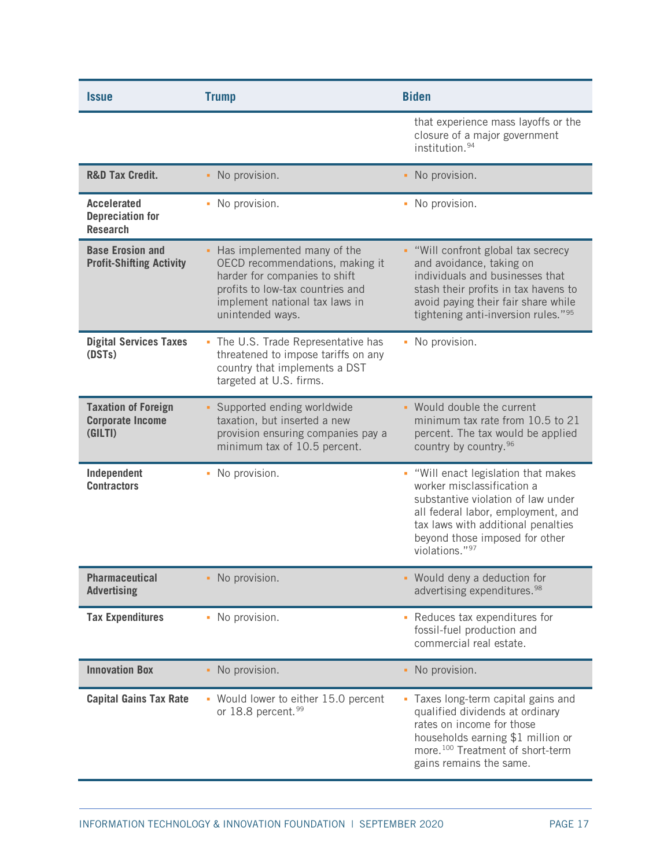| <b>Issue</b>                                                     | <b>Trump</b>                                                                                                                                                                                | <b>Biden</b>                                                                                                                                                                                                                             |
|------------------------------------------------------------------|---------------------------------------------------------------------------------------------------------------------------------------------------------------------------------------------|------------------------------------------------------------------------------------------------------------------------------------------------------------------------------------------------------------------------------------------|
|                                                                  |                                                                                                                                                                                             | that experience mass layoffs or the<br>closure of a major government<br>institution. <sup>94</sup>                                                                                                                                       |
| <b>R&amp;D Tax Credit.</b>                                       | • No provision.                                                                                                                                                                             | No provision.<br>×,                                                                                                                                                                                                                      |
| <b>Accelerated</b><br><b>Depreciation for</b><br><b>Research</b> | • No provision.                                                                                                                                                                             | No provision.<br>a,                                                                                                                                                                                                                      |
| <b>Base Erosion and</b><br><b>Profit-Shifting Activity</b>       | • Has implemented many of the<br>OECD recommendations, making it<br>harder for companies to shift<br>profits to low-tax countries and<br>implement national tax laws in<br>unintended ways. | • "Will confront global tax secrecy<br>and avoidance, taking on<br>individuals and businesses that<br>stash their profits in tax havens to<br>avoid paying their fair share while<br>tightening anti-inversion rules." <sup>95</sup>     |
| <b>Digital Services Taxes</b><br>(DST <sub>s</sub> )             | • The U.S. Trade Representative has<br>threatened to impose tariffs on any<br>country that implements a DST<br>targeted at U.S. firms.                                                      | No provision.<br>٠                                                                                                                                                                                                                       |
| <b>Taxation of Foreign</b><br><b>Corporate Income</b><br>(GILTI) | • Supported ending worldwide<br>taxation, but inserted a new<br>provision ensuring companies pay a<br>minimum tax of 10.5 percent.                                                          | • Would double the current<br>minimum tax rate from 10.5 to 21<br>percent. The tax would be applied<br>country by country. 96                                                                                                            |
| Independent<br><b>Contractors</b>                                | • No provision.                                                                                                                                                                             | . "Will enact legislation that makes<br>worker misclassification a<br>substantive violation of law under<br>all federal labor, employment, and<br>tax laws with additional penalties<br>beyond those imposed for other<br>violations."97 |
| <b>Pharmaceutical</b><br><b>Advertising</b>                      | • No provision.                                                                                                                                                                             | • Would deny a deduction for<br>advertising expenditures. <sup>98</sup>                                                                                                                                                                  |
| <b>Tax Expenditures</b>                                          | • No provision.                                                                                                                                                                             | Reduces tax expenditures for<br>fossil-fuel production and<br>commercial real estate.                                                                                                                                                    |
| <b>Innovation Box</b>                                            | • No provision.                                                                                                                                                                             | No provision.<br>٠                                                                                                                                                                                                                       |
| <b>Capital Gains Tax Rate</b>                                    | • Would lower to either 15.0 percent<br>or 18.8 percent. 99                                                                                                                                 | • Taxes long-term capital gains and<br>qualified dividends at ordinary<br>rates on income for those<br>households earning \$1 million or<br>more. <sup>100</sup> Treatment of short-term<br>gains remains the same.                      |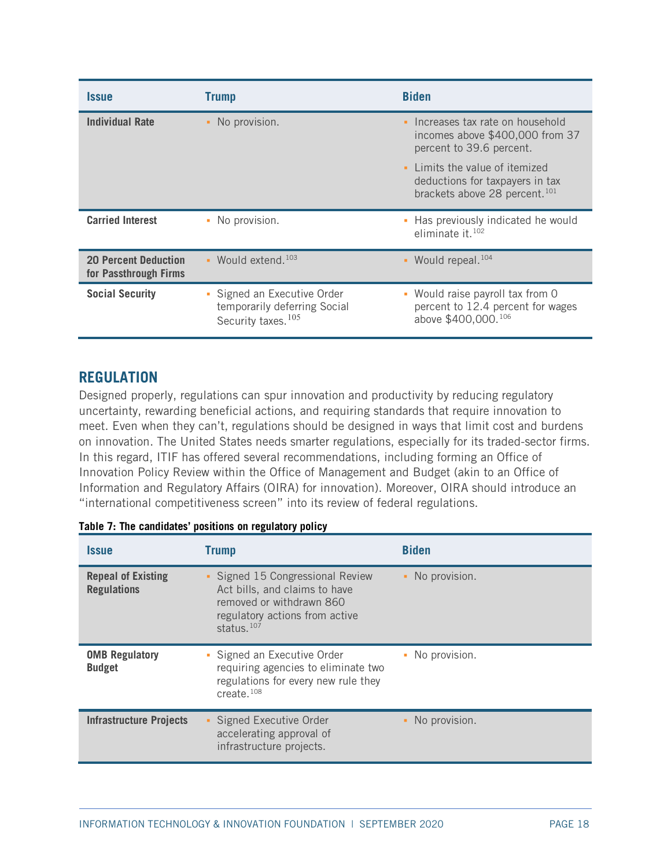| <i><b>Issue</b></i>                                  | <b>Trump</b>                                                                                  | <b>Biden</b>                                                                                                   |  |  |  |
|------------------------------------------------------|-----------------------------------------------------------------------------------------------|----------------------------------------------------------------------------------------------------------------|--|--|--|
| <b>Individual Rate</b>                               | • No provision.                                                                               | Increases tax rate on household<br>×.<br>incomes above \$400,000 from 37<br>percent to 39.6 percent.           |  |  |  |
|                                                      |                                                                                               | • Limits the value of itemized<br>deductions for taxpayers in tax<br>brackets above 28 percent. <sup>101</sup> |  |  |  |
| <b>Carried Interest</b>                              | • No provision.                                                                               | Has previously indicated he would<br>٠<br>eliminate it. $102$                                                  |  |  |  |
| <b>20 Percent Deduction</b><br>for Passthrough Firms | $\bullet$ Would extend. $^{103}$                                                              | • Would repeal. <sup>104</sup>                                                                                 |  |  |  |
| <b>Social Security</b>                               | • Signed an Executive Order<br>temporarily deferring Social<br>Security taxes. <sup>105</sup> | Would raise payroll tax from 0<br>a,<br>percent to 12.4 percent for wages<br>above \$400,000.106               |  |  |  |

# <span id="page-17-0"></span>**REGULATION**

Designed properly, regulations can spur innovation and productivity by reducing regulatory uncertainty, rewarding beneficial actions, and requiring standards that require innovation to meet. Even when they can't, regulations should be designed in ways that limit cost and burdens on innovation. The United States needs smarter regulations, especially for its traded-sector firms. In this regard, ITIF has offered several recommendations, including forming an Office of Innovation Policy Review within the Office of Management and Budget (akin to an Office of Information and Regulatory Affairs (OIRA) for innovation). Moreover, OIRA should introduce an "international competitiveness screen" into its review of federal regulations.

| Issue                                           | <b>Trump</b>                                                                                                                                     | <b>Biden</b>        |
|-------------------------------------------------|--------------------------------------------------------------------------------------------------------------------------------------------------|---------------------|
| <b>Repeal of Existing</b><br><b>Regulations</b> | • Signed 15 Congressional Review<br>Act bills, and claims to have<br>removed or withdrawn 860<br>regulatory actions from active<br>status. $107$ | No provision.<br>٠  |
| <b>OMB Regulatory</b><br><b>Budget</b>          | • Signed an Executive Order<br>requiring agencies to eliminate two<br>regulations for every new rule they<br>create. $108$                       | No provision.<br>u, |
| <b>Infrastructure Projects</b>                  | Signed Executive Order<br>accelerating approval of<br>infrastructure projects.                                                                   | No provision.       |

|  | Table 7: The candidates' positions on regulatory policy |  |  |  |
|--|---------------------------------------------------------|--|--|--|
|  |                                                         |  |  |  |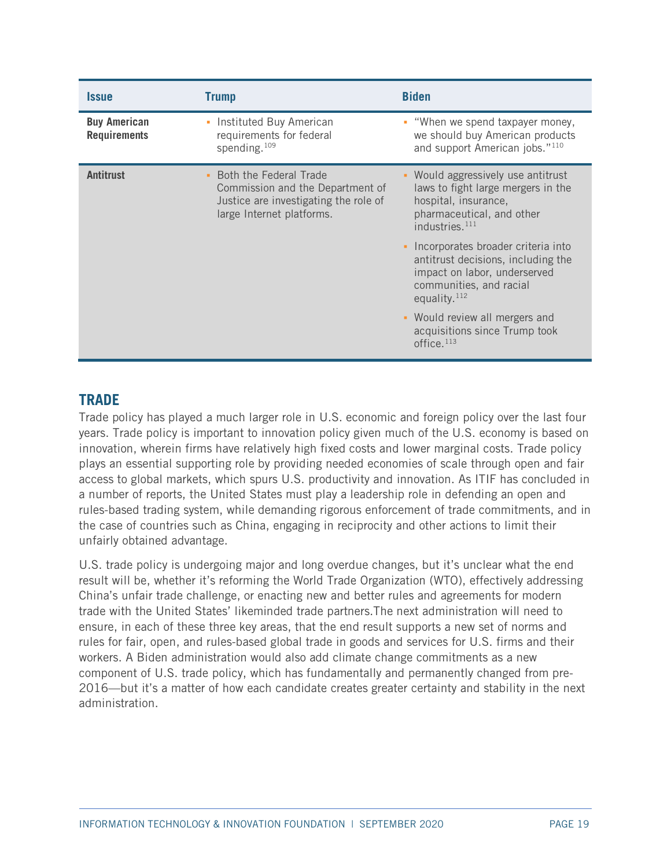| <i><b>Issue</b></i>                        | <b>Trump</b>                                                                                                                       | <b>Biden</b>                                                                                                                                                                |
|--------------------------------------------|------------------------------------------------------------------------------------------------------------------------------------|-----------------------------------------------------------------------------------------------------------------------------------------------------------------------------|
| <b>Buy American</b><br><b>Requirements</b> | • Instituted Buy American<br>requirements for federal<br>spending. <sup>109</sup>                                                  | • "When we spend taxpayer money,<br>we should buy American products<br>and support American jobs."110                                                                       |
| <b>Antitrust</b>                           | • Both the Federal Trade<br>Commission and the Department of<br>Justice are investigating the role of<br>large Internet platforms. | Would aggressively use antitrust<br>$\blacksquare$<br>laws to fight large mergers in the<br>hospital, insurance,<br>pharmaceutical, and other<br>industries. <sup>111</sup> |
|                                            |                                                                                                                                    | Incorporates broader criteria into<br>$\blacksquare$<br>antitrust decisions, including the<br>impact on labor, underserved<br>communities, and racial<br>equality. $112$    |
|                                            |                                                                                                                                    | • Would review all mergers and<br>acquisitions since Trump took<br>office. $113$                                                                                            |

# <span id="page-18-0"></span>**TRADE**

Trade policy has played a much larger role in U.S. economic and foreign policy over the last four years. Trade policy is important to innovation policy given much of the U.S. economy is based on innovation, wherein firms have relatively high fixed costs and lower marginal costs. Trade policy plays an essential supporting role by providing needed economies of scale through open and fair access to global markets, which spurs U.S. productivity and innovation. As ITIF has concluded in a number of reports, the United States must play a leadership role in defending an open and rules-based trading system, while demanding rigorous enforcement of trade commitments, and in the case of countries such as China, engaging in reciprocity and other actions to limit their unfairly obtained advantage.

U.S. trade policy is undergoing major and long overdue changes, but it's unclear what the end result will be, whether it's reforming the World Trade Organization (WTO), effectively addressing China's unfair trade challenge, or enacting new and better rules and agreements for modern trade with the United States' likeminded trade partners.The next administration will need to ensure, in each of these three key areas, that the end result supports a new set of norms and rules for fair, open, and rules-based global trade in goods and services for U.S. firms and their workers. A Biden administration would also add climate change commitments as a new component of U.S. trade policy, which has fundamentally and permanently changed from pre-2016—but it's a matter of how each candidate creates greater certainty and stability in the next administration.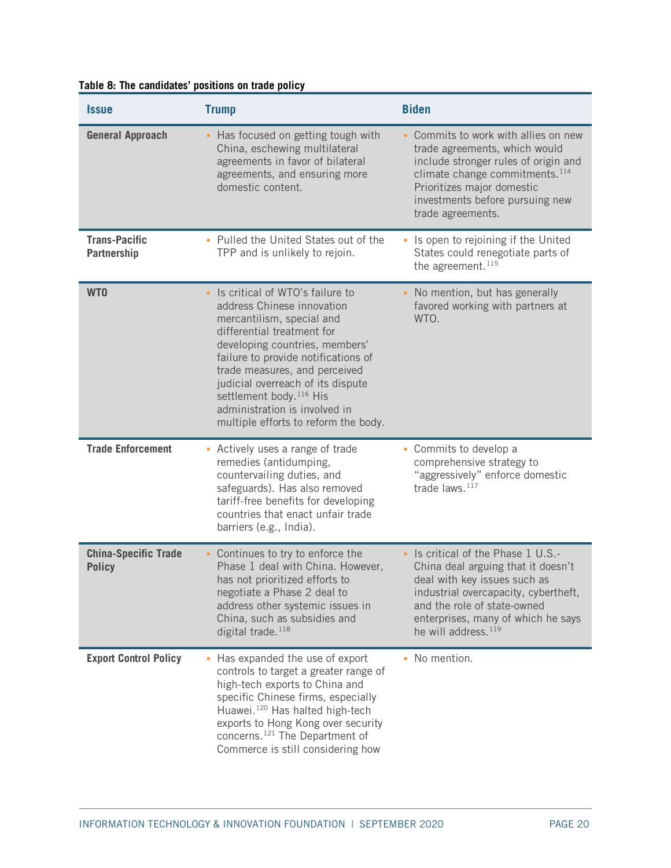| <i><b>Issue</b></i>                          | <b>Trump</b>                                                                                                                                                                                                                                                                                                                                                                                  | <b>Biden</b>                                                                                                                                                                                                                                           |
|----------------------------------------------|-----------------------------------------------------------------------------------------------------------------------------------------------------------------------------------------------------------------------------------------------------------------------------------------------------------------------------------------------------------------------------------------------|--------------------------------------------------------------------------------------------------------------------------------------------------------------------------------------------------------------------------------------------------------|
| <b>General Approach</b>                      | Has focused on getting tough with<br>China, eschewing multilateral<br>agreements in favor of bilateral<br>agreements, and ensuring more<br>domestic content.                                                                                                                                                                                                                                  | Commits to work with allies on new<br>trade agreements, which would<br>include stronger rules of origin and<br>climate change commitments. <sup>114</sup><br>Prioritizes major domestic<br>investments before pursuing new<br>trade agreements.        |
| <b>Trans-Pacific</b><br><b>Partnership</b>   | • Pulled the United States out of the<br>TPP and is unlikely to rejoin.                                                                                                                                                                                                                                                                                                                       | Is open to rejoining if the United<br>States could renegotiate parts of<br>the agreement. $^{115}$                                                                                                                                                     |
| WT <sub>0</sub>                              | Is critical of WTO's failure to<br>a.<br>address Chinese innovation<br>mercantilism, special and<br>differential treatment for<br>developing countries, members'<br>failure to provide notifications of<br>trade measures, and perceived<br>judicial overreach of its dispute<br>settlement body. <sup>116</sup> His<br>administration is involved in<br>multiple efforts to reform the body. | No mention, but has generally<br>favored working with partners at<br>WTO.                                                                                                                                                                              |
| <b>Trade Enforcement</b>                     | - Actively uses a range of trade<br>remedies (antidumping,<br>countervailing duties, and<br>safeguards). Has also removed<br>tariff-free benefits for developing<br>countries that enact unfair trade<br>barriers (e.g., India).                                                                                                                                                              | • Commits to develop a<br>comprehensive strategy to<br>"aggressively" enforce domestic<br>trade laws. <sup>117</sup>                                                                                                                                   |
| <b>China-Specific Trade</b><br><b>Policy</b> | • Continues to try to enforce the<br>Phase 1 deal with China. However,<br>has not prioritized efforts to<br>negotiate a Phase 2 deal to<br>address other systemic issues in<br>China, such as subsidies and<br>digital trade. <sup>118</sup>                                                                                                                                                  | Is critical of the Phase 1 U.S.-<br>China deal arguing that it doesn't<br>deal with key issues such as<br>industrial overcapacity, cybertheft,<br>and the role of state-owned<br>enterprises, many of which he says<br>he will address. <sup>119</sup> |
| <b>Export Control Policy</b>                 | • Has expanded the use of export<br>controls to target a greater range of<br>high-tech exports to China and<br>specific Chinese firms, especially<br>Huawei. <sup>120</sup> Has halted high-tech<br>exports to Hong Kong over security<br>concerns. <sup>121</sup> The Department of<br>Commerce is still considering how                                                                     | • No mention.                                                                                                                                                                                                                                          |

## **Table 8: The candidates' positions on trade policy**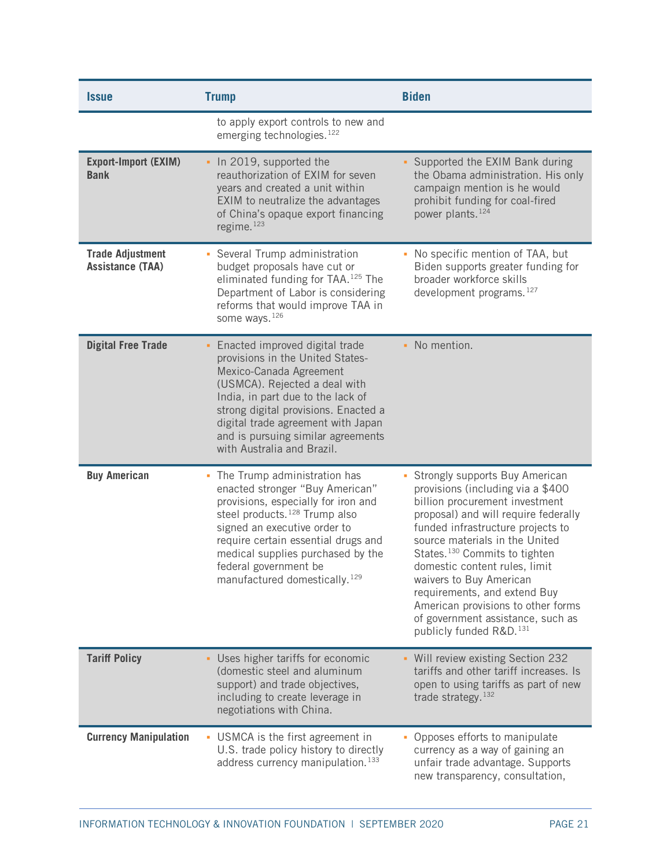| <i><b>Issue</b></i>                                | <b>Trump</b>                                                                                                                                                                                                                                                                                                                            | <b>Biden</b>                                                                                                                                                                                                                                                                                                                                                                                                                                                                    |
|----------------------------------------------------|-----------------------------------------------------------------------------------------------------------------------------------------------------------------------------------------------------------------------------------------------------------------------------------------------------------------------------------------|---------------------------------------------------------------------------------------------------------------------------------------------------------------------------------------------------------------------------------------------------------------------------------------------------------------------------------------------------------------------------------------------------------------------------------------------------------------------------------|
|                                                    | to apply export controls to new and<br>emerging technologies. <sup>122</sup>                                                                                                                                                                                                                                                            |                                                                                                                                                                                                                                                                                                                                                                                                                                                                                 |
| <b>Export-Import (EXIM)</b><br><b>Bank</b>         | . In 2019, supported the<br>reauthorization of EXIM for seven<br>years and created a unit within<br>EXIM to neutralize the advantages<br>of China's opaque export financing<br>regime. <sup>123</sup>                                                                                                                                   | Supported the EXIM Bank during<br>the Obama administration. His only<br>campaign mention is he would<br>prohibit funding for coal-fired<br>power plants. <sup>124</sup>                                                                                                                                                                                                                                                                                                         |
| <b>Trade Adjustment</b><br><b>Assistance (TAA)</b> | • Several Trump administration<br>budget proposals have cut or<br>eliminated funding for TAA. <sup>125</sup> The<br>Department of Labor is considering<br>reforms that would improve TAA in<br>some ways. <sup>126</sup>                                                                                                                | No specific mention of TAA, but<br>Biden supports greater funding for<br>broader workforce skills<br>development programs. <sup>127</sup>                                                                                                                                                                                                                                                                                                                                       |
| <b>Digital Free Trade</b>                          | Enacted improved digital trade<br>provisions in the United States-<br>Mexico-Canada Agreement<br>(USMCA). Rejected a deal with<br>India, in part due to the lack of<br>strong digital provisions. Enacted a<br>digital trade agreement with Japan<br>and is pursuing similar agreements<br>with Australia and Brazil.                   | No mention.                                                                                                                                                                                                                                                                                                                                                                                                                                                                     |
| <b>Buy American</b>                                | • The Trump administration has<br>enacted stronger "Buy American"<br>provisions, especially for iron and<br>steel products. <sup>128</sup> Trump also<br>signed an executive order to<br>require certain essential drugs and<br>medical supplies purchased by the<br>federal government be<br>manufactured domestically. <sup>129</sup> | Strongly supports Buy American<br>provisions (including via a \$400<br>billion procurement investment<br>proposal) and will require federally<br>funded infrastructure projects to<br>source materials in the United<br>States. <sup>130</sup> Commits to tighten<br>domestic content rules, limit<br>waivers to Buy American<br>requirements, and extend Buy<br>American provisions to other forms<br>of government assistance, such as<br>publicly funded R&D. <sup>131</sup> |
| <b>Tariff Policy</b>                               | • Uses higher tariffs for economic<br>(domestic steel and aluminum<br>support) and trade objectives,<br>including to create leverage in<br>negotiations with China.                                                                                                                                                                     | • Will review existing Section 232<br>tariffs and other tariff increases. Is<br>open to using tariffs as part of new<br>trade strategy. <sup>132</sup>                                                                                                                                                                                                                                                                                                                          |
| <b>Currency Manipulation</b>                       | • USMCA is the first agreement in<br>U.S. trade policy history to directly<br>address currency manipulation. <sup>133</sup>                                                                                                                                                                                                             | Opposes efforts to manipulate<br>u,<br>currency as a way of gaining an<br>unfair trade advantage. Supports<br>new transparency, consultation,                                                                                                                                                                                                                                                                                                                                   |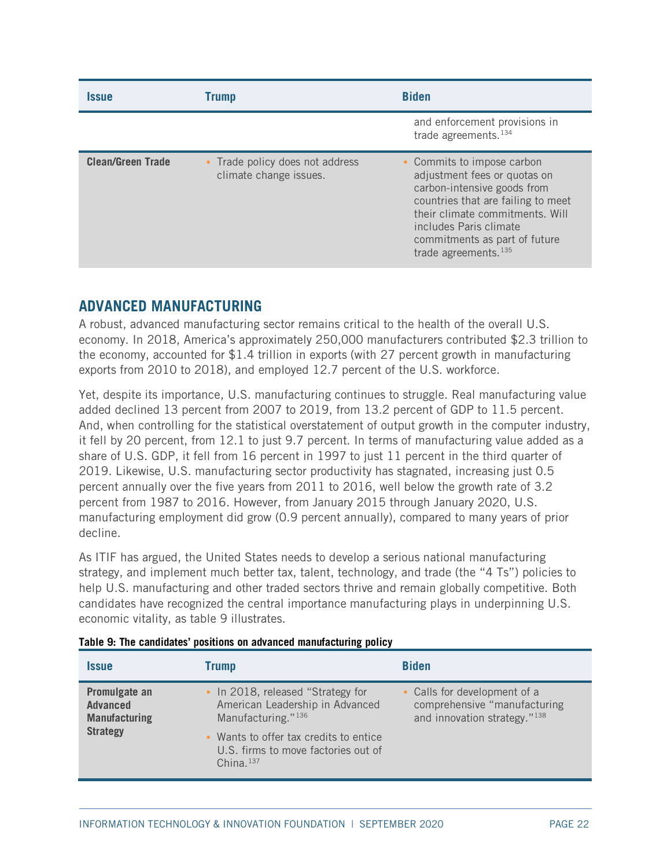| <i><b>Issue</b></i>      | <b>Trump</b>                                              | <b>Biden</b>                                                                                                                                                                                                                                             |
|--------------------------|-----------------------------------------------------------|----------------------------------------------------------------------------------------------------------------------------------------------------------------------------------------------------------------------------------------------------------|
|                          |                                                           | and enforcement provisions in<br>trade agreements. <sup>134</sup>                                                                                                                                                                                        |
| <b>Clean/Green Trade</b> | • Trade policy does not address<br>climate change issues. | • Commits to impose carbon<br>adjustment fees or quotas on<br>carbon-intensive goods from<br>countries that are failing to meet<br>their climate commitments. Will<br>includes Paris climate<br>commitments as part of future<br>trade agreements. $135$ |

# <span id="page-21-0"></span>**ADVANCED MANUFACTURING**

A robust, advanced manufacturing sector remains critical to the health of the overall U.S. economy. In 2018, America's approximately 250,000 manufacturers contributed \$2.3 trillion to the economy, accounted for \$1.4 trillion in exports (with 27 percent growth in manufacturing exports from 2010 to 2018), and employed 12.7 percent of the U.S. workforce.

Yet, despite its importance, U.S. manufacturing continues to struggle. Real manufacturing value added declined 13 percent from 2007 to 2019, from 13.2 percent of GDP to 11.5 percent. And, when controlling for the statistical overstatement of output growth in the computer industry, it fell by 20 percent, from 12.1 to just 9.7 percent. In terms of manufacturing value added as a share of U.S. GDP, it fell from 16 percent in 1997 to just 11 percent in the third quarter of 2019. Likewise, U.S. manufacturing sector productivity has stagnated, increasing just 0.5 percent annually over the five years from 2011 to 2016, well below the growth rate of 3.2 percent from 1987 to 2016. However, from January 2015 through January 2020, U.S. manufacturing employment did grow (0.9 percent annually), compared to many years of prior decline.

As ITIF has argued, the United States needs to develop a serious national manufacturing strategy, and implement much better tax, talent, technology, and trade (the "4 Ts") policies to help U.S. manufacturing and other traded sectors thrive and remain globally competitive. Both candidates have recognized the central importance manufacturing plays in underpinning U.S. economic vitality, as [table 9](#page-21-1) illustrates.

| <i><b>Issue</b></i>                                                         | <b>Trump</b>                                                                                                                                                                                            | <b>Biden</b>                                                                                                |
|-----------------------------------------------------------------------------|---------------------------------------------------------------------------------------------------------------------------------------------------------------------------------------------------------|-------------------------------------------------------------------------------------------------------------|
| Promulgate an<br><b>Advanced</b><br><b>Manufacturing</b><br><b>Strategy</b> | • In 2018, released "Strategy for<br>American Leadership in Advanced<br>Manufacturing." <sup>136</sup><br>• Wants to offer tax credits to entice<br>U.S. firms to move factories out of<br>China. $137$ | Calls for development of a<br>٠<br>comprehensive "manufacturing<br>and innovation strategy." <sup>138</sup> |

<span id="page-21-1"></span>

|  |  |  | Table 9: The candidates' positions on advanced manufacturing policy |  |
|--|--|--|---------------------------------------------------------------------|--|
|  |  |  |                                                                     |  |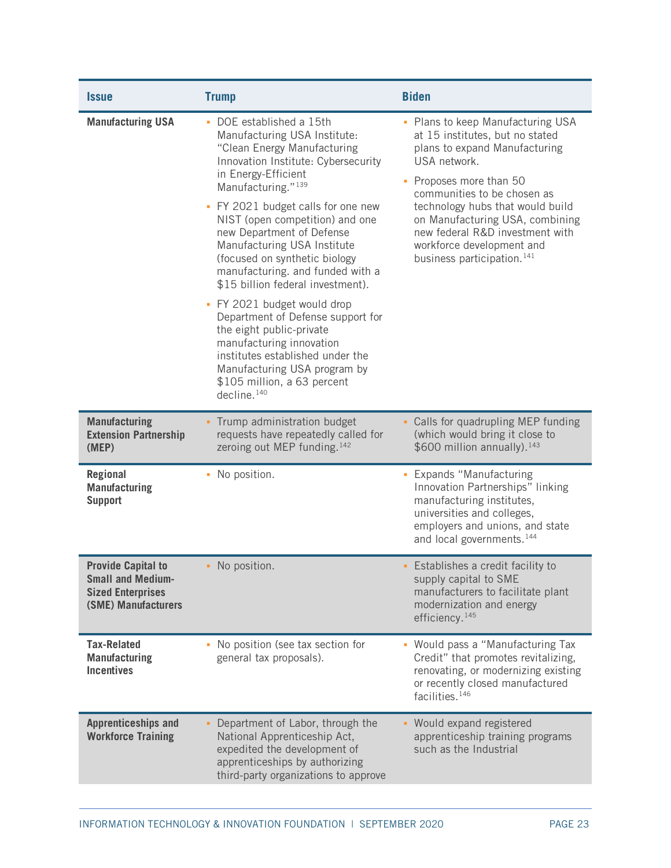| <i><b>Issue</b></i>                                                                                      | <b>Trump</b>                                                                                                                                                                                                                                                                                                                                                                                                                                                                                                                                                                                                                                                                                     | <b>Biden</b>                                                                                                                                                                                                                                                                                                                                                   |
|----------------------------------------------------------------------------------------------------------|--------------------------------------------------------------------------------------------------------------------------------------------------------------------------------------------------------------------------------------------------------------------------------------------------------------------------------------------------------------------------------------------------------------------------------------------------------------------------------------------------------------------------------------------------------------------------------------------------------------------------------------------------------------------------------------------------|----------------------------------------------------------------------------------------------------------------------------------------------------------------------------------------------------------------------------------------------------------------------------------------------------------------------------------------------------------------|
| <b>Manufacturing USA</b>                                                                                 | • DOE established a 15th<br>Manufacturing USA Institute:<br>"Clean Energy Manufacturing<br>Innovation Institute: Cybersecurity<br>in Energy-Efficient<br>Manufacturing." <sup>139</sup><br>• FY 2021 budget calls for one new<br>NIST (open competition) and one<br>new Department of Defense<br>Manufacturing USA Institute<br>(focused on synthetic biology<br>manufacturing. and funded with a<br>\$15 billion federal investment).<br>• FY 2021 budget would drop<br>Department of Defense support for<br>the eight public-private<br>manufacturing innovation<br>institutes established under the<br>Manufacturing USA program by<br>\$105 million, a 63 percent<br>decline. <sup>140</sup> | • Plans to keep Manufacturing USA<br>at 15 institutes, but no stated<br>plans to expand Manufacturing<br>USA network.<br>Proposes more than 50<br>communities to be chosen as<br>technology hubs that would build<br>on Manufacturing USA, combining<br>new federal R&D investment with<br>workforce development and<br>business participation. <sup>141</sup> |
| <b>Manufacturing</b><br><b>Extension Partnership</b><br>(MEP)                                            | • Trump administration budget<br>requests have repeatedly called for<br>zeroing out MEP funding. <sup>142</sup>                                                                                                                                                                                                                                                                                                                                                                                                                                                                                                                                                                                  | - Calls for quadrupling MEP funding<br>(which would bring it close to<br>\$600 million annually). <sup>143</sup>                                                                                                                                                                                                                                               |
| <b>Regional</b><br><b>Manufacturing</b><br><b>Support</b>                                                | • No position.                                                                                                                                                                                                                                                                                                                                                                                                                                                                                                                                                                                                                                                                                   | Expands "Manufacturing<br>Innovation Partnerships" linking<br>manufacturing institutes,<br>universities and colleges,<br>employers and unions, and state<br>and local governments. <sup>144</sup>                                                                                                                                                              |
| <b>Provide Capital to</b><br><b>Small and Medium-</b><br><b>Sized Enterprises</b><br>(SME) Manufacturers | • No position.                                                                                                                                                                                                                                                                                                                                                                                                                                                                                                                                                                                                                                                                                   | • Establishes a credit facility to<br>supply capital to SME<br>manufacturers to facilitate plant<br>modernization and energy<br>efficiency. <sup>145</sup>                                                                                                                                                                                                     |
| <b>Tax-Related</b><br><b>Manufacturing</b><br><b>Incentives</b>                                          | • No position (see tax section for<br>general tax proposals).                                                                                                                                                                                                                                                                                                                                                                                                                                                                                                                                                                                                                                    | Would pass a "Manufacturing Tax<br>u,<br>Credit" that promotes revitalizing,<br>renovating, or modernizing existing<br>or recently closed manufactured<br>facilities. <sup>146</sup>                                                                                                                                                                           |
| <b>Apprenticeships and</b><br><b>Workforce Training</b>                                                  | Department of Labor, through the<br>National Apprenticeship Act,<br>expedited the development of<br>apprenticeships by authorizing<br>third-party organizations to approve                                                                                                                                                                                                                                                                                                                                                                                                                                                                                                                       | Would expand registered<br>apprenticeship training programs<br>such as the Industrial                                                                                                                                                                                                                                                                          |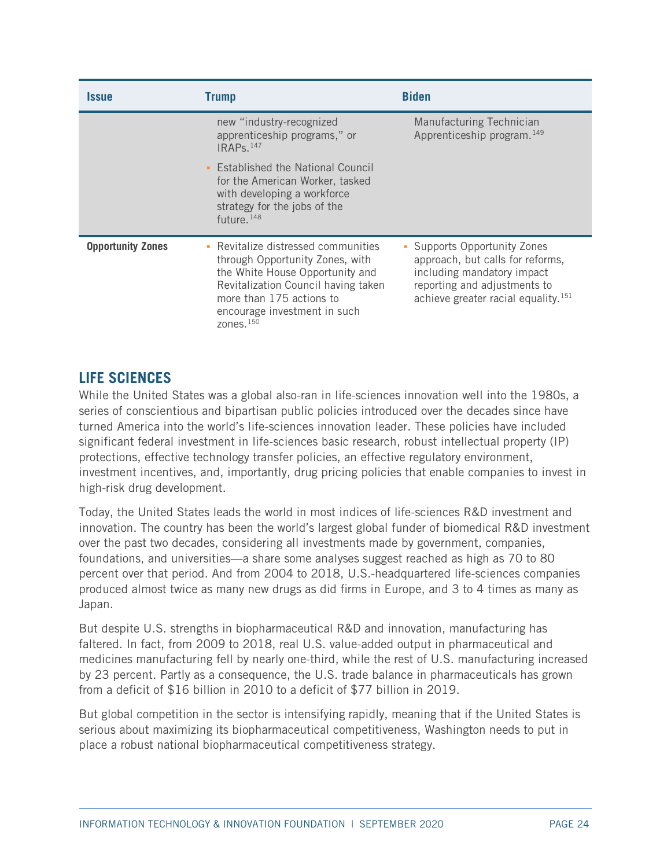| <b>Issue</b>             | <b>Trump</b>                                                                                                                                                                                                                        | <b>Biden</b>                                                                                                                                                                    |
|--------------------------|-------------------------------------------------------------------------------------------------------------------------------------------------------------------------------------------------------------------------------------|---------------------------------------------------------------------------------------------------------------------------------------------------------------------------------|
|                          | new "industry-recognized<br>apprenticeship programs," or<br>$IRAPs.$ <sup>147</sup>                                                                                                                                                 | Manufacturing Technician<br>Apprenticeship program. <sup>149</sup>                                                                                                              |
|                          | • Established the National Council<br>for the American Worker, tasked<br>with developing a workforce<br>strategy for the jobs of the<br>future. $148$                                                                               |                                                                                                                                                                                 |
| <b>Opportunity Zones</b> | Revitalize distressed communities<br>through Opportunity Zones, with<br>the White House Opportunity and<br>Revitalization Council having taken<br>more than 175 actions to<br>encourage investment in such<br>zones. <sup>150</sup> | Supports Opportunity Zones<br>approach, but calls for reforms,<br>including mandatory impact<br>reporting and adjustments to<br>achieve greater racial equality. <sup>151</sup> |

# <span id="page-23-0"></span>**LIFE SCIENCES**

While the United States was a global also-ran in life-sciences innovation well into the 1980s, a series of conscientious and bipartisan public policies introduced over the decades since have turned America into the world's life-sciences innovation leader. These policies have included significant federal investment in life-sciences basic research, robust intellectual property (IP) protections, effective technology transfer policies, an effective regulatory environment, investment incentives, and, importantly, drug pricing policies that enable companies to invest in high-risk drug development.

Today, the United States leads the world in most indices of life-sciences R&D investment and innovation. The country has been the world's largest global funder of biomedical R&D investment over the past two decades, considering all investments made by government, companies, foundations, and universities—a share some analyses suggest reached as high as 70 to 80 percent over that period. And from 2004 to 2018, U.S.-headquartered life-sciences companies produced almost twice as many new drugs as did firms in Europe, and 3 to 4 times as many as Japan.

But despite U.S. strengths in biopharmaceutical R&D and innovation, manufacturing has faltered. In fact, from 2009 to 2018, real U.S. value-added output in pharmaceutical and medicines manufacturing fell by nearly one-third, while the rest of U.S. manufacturing increased by 23 percent. Partly as a consequence, the U.S. trade balance in pharmaceuticals has grown from a deficit of \$16 billion in 2010 to a deficit of \$77 billion in 2019.

But global competition in the sector is intensifying rapidly, meaning that if the United States is serious about maximizing its biopharmaceutical competitiveness, Washington needs to put in place a robust national biopharmaceutical competitiveness strategy.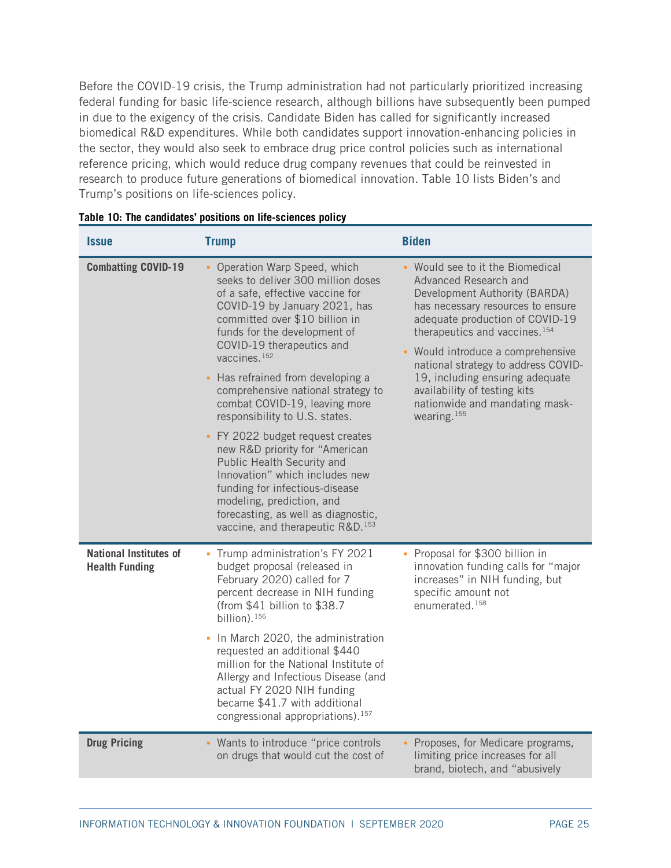Before the COVID-19 crisis, the Trump administration had not particularly prioritized increasing federal funding for basic life-science research, although billions have subsequently been pumped in due to the exigency of the crisis. Candidate Biden has called for significantly increased biomedical R&D expenditures. While both candidates support innovation-enhancing policies in the sector, they would also seek to embrace drug price control policies such as international reference pricing, which would reduce drug company revenues that could be reinvested in research to produce future generations of biomedical innovation. [Table 10](#page-24-0) lists Biden's and Trump's positions on life-sciences policy.

| <b>Issue</b>                                           | <b>Trump</b>                                                                                                                                                                                                                                                                                                                                                                                                                                                                                                                                                                                                                                                                                                  | <b>Biden</b>                                                                                                                                                                                                                                                                                                                                                                                                                |
|--------------------------------------------------------|---------------------------------------------------------------------------------------------------------------------------------------------------------------------------------------------------------------------------------------------------------------------------------------------------------------------------------------------------------------------------------------------------------------------------------------------------------------------------------------------------------------------------------------------------------------------------------------------------------------------------------------------------------------------------------------------------------------|-----------------------------------------------------------------------------------------------------------------------------------------------------------------------------------------------------------------------------------------------------------------------------------------------------------------------------------------------------------------------------------------------------------------------------|
| <b>Combatting COVID-19</b>                             | • Operation Warp Speed, which<br>seeks to deliver 300 million doses<br>of a safe, effective vaccine for<br>COVID-19 by January 2021, has<br>committed over \$10 billion in<br>funds for the development of<br>COVID-19 therapeutics and<br>vaccines. <sup>152</sup><br>• Has refrained from developing a<br>comprehensive national strategy to<br>combat COVID-19, leaving more<br>responsibility to U.S. states.<br>• FY 2022 budget request creates<br>new R&D priority for "American<br>Public Health Security and<br>Innovation" which includes new<br>funding for infectious-disease<br>modeling, prediction, and<br>forecasting, as well as diagnostic,<br>vaccine, and therapeutic R&D. <sup>153</sup> | - Would see to it the Biomedical<br>Advanced Research and<br>Development Authority (BARDA)<br>has necessary resources to ensure<br>adequate production of COVID-19<br>therapeutics and vaccines. <sup>154</sup><br>• Would introduce a comprehensive<br>national strategy to address COVID-<br>19, including ensuring adequate<br>availability of testing kits<br>nationwide and mandating mask-<br>wearing. <sup>155</sup> |
| <b>National Institutes of</b><br><b>Health Funding</b> | • Trump administration's FY 2021<br>budget proposal (released in<br>February 2020) called for 7<br>percent decrease in NIH funding<br>(from $$41$ billion to $$38.7$<br>billion). <sup>156</sup><br>• In March 2020, the administration<br>requested an additional \$440<br>million for the National Institute of<br>Allergy and Infectious Disease (and<br>actual FY 2020 NIH funding<br>became \$41.7 with additional<br>congressional appropriations). <sup>157</sup>                                                                                                                                                                                                                                      | • Proposal for \$300 billion in<br>innovation funding calls for "major<br>increases" in NIH funding, but<br>specific amount not<br>enumerated. <sup>158</sup>                                                                                                                                                                                                                                                               |
| <b>Drug Pricing</b>                                    | - Wants to introduce "price controls<br>on drugs that would cut the cost of                                                                                                                                                                                                                                                                                                                                                                                                                                                                                                                                                                                                                                   | • Proposes, for Medicare programs,<br>limiting price increases for all<br>brand, biotech, and "abusively                                                                                                                                                                                                                                                                                                                    |

<span id="page-24-0"></span>

| Table 10: The candidates' positions on life-sciences policy |  |
|-------------------------------------------------------------|--|
|-------------------------------------------------------------|--|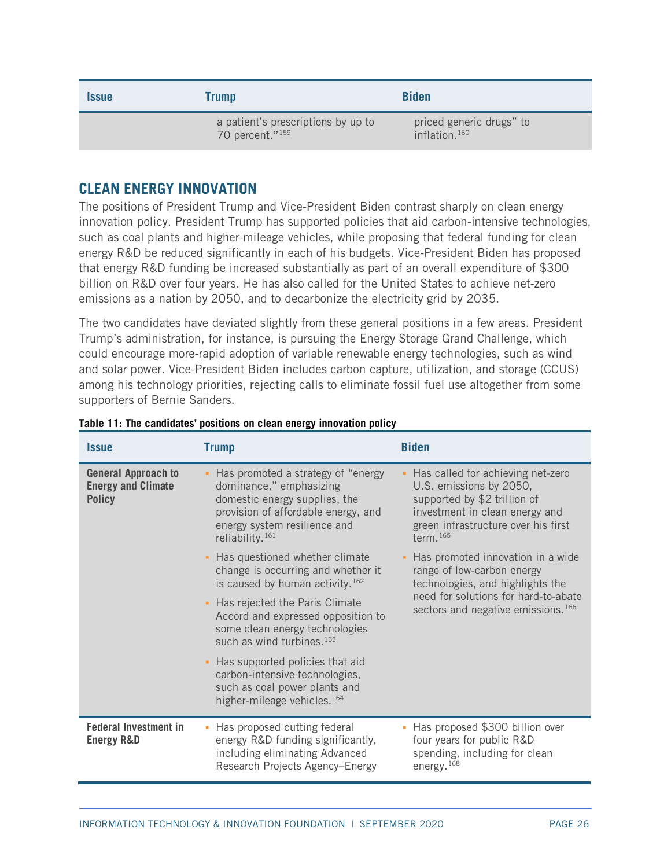| <i><b>Issue</b></i> | Trump                                                             | <b>Biden</b>                                 |
|---------------------|-------------------------------------------------------------------|----------------------------------------------|
|                     | a patient's prescriptions by up to<br>70 percent." <sup>159</sup> | priced generic drugs" to<br>inflation. $160$ |

# <span id="page-25-0"></span>**CLEAN ENERGY INNOVATION**

The positions of President Trump and Vice-President Biden contrast sharply on clean energy innovation policy. President Trump has supported policies that aid carbon-intensive technologies, such as coal plants and higher-mileage vehicles, while proposing that federal funding for clean energy R&D be reduced significantly in each of his budgets. Vice-President Biden has proposed that energy R&D funding be increased substantially as part of an overall expenditure of \$300 billion on R&D over four years. He has also called for the United States to achieve net-zero emissions as a nation by 2050, and to decarbonize the electricity grid by 2035.

The two candidates have deviated slightly from these general positions in a few areas. President Trump's administration, for instance, is pursuing the Energy Storage Grand Challenge, which could encourage more-rapid adoption of variable renewable energy technologies, such as wind and solar power. Vice-President Biden includes carbon capture, utilization, and storage (CCUS) among his technology priorities, rejecting calls to eliminate fossil fuel use altogether from some supporters of Bernie Sanders.

| <b>Issue</b>                                                             | <b>Trump</b>                                                                                                                                                                                           | <b>Biden</b>                                                                                                                                                                         |
|--------------------------------------------------------------------------|--------------------------------------------------------------------------------------------------------------------------------------------------------------------------------------------------------|--------------------------------------------------------------------------------------------------------------------------------------------------------------------------------------|
| <b>General Approach to</b><br><b>Energy and Climate</b><br><b>Policy</b> | - Has promoted a strategy of "energy<br>dominance," emphasizing<br>domestic energy supplies, the<br>provision of affordable energy, and<br>energy system resilience and<br>reliability. <sup>161</sup> | Has called for achieving net-zero<br>U.S. emissions by 2050,<br>supported by \$2 trillion of<br>investment in clean energy and<br>green infrastructure over his first<br>term. $165$ |
|                                                                          | • Has questioned whether climate<br>change is occurring and whether it<br>is caused by human activity. <sup>162</sup>                                                                                  | Has promoted innovation in a wide<br>٠<br>range of low-carbon energy<br>technologies, and highlights the                                                                             |
|                                                                          | - Has rejected the Paris Climate<br>Accord and expressed opposition to<br>some clean energy technologies<br>such as wind turbines. <sup>163</sup>                                                      | need for solutions for hard-to-abate<br>sectors and negative emissions. <sup>166</sup>                                                                                               |
|                                                                          | • Has supported policies that aid<br>carbon-intensive technologies,<br>such as coal power plants and<br>higher-mileage vehicles. <sup>164</sup>                                                        |                                                                                                                                                                                      |
| <b>Federal Investment in</b><br><b>Energy R&amp;D</b>                    | • Has proposed cutting federal<br>energy R&D funding significantly,<br>including eliminating Advanced<br>Research Projects Agency-Energy                                                               | Has proposed \$300 billion over<br>four years for public R&D<br>spending, including for clean<br>energy. $168$                                                                       |

### **Table 11: The candidates' positions on clean energy innovation policy**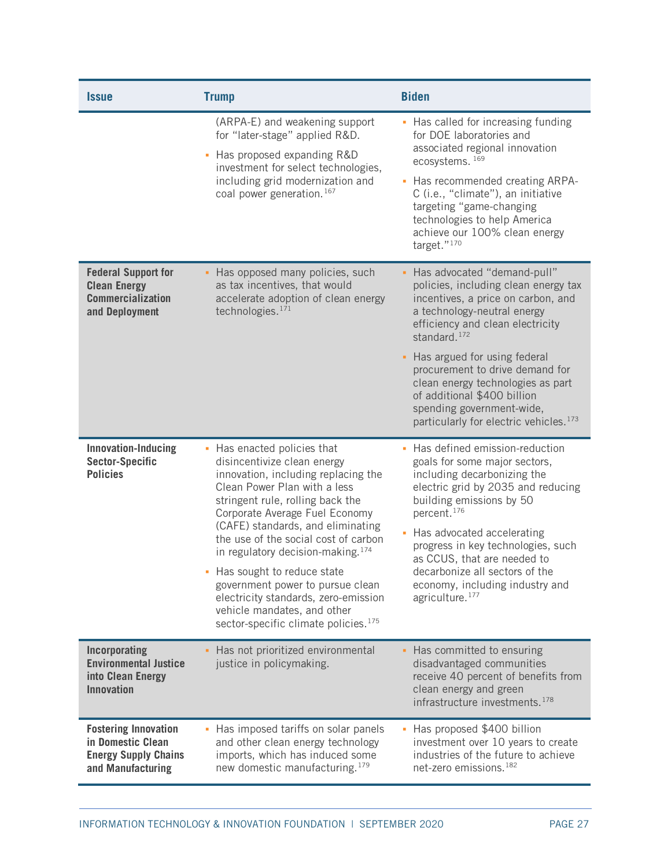| <i><b>Issue</b></i>                                                                                  | <b>Trump</b>                                                                                                                                                                                                                                                                                                                                                                                                                                                                                                                         | <b>Biden</b>                                                                                                                                                                                                                                                                                                                                                                                                                            |
|------------------------------------------------------------------------------------------------------|--------------------------------------------------------------------------------------------------------------------------------------------------------------------------------------------------------------------------------------------------------------------------------------------------------------------------------------------------------------------------------------------------------------------------------------------------------------------------------------------------------------------------------------|-----------------------------------------------------------------------------------------------------------------------------------------------------------------------------------------------------------------------------------------------------------------------------------------------------------------------------------------------------------------------------------------------------------------------------------------|
|                                                                                                      | (ARPA-E) and weakening support<br>for "later-stage" applied R&D.<br>- Has proposed expanding R&D<br>investment for select technologies,<br>including grid modernization and<br>coal power generation. <sup>167</sup>                                                                                                                                                                                                                                                                                                                 | • Has called for increasing funding<br>for DOE laboratories and<br>associated regional innovation<br>ecosystems. 169<br>Has recommended creating ARPA-<br>a,<br>C (i.e., "climate"), an initiative<br>targeting "game-changing<br>technologies to help America<br>achieve our 100% clean energy<br>target." $170$                                                                                                                       |
| <b>Federal Support for</b><br><b>Clean Energy</b><br><b>Commercialization</b><br>and Deployment      | • Has opposed many policies, such<br>as tax incentives, that would<br>accelerate adoption of clean energy<br>technologies. $171$                                                                                                                                                                                                                                                                                                                                                                                                     | Has advocated "demand-pull"<br>policies, including clean energy tax<br>incentives, a price on carbon, and<br>a technology-neutral energy<br>efficiency and clean electricity<br>standard. <sup>172</sup><br>Has argued for using federal<br>٠<br>procurement to drive demand for<br>clean energy technologies as part<br>of additional \$400 billion<br>spending government-wide,<br>particularly for electric vehicles. <sup>173</sup> |
| <b>Innovation-Inducing</b><br><b>Sector-Specific</b><br><b>Policies</b>                              | • Has enacted policies that<br>disincentivize clean energy<br>innovation, including replacing the<br>Clean Power Plan with a less<br>stringent rule, rolling back the<br>Corporate Average Fuel Economy<br>(CAFE) standards, and eliminating<br>the use of the social cost of carbon<br>in regulatory decision-making. <sup>174</sup><br>- Has sought to reduce state<br>government power to pursue clean<br>electricity standards, zero-emission<br>vehicle mandates, and other<br>sector-specific climate policies. <sup>175</sup> | Has defined emission-reduction<br>goals for some major sectors,<br>including decarbonizing the<br>electric grid by 2035 and reducing<br>building emissions by 50<br>percent. <sup>176</sup><br>Has advocated accelerating<br>×,<br>progress in key technologies, such<br>as CCUS, that are needed to<br>decarbonize all sectors of the<br>economy, including industry and<br>agriculture. <sup>177</sup>                                |
| Incorporating<br><b>Environmental Justice</b><br>into Clean Energy<br><b>Innovation</b>              | - Has not prioritized environmental<br>justice in policymaking.                                                                                                                                                                                                                                                                                                                                                                                                                                                                      | Has committed to ensuring<br>disadvantaged communities<br>receive 40 percent of benefits from<br>clean energy and green<br>infrastructure investments. <sup>178</sup>                                                                                                                                                                                                                                                                   |
| <b>Fostering Innovation</b><br>in Domestic Clean<br><b>Energy Supply Chains</b><br>and Manufacturing | • Has imposed tariffs on solar panels<br>and other clean energy technology<br>imports, which has induced some<br>new domestic manufacturing. <sup>179</sup>                                                                                                                                                                                                                                                                                                                                                                          | Has proposed \$400 billion<br>investment over 10 years to create<br>industries of the future to achieve<br>net-zero emissions. <sup>182</sup>                                                                                                                                                                                                                                                                                           |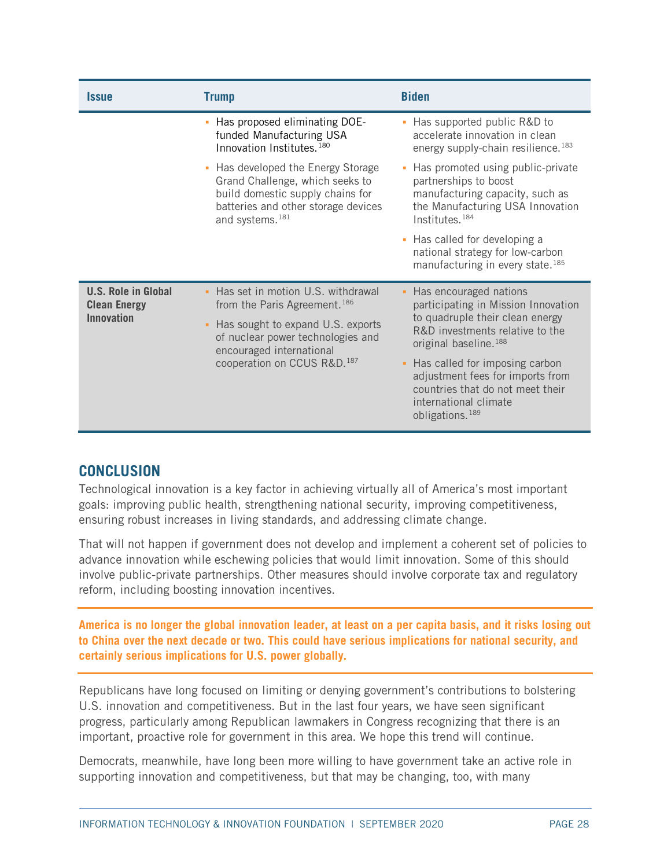| <i><b>Issue</b></i>                                                    | <b>Trump</b>                                                                                                                                                                                                            | <b>Biden</b>                                                                                                                                                                                                                                                                                                                                         |
|------------------------------------------------------------------------|-------------------------------------------------------------------------------------------------------------------------------------------------------------------------------------------------------------------------|------------------------------------------------------------------------------------------------------------------------------------------------------------------------------------------------------------------------------------------------------------------------------------------------------------------------------------------------------|
|                                                                        | - Has proposed eliminating DOE-<br>funded Manufacturing USA<br>Innovation Institutes. <sup>180</sup>                                                                                                                    | Has supported public R&D to<br>٠<br>accelerate innovation in clean<br>energy supply-chain resilience. <sup>183</sup>                                                                                                                                                                                                                                 |
|                                                                        | • Has developed the Energy Storage<br>Grand Challenge, which seeks to<br>build domestic supply chains for<br>batteries and other storage devices<br>and systems. <sup>181</sup>                                         | Has promoted using public-private<br>×<br>partnerships to boost<br>manufacturing capacity, such as<br>the Manufacturing USA Innovation<br>Institutes. <sup>184</sup>                                                                                                                                                                                 |
|                                                                        |                                                                                                                                                                                                                         | Has called for developing a<br>٠<br>national strategy for low-carbon<br>manufacturing in every state. <sup>185</sup>                                                                                                                                                                                                                                 |
| <b>U.S. Role in Global</b><br><b>Clean Energy</b><br><b>Innovation</b> | - Has set in motion U.S. withdrawal<br>from the Paris Agreement. <sup>186</sup><br>• Has sought to expand U.S. exports<br>of nuclear power technologies and<br>encouraged international<br>cooperation on CCUS R&D. 187 | Has encouraged nations<br>٠<br>participating in Mission Innovation<br>to quadruple their clean energy<br>R&D investments relative to the<br>original baseline. <sup>188</sup><br>Has called for imposing carbon<br>٠<br>adjustment fees for imports from<br>countries that do not meet their<br>international climate<br>obligations. <sup>189</sup> |

## <span id="page-27-0"></span>**CONCLUSION**

Technological innovation is a key factor in achieving virtually all of America's most important goals: improving public health, strengthening national security, improving competitiveness, ensuring robust increases in living standards, and addressing climate change.

That will not happen if government does not develop and implement a coherent set of policies to advance innovation while eschewing policies that would limit innovation. Some of this should involve public-private partnerships. Other measures should involve corporate tax and regulatory reform, including boosting innovation incentives.

**America is no longer the global innovation leader, at least on a per capita basis, and it risks losing out to China over the next decade or two. This could have serious implications for national security, and certainly serious implications for U.S. power globally.**

Republicans have long focused on limiting or denying government's contributions to bolstering U.S. innovation and competitiveness. But in the last four years, we have seen significant progress, particularly among Republican lawmakers in Congress recognizing that there is an important, proactive role for government in this area. We hope this trend will continue.

Democrats, meanwhile, have long been more willing to have government take an active role in supporting innovation and competitiveness, but that may be changing, too, with many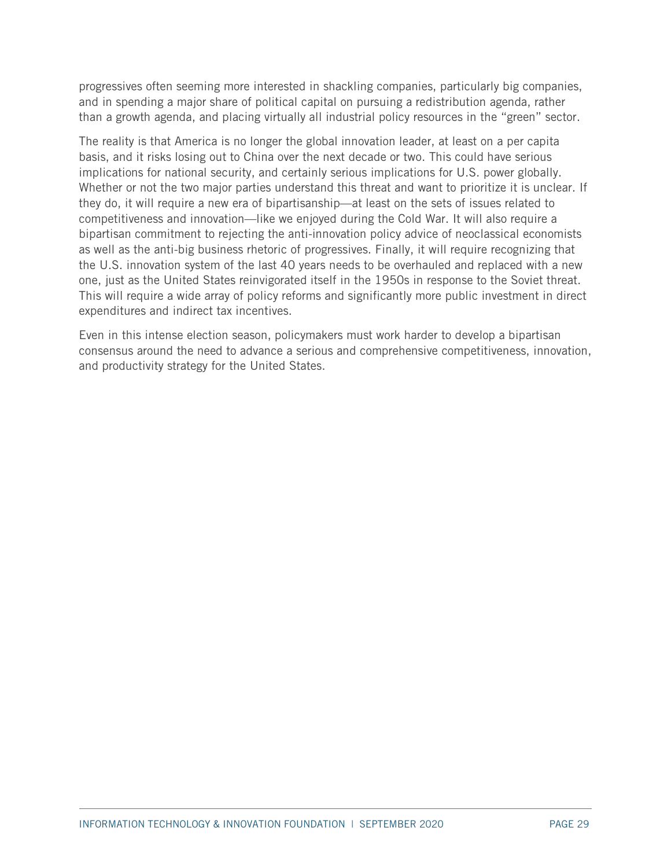progressives often seeming more interested in shackling companies, particularly big companies, and in spending a major share of political capital on pursuing a redistribution agenda, rather than a growth agenda, and placing virtually all industrial policy resources in the "green" sector.

The reality is that America is no longer the global innovation leader, at least on a per capita basis, and it risks losing out to China over the next decade or two. This could have serious implications for national security, and certainly serious implications for U.S. power globally. Whether or not the two major parties understand this threat and want to prioritize it is unclear. If they do, it will require a new era of bipartisanship—at least on the sets of issues related to competitiveness and innovation—like we enjoyed during the Cold War. It will also require a bipartisan commitment to rejecting the anti-innovation policy advice of neoclassical economists as well as the anti-big business rhetoric of progressives. Finally, it will require recognizing that the U.S. innovation system of the last 40 years needs to be overhauled and replaced with a new one, just as the United States reinvigorated itself in the 1950s in response to the Soviet threat. This will require a wide array of policy reforms and significantly more public investment in direct expenditures and indirect tax incentives.

Even in this intense election season, policymakers must work harder to develop a bipartisan consensus around the need to advance a serious and comprehensive competitiveness, innovation, and productivity strategy for the United States.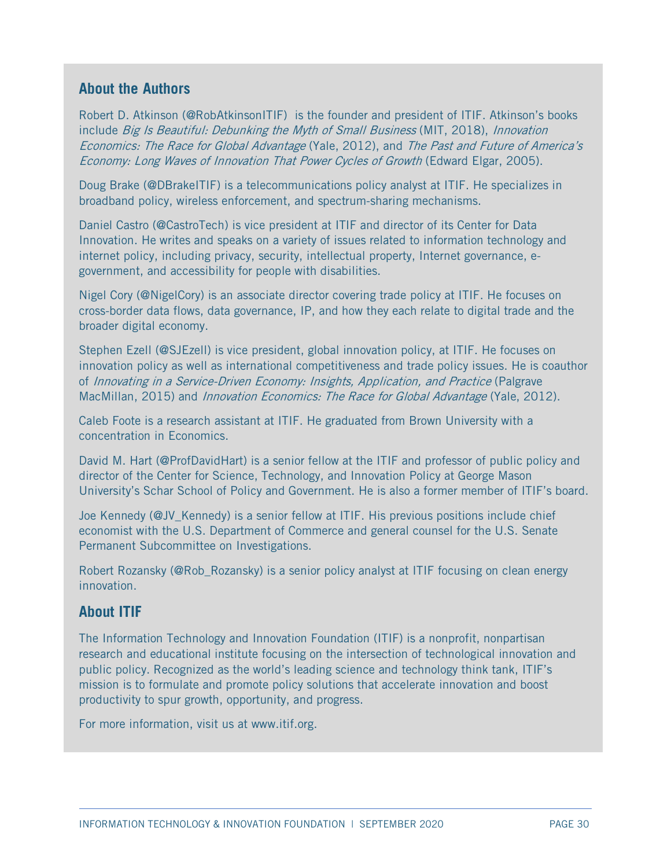# **About the Authors**

Robert D. Atkinson [\(@RobAtkinsonITIF\)](https://twitter.com/RobAtkinsonITIF) is the founder and president of ITIF. Atkinson's books include Big Is Beautiful: Debunking the Myth of Small Business (MIT, 2018), Innovation Economics: The Race for Global Advantage (Yale, 2012), and The Past and Future of America's Economy: Long Waves of Innovation That Power Cycles of Growth (Edward Elgar, 2005).

Doug Brake [\(@DBrakeITIF\)](https://twitter.com/dbrakeITIF) is a telecommunications policy analyst at ITIF. He specializes in broadband policy, wireless enforcement, and spectrum-sharing mechanisms.

Daniel Castro [\(@CastroTech\)](https://twitter.com/castrotech) is vice president at ITIF and director of its Center for Data Innovation. He writes and speaks on a variety of issues related to information technology and internet policy, including privacy, security, intellectual property, Internet governance, egovernment, and accessibility for people with disabilities.

Nigel Cory [\(@NigelCory\)](https://twitter.com/nigelcory) is an associate director covering trade policy at ITIF. He focuses on cross-border data flows, data governance, IP, and how they each relate to digital trade and the broader digital economy.

Stephen Ezell [\(@SJEzell\)](https://twitter.com/sjezell) is vice president, global innovation policy, at ITIF. He focuses on innovation policy as well as international competitiveness and trade policy issues. He is coauthor of Innovating in a Service-Driven Economy: Insights, Application, and Practice (Palgrave MacMillan, 2015) and *Innovation Economics: The Race for Global Advantage* (Yale, 2012).

Caleb Foote is a research assistant at ITIF. He graduated from Brown University with a concentration in Economics.

David M. Hart [\(@ProfDavidHart\)](https://twitter.com/profdavidhart) is a senior fellow at the ITIF and professor of public policy and director of the Center for Science, Technology, and Innovation Policy at George Mason University's Schar School of Policy and Government. He is also a former member of ITIF's board.

Joe Kennedy [\(@JV\\_Kennedy\)](https://twitter.com/JV_Kennedy) is a senior fellow at ITIF. His previous positions include chief economist with the U.S. Department of Commerce and general counsel for the U.S. Senate Permanent Subcommittee on Investigations.

Robert Rozansky [\(@Rob\\_Rozansky\)](https://twitter.com/rob_rozansky) is a senior policy analyst at ITIF focusing on clean energy innovation.

## **About ITIF**

The Information Technology and Innovation Foundation (ITIF) is a nonprofit, nonpartisan research and educational institute focusing on the intersection of technological innovation and public policy. Recognized as the world's leading science and technology think tank, ITIF's mission is to formulate and promote policy solutions that accelerate innovation and boost productivity to spur growth, opportunity, and progress.

For more information, visit us at [www.itif.org.](http://www.itif.org/)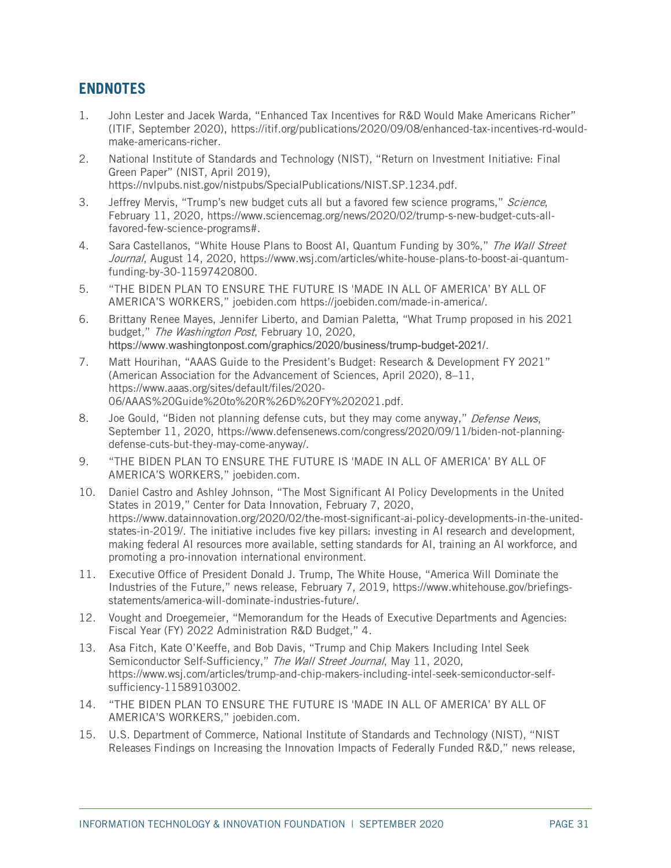# <span id="page-30-0"></span>**ENDNOTES**

- <span id="page-30-1"></span>1. John Lester and Jacek Warda, "Enhanced Tax Incentives for R&D Would Make Americans Richer" (ITIF, September 2020), https://itif.org/publications/2020/09/08/enhanced-tax-incentives-rd-wouldmake-americans-richer.
- <span id="page-30-2"></span>2. National Institute of Standards and Technology (NIST), "Return on Investment Initiative: Final Green Paper" (NIST, April 2019), [https://nvlpubs.nist.gov/nistpubs/SpecialPublications/NIST.SP.1234.pdf.](https://nvlpubs.nist.gov/nistpubs/SpecialPublications/NIST.SP.1234.pdf)
- <span id="page-30-3"></span>3. Jeffrey Mervis, "Trump's new budget cuts all but a favored few science programs," Science, February 11, 2020, [https://www.sciencemag.org/news/2020/02/trump-s-new-budget-cuts-all](https://www.sciencemag.org/news/2020/02/trump-s-new-budget-cuts-all-favored-few-science-programs)[favored-few-science-programs#.](https://www.sciencemag.org/news/2020/02/trump-s-new-budget-cuts-all-favored-few-science-programs)
- <span id="page-30-4"></span>4. Sara Castellanos, "White House Plans to Boost AI, Quantum Funding by 30%," The Wall Street Journal, August 14, 2020, [https://www.wsj.com/articles/white-house-plans-to-boost-ai-quantum](https://www.wsj.com/articles/white-house-plans-to-boost-ai-quantum-funding-by-30-11597420800)[funding-by-30-11597420800.](https://www.wsj.com/articles/white-house-plans-to-boost-ai-quantum-funding-by-30-11597420800)
- <span id="page-30-5"></span>5. "THE BIDEN PLAN TO ENSURE THE FUTURE IS 'MADE IN ALL OF AMERICA' BY ALL OF AMERICA'S WORKERS," joebiden.com [https://joebiden.com/made-in-america/.](https://joebiden.com/made-in-america/)
- <span id="page-30-6"></span>6. [Brittany Renee Mayes,](https://www.washingtonpost.com/people/brittany-renee-mayes/) Jennifer Liberto, and [Damian Paletta,](https://www.washingtonpost.com/people/damian-paletta) "What Trump proposed in his 2021 budget," The Washington Post, February 10, 2020, https://www.washingtonpost.com/graphics/2020/business/trump-budget-2021/.
- <span id="page-30-7"></span>7. Matt Hourihan, "AAAS Guide to the President's Budget: Research & Development FY 2021" (American Association for the Advancement of Sciences, April 2020), 8–11, https://www.aaas.org/sites/default/files/2020- 06/AAAS%20Guide%20to%20R%26D%20FY%202021.pdf.
- <span id="page-30-8"></span>8. Joe Gould, "Biden not planning defense cuts, but they may come anyway," Defense News, September 11, 2020, https://www.defensenews.com/congress/2020/09/11/biden-not-planningdefense-cuts-but-they-may-come-anyway/.
- <span id="page-30-9"></span>9. "THE BIDEN PLAN TO ENSURE THE FUTURE IS 'MADE IN ALL OF AMERICA' BY ALL OF AMERICA'S WORKERS," joebiden.com.
- <span id="page-30-10"></span>10. Daniel Castro and Ashley Johnson, "The Most Significant AI Policy Developments in the United States in 2019," Center for Data Innovation, February 7, 2020, [https://www.datainnovation.org/2020/02/the-most-significant-ai-policy-developments-in-the-united](https://www.datainnovation.org/2020/02/the-most-significant-ai-policy-developments-in-the-united-states-in-2019/)[states-in-2019/.](https://www.datainnovation.org/2020/02/the-most-significant-ai-policy-developments-in-the-united-states-in-2019/) The initiative includes five key pillars: investing in AI research and development, making federal AI resources more available, setting standards for AI, training an AI workforce, and promoting a pro-innovation international environment.
- <span id="page-30-11"></span>11. Executive Office of President Donald J. Trump, The White House, "America Will Dominate the Industries of the Future," news release, February 7, 2019, [https://www.whitehouse.gov/briefings](https://www.whitehouse.gov/briefings-statements/america-will-dominate-industries-future/)[statements/america-will-dominate-industries-future/.](https://www.whitehouse.gov/briefings-statements/america-will-dominate-industries-future/)
- <span id="page-30-12"></span>12. Vought and Droegemeier, "Memorandum for the Heads of Executive Departments and Agencies: Fiscal Year (FY) 2022 Administration R&D Budget," 4.
- <span id="page-30-13"></span>13. Asa Fitch, Kate O'Keeffe, and Bob Davis, "Trump and Chip Makers Including Intel Seek Semiconductor Self-Sufficiency," The Wall Street Journal, May 11, 2020, [https://www.wsj.com/articles/trump-and-chip-makers-including-intel-seek-semiconductor-self](https://www.wsj.com/articles/trump-and-chip-makers-including-intel-seek-semiconductor-self-sufficiency-11589103002)[sufficiency-11589103002.](https://www.wsj.com/articles/trump-and-chip-makers-including-intel-seek-semiconductor-self-sufficiency-11589103002)
- <span id="page-30-14"></span>14. "THE BIDEN PLAN TO ENSURE THE FUTURE IS 'MADE IN ALL OF AMERICA' BY ALL OF AMERICA'S WORKERS," joebiden.com.
- <span id="page-30-15"></span>15. U.S. Department of Commerce, National Institute of Standards and Technology (NIST), "NIST Releases Findings on Increasing the Innovation Impacts of Federally Funded R&D," news release,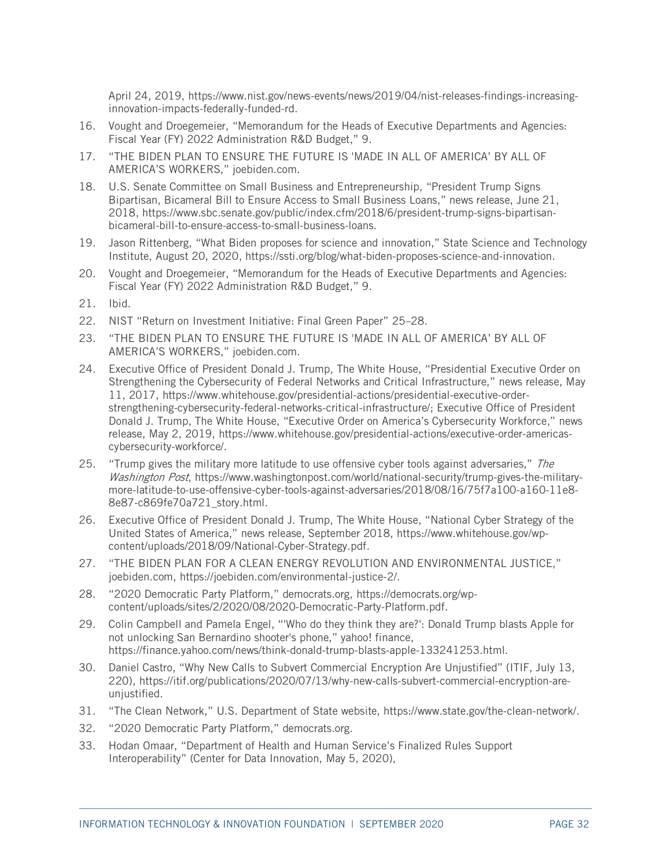April 24, 2019, [https://www.nist.gov/news-events/news/2019/04/nist-releases-findings-increasing](https://www.nist.gov/news-events/news/2019/04/nist-releases-findings-increasing-innovation-impacts-federally-funded-rd)[innovation-impacts-federally-funded-rd.](https://www.nist.gov/news-events/news/2019/04/nist-releases-findings-increasing-innovation-impacts-federally-funded-rd)

- <span id="page-31-0"></span>16. Vought and Droegemeier, "Memorandum for the Heads of Executive Departments and Agencies: Fiscal Year (FY) 2022 Administration R&D Budget," 9.
- <span id="page-31-1"></span>17. "THE BIDEN PLAN TO ENSURE THE FUTURE IS 'MADE IN ALL OF AMERICA' BY ALL OF AMERICA'S WORKERS," joebiden.com.
- <span id="page-31-2"></span>18. U.S. Senate Committee on Small Business and Entrepreneurship, "President Trump Signs Bipartisan, Bicameral Bill to Ensure Access to Small Business Loans," news release, June 21, 2018, [https://www.sbc.senate.gov/public/index.cfm/2018/6/president-trump-signs-bipartisan](https://www.sbc.senate.gov/public/index.cfm/2018/6/president-trump-signs-bipartisan-bicameral-bill-to-ensure-access-to-small-business-loans)[bicameral-bill-to-ensure-access-to-small-business-loans.](https://www.sbc.senate.gov/public/index.cfm/2018/6/president-trump-signs-bipartisan-bicameral-bill-to-ensure-access-to-small-business-loans)
- <span id="page-31-3"></span>19. Jason Rittenberg, "What Biden proposes for science and innovation," State Science and Technology Institute, August 20, 2020[, https://ssti.org/blog/what-biden-proposes-science-and-innovation.](https://ssti.org/blog/what-biden-proposes-science-and-innovation)
- <span id="page-31-4"></span>20. Vought and Droegemeier, "Memorandum for the Heads of Executive Departments and Agencies: Fiscal Year (FY) 2022 Administration R&D Budget," 9.
- <span id="page-31-5"></span>21. Ibid.
- <span id="page-31-6"></span>22. NIST "Return on Investment Initiative: Final Green Paper" 25–28.
- <span id="page-31-7"></span>23. "THE BIDEN PLAN TO ENSURE THE FUTURE IS 'MADE IN ALL OF AMERICA' BY ALL OF AMERICA'S WORKERS," joebiden.com.
- <span id="page-31-8"></span>24. Executive Office of President Donald J. Trump, The White House, "Presidential Executive Order on Strengthening the Cybersecurity of Federal Networks and Critical Infrastructure," news release, May 11, 2017, [https://www.whitehouse.gov/presidential-actions/presidential-executive-order](https://www.whitehouse.gov/presidential-actions/presidential-executive-order-strengthening-cybersecurity-federal-networks-critical-infrastructure/)[strengthening-cybersecurity-federal-networks-critical-infrastructure/;](https://www.whitehouse.gov/presidential-actions/presidential-executive-order-strengthening-cybersecurity-federal-networks-critical-infrastructure/) Executive Office of President Donald J. Trump, The White House, "Executive Order on America's Cybersecurity Workforce," news release, May 2, 2019, [https://www.whitehouse.gov/presidential-actions/executive-order-americas](https://www.whitehouse.gov/presidential-actions/executive-order-americas-cybersecurity-workforce/)[cybersecurity-workforce/.](https://www.whitehouse.gov/presidential-actions/executive-order-americas-cybersecurity-workforce/)
- <span id="page-31-9"></span>25. "Trump gives the military more latitude to use offensive cyber tools against adversaries," The Washington Post, [https://www.washingtonpost.com/world/national-security/trump-gives-the-military](https://www.washingtonpost.com/world/national-security/trump-gives-the-military-more-latitude-to-use-offensive-cyber-tools-against-adversaries/2018/08/16/75f7a100-a160-11e8-8e87-c869fe70a721_story.html)[more-latitude-to-use-offensive-cyber-tools-against-adversaries/2018/08/16/75f7a100-a160-11e8-](https://www.washingtonpost.com/world/national-security/trump-gives-the-military-more-latitude-to-use-offensive-cyber-tools-against-adversaries/2018/08/16/75f7a100-a160-11e8-8e87-c869fe70a721_story.html) [8e87-c869fe70a721\\_story.html.](https://www.washingtonpost.com/world/national-security/trump-gives-the-military-more-latitude-to-use-offensive-cyber-tools-against-adversaries/2018/08/16/75f7a100-a160-11e8-8e87-c869fe70a721_story.html)
- <span id="page-31-10"></span>26. Executive Office of President Donald J. Trump, The White House, "National Cyber Strategy of the United States of America," news release, September 2018, [https://www.whitehouse.gov/wp](https://www.whitehouse.gov/wp-content/uploads/2018/09/National-Cyber-Strategy.pdf)[content/uploads/2018/09/National-Cyber-Strategy.pdf.](https://www.whitehouse.gov/wp-content/uploads/2018/09/National-Cyber-Strategy.pdf)
- <span id="page-31-11"></span>27. "THE BIDEN PLAN FOR A CLEAN ENERGY REVOLUTION AND ENVIRONMENTAL JUSTICE," joebiden.com, [https://joebiden.com/environmental-justice-2/.](https://joebiden.com/environmental-justice-2/)
- <span id="page-31-12"></span>28. "2020 Democratic Party Platform," democrats.org, [https://democrats.org/wp](https://democrats.org/wp-content/uploads/sites/2/2020/08/2020-Democratic-Party-Platform.pdf)[content/uploads/sites/2/2020/08/2020-Democratic-Party-Platform.pdf.](https://democrats.org/wp-content/uploads/sites/2/2020/08/2020-Democratic-Party-Platform.pdf)
- <span id="page-31-13"></span>29. Colin Campbell and Pamela Engel, "'Who do they think they are?': Donald Trump blasts Apple for not unlocking San Bernardino shooter's phone," yahoo! finance, [https://finance.yahoo.com/news/think-donald-trump-blasts-apple-133241253.html.](https://finance.yahoo.com/news/think-donald-trump-blasts-apple-133241253.html)
- <span id="page-31-14"></span>30. Daniel Castro, "Why New Calls to Subvert Commercial Encryption Are Unjustified" (ITIF, July 13, 220), [https://itif.org/publications/2020/07/13/why-new-calls-subvert-commercial-encryption-are](https://itif.org/publications/2020/07/13/why-new-calls-subvert-commercial-encryption-are-unjustified)[unjustified.](https://itif.org/publications/2020/07/13/why-new-calls-subvert-commercial-encryption-are-unjustified)
- <span id="page-31-15"></span>31. "The Clean Network," U.S. Department of State website, https://www.state.gov/the-clean-network/.
- <span id="page-31-16"></span>32. "2020 Democratic Party Platform," democrats.org.
- <span id="page-31-17"></span>33. Hodan Omaar, "Department of Health and Human Service's Finalized Rules Support Interoperability" (Center for Data Innovation, May 5, 2020),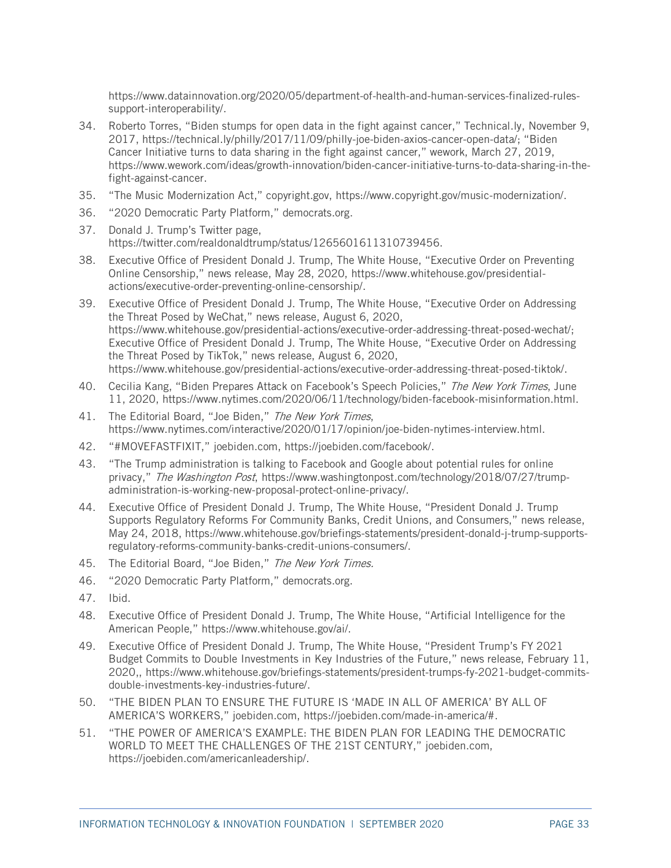[https://www.datainnovation.org/2020/05/department-of-health-and-human-services-finalized-rules](https://www.datainnovation.org/2020/05/department-of-health-and-human-services-finalized-rules-support-interoperability/)[support-interoperability/.](https://www.datainnovation.org/2020/05/department-of-health-and-human-services-finalized-rules-support-interoperability/)

- <span id="page-32-0"></span>34. Roberto Torres, "Biden stumps for open data in the fight against cancer," Technical.ly, November 9, 2017, [https://technical.ly/philly/2017/11/09/philly-joe-biden-axios-cancer-open-data/;](https://technical.ly/philly/2017/11/09/philly-joe-biden-axios-cancer-open-data/) "Biden Cancer Initiative turns to data sharing in the fight against cancer," wework, March 27, 2019, [https://www.wework.com/ideas/growth-innovation/biden-cancer-initiative-turns-to-data-sharing-in-the](https://www.wework.com/ideas/growth-innovation/biden-cancer-initiative-turns-to-data-sharing-in-the-fight-against-cancer)[fight-against-cancer.](https://www.wework.com/ideas/growth-innovation/biden-cancer-initiative-turns-to-data-sharing-in-the-fight-against-cancer)
- <span id="page-32-1"></span>35. "The Music Modernization Act," copyright.gov, [https://www.copyright.gov/music-modernization/.](https://www.copyright.gov/music-modernization/)
- <span id="page-32-2"></span>36. "2020 Democratic Party Platform," democrats.org.
- <span id="page-32-3"></span>37. Donald J. Trump's Twitter page, [https://twitter.com/realdonaldtrump/status/1265601611310739456.](https://twitter.com/realdonaldtrump/status/1265601611310739456)
- <span id="page-32-4"></span>38. Executive Office of President Donald J. Trump, The White House, "Executive Order on Preventing Online Censorship," news release, May 28, 2020, [https://www.whitehouse.gov/presidential](https://www.whitehouse.gov/presidential-actions/executive-order-preventing-online-censorship/)[actions/executive-order-preventing-online-censorship/.](https://www.whitehouse.gov/presidential-actions/executive-order-preventing-online-censorship/)
- <span id="page-32-7"></span>39. Executive Office of President Donald J. Trump, The White House, "Executive Order on Addressing the Threat Posed by WeChat," news release, August 6, 2020, [https://www.whitehouse.gov/presidential-actions/executive-order-addressing-threat-posed-wechat/;](https://www.whitehouse.gov/presidential-actions/executive-order-addressing-threat-posed-wechat/) Executive Office of President Donald J. Trump, The White House, "Executive Order on Addressing the Threat Posed by TikTok," news release, August 6, 2020, [https://www.whitehouse.gov/presidential-actions/executive-order-addressing-threat-posed-tiktok/.](https://www.whitehouse.gov/presidential-actions/executive-order-addressing-threat-posed-tiktok/)
- <span id="page-32-5"></span>40. Cecilia Kang, "Biden Prepares Attack on Facebook's Speech Policies," The New York Times, June 11, 2020, https://www.nytimes.com/2020/06/11/technology/biden-facebook-misinformation.html.
- <span id="page-32-6"></span>41. The Editorial Board, "Joe Biden," The New York Times, [https://www.nytimes.com/interactive/2020/01/17/opinion/joe-biden-nytimes-interview.html.](https://www.nytimes.com/interactive/2020/01/17/opinion/joe-biden-nytimes-interview.html)
- <span id="page-32-8"></span>42. "#MOVEFASTFIXIT," joebiden.com, https://joebiden.com/facebook/.
- <span id="page-32-9"></span>43. "The Trump administration is talking to Facebook and Google about potential rules for online privacy," The Washington Post, [https://www.washingtonpost.com/technology/2018/07/27/trump](https://www.washingtonpost.com/technology/2018/07/27/trump-administration-is-working-new-proposal-protect-online-privacy/)[administration-is-working-new-proposal-protect-online-privacy/.](https://www.washingtonpost.com/technology/2018/07/27/trump-administration-is-working-new-proposal-protect-online-privacy/)
- <span id="page-32-10"></span>44. Executive Office of President Donald J. Trump, The White House, "President Donald J. Trump Supports Regulatory Reforms For Community Banks, Credit Unions, and Consumers," news release, May 24, 2018[, https://www.whitehouse.gov/briefings-statements/president-donald-j-trump-supports](https://www.whitehouse.gov/briefings-statements/president-donald-j-trump-supports-regulatory-reforms-community-banks-credit-unions-consumers/)[regulatory-reforms-community-banks-credit-unions-consumers/.](https://www.whitehouse.gov/briefings-statements/president-donald-j-trump-supports-regulatory-reforms-community-banks-credit-unions-consumers/)
- <span id="page-32-11"></span>45. The Editorial Board, "Joe Biden," The New York Times.
- <span id="page-32-12"></span>46. "2020 Democratic Party Platform," democrats.org.
- <span id="page-32-13"></span>47. Ibid.
- <span id="page-32-14"></span>48. Executive Office of President Donald J. Trump, The White House, "Artificial Intelligence for the American People," [https://www.whitehouse.gov/ai/.](https://www.whitehouse.gov/ai/)
- <span id="page-32-15"></span>49. Executive Office of President Donald J. Trump, The White House, "President Trump's FY 2021 Budget Commits to Double Investments in Key Industries of the Future," news release, February 11, 2020,, https://www.whitehouse.gov/briefings-statements/president-trumps-fy-2021-budget-commitsdouble-investments-key-industries-future/.
- <span id="page-32-16"></span>50. "THE BIDEN PLAN TO ENSURE THE FUTURE IS 'MADE IN ALL OF AMERICA' BY ALL OF AMERICA'S WORKERS," joebiden.com, [https://joebiden.com/made-in-america/#.](https://joebiden.com/made-in-america/)
- <span id="page-32-17"></span>51. "THE POWER OF AMERICA'S EXAMPLE: THE BIDEN PLAN FOR LEADING THE DEMOCRATIC WORLD TO MEET THE CHALLENGES OF THE 21ST CENTURY," joebiden.com, [https://joebiden.com/americanleadership/.](https://joebiden.com/americanleadership/)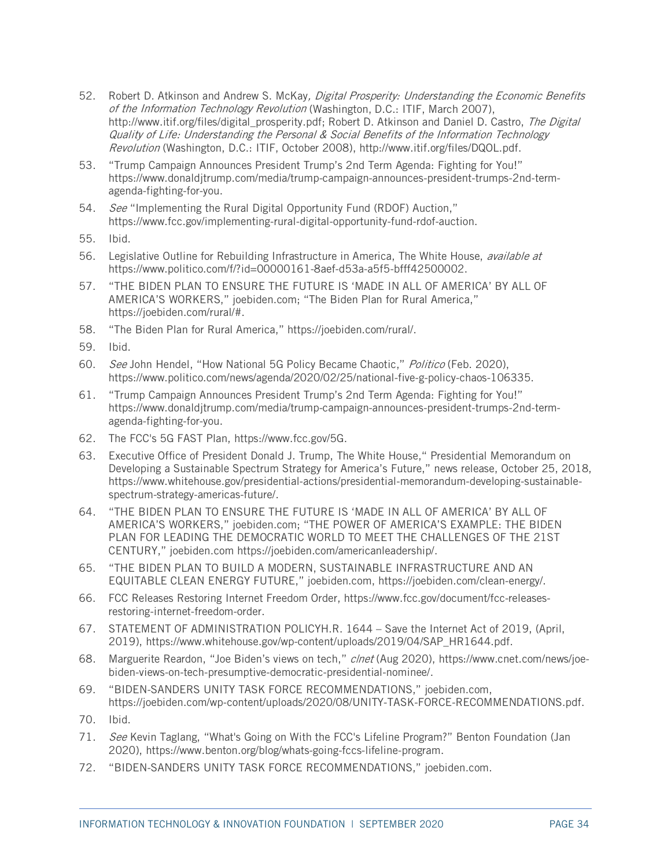- <span id="page-33-0"></span>52. Robert D. Atkinson and Andrew S. McKay, Digital Prosperity: Understanding the Economic Benefits of the Information Technology Revolution (Washington, D.C.: ITIF, March 2007), http://www.itif.org/files/digital\_prosperity.pdf: Robert D. Atkinson and Daniel D. Castro, The Digital Quality of Life: Understanding the Personal & Social Benefits of the Information Technology Revolution (Washington, D.C.: ITIF, October 2008), http://www.itif.org/files/DQOL.pdf.
- <span id="page-33-1"></span>53. "Trump Campaign Announces President Trump's 2nd Term Agenda: Fighting for You!" [https://www.donaldjtrump.com/media/trump-campaign-announces-president-trumps-2nd-term](https://www.donaldjtrump.com/media/trump-campaign-announces-president-trumps-2nd-term-agenda-fighting-for-you)[agenda-fighting-for-you.](https://www.donaldjtrump.com/media/trump-campaign-announces-president-trumps-2nd-term-agenda-fighting-for-you)
- <span id="page-33-2"></span>54. See "Implementing the Rural Digital Opportunity Fund (RDOF) Auction," https://www.fcc.gov/implementing-rural-digital-opportunity-fund-rdof-auction.
- <span id="page-33-3"></span>55. Ibid.
- <span id="page-33-4"></span>56. Legislative Outline for Rebuilding Infrastructure in America, The White House, *available at* [https://www.politico.com/f/?id=00000161-8aef-d53a-a5f5-bfff42500002.](https://www.politico.com/f/?id=00000161-8aef-d53a-a5f5-bfff42500002)
- <span id="page-33-5"></span>57. "THE BIDEN PLAN TO ENSURE THE FUTURE IS 'MADE IN ALL OF AMERICA' BY ALL OF AMERICA'S WORKERS," joebiden.com; "The Biden Plan for Rural America," https://joebiden.com/rural/#.
- <span id="page-33-6"></span>58. "The Biden Plan for Rural America," https://joebiden.com/rural/.
- <span id="page-33-7"></span>59. Ibid.
- <span id="page-33-8"></span>60. See John Hendel, "How National 5G Policy Became Chaotic," Politico (Feb. 2020), [https://www.politico.com/news/agenda/2020/02/25/national-five-g-policy-chaos-106335.](https://www.politico.com/news/agenda/2020/02/25/national-five-g-policy-chaos-106335)
- <span id="page-33-11"></span>61. "Trump Campaign Announces President Trump's 2nd Term Agenda: Fighting for You!" [https://www.donaldjtrump.com/media/trump-campaign-announces-president-trumps-2nd-term](https://www.donaldjtrump.com/media/trump-campaign-announces-president-trumps-2nd-term-agenda-fighting-for-you)[agenda-fighting-for-you.](https://www.donaldjtrump.com/media/trump-campaign-announces-president-trumps-2nd-term-agenda-fighting-for-you)
- <span id="page-33-12"></span>62. The FCC's 5G FAST Plan, [https://www.fcc.gov/5G.](https://www.fcc.gov/5G)
- <span id="page-33-13"></span>63. Executive Office of President Donald J. Trump, The White House," Presidential Memorandum on Developing a Sustainable Spectrum Strategy for America's Future," news release, October 25, 2018, [https://www.whitehouse.gov/presidential-actions/presidential-memorandum-developing-sustainable](https://www.whitehouse.gov/presidential-actions/presidential-memorandum-developing-sustainable-spectrum-strategy-americas-future/)[spectrum-strategy-americas-future/.](https://www.whitehouse.gov/presidential-actions/presidential-memorandum-developing-sustainable-spectrum-strategy-americas-future/)
- <span id="page-33-9"></span>64. "THE BIDEN PLAN TO ENSURE THE FUTURE IS 'MADE IN ALL OF AMERICA' BY ALL OF AMERICA'S WORKERS," joebiden.com; "THE POWER OF AMERICA'S EXAMPLE: THE BIDEN PLAN FOR LEADING THE DEMOCRATIC WORLD TO MEET THE CHALLENGES OF THE 21ST CENTURY," joebiden.com https://joebiden.com/americanleadership/.
- <span id="page-33-10"></span>65. "THE BIDEN PLAN TO BUILD A MODERN, SUSTAINABLE INFRASTRUCTURE AND AN EQUITABLE CLEAN ENERGY FUTURE," joebiden.com, [https://joebiden.com/clean-energy/.](https://joebiden.com/clean-energy/)
- <span id="page-33-14"></span>66. FCC Releases Restoring Internet Freedom Order, [https://www.fcc.gov/document/fcc-releases](https://www.fcc.gov/document/fcc-releases-restoring-internet-freedom-order)[restoring-internet-freedom-order.](https://www.fcc.gov/document/fcc-releases-restoring-internet-freedom-order)
- <span id="page-33-15"></span>67. STATEMENT OF ADMINISTRATION POLICYH.R. 1644 – Save the Internet Act of 2019, (April, 2019), [https://www.whitehouse.gov/wp-content/uploads/2019/04/SAP\\_HR1644.pdf.](https://www.whitehouse.gov/wp-content/uploads/2019/04/SAP_HR1644.pdf)
- <span id="page-33-16"></span>68. Marguerite Reardon, "Joe Biden's views on tech," clnet (Aug 2020), [https://www.cnet.com/news/joe](https://www.cnet.com/news/joe-biden-views-on-tech-presumptive-democratic-presidential-nominee/)[biden-views-on-tech-presumptive-democratic-presidential-nominee/.](https://www.cnet.com/news/joe-biden-views-on-tech-presumptive-democratic-presidential-nominee/)
- <span id="page-33-17"></span>69. "BIDEN-SANDERS UNITY TASK FORCE RECOMMENDATIONS," joebiden.com, [https://joebiden.com/wp-content/uploads/2020/08/UNITY-TASK-FORCE-RECOMMENDATIONS.pdf.](https://joebiden.com/wp-content/uploads/2020/08/UNITY-TASK-FORCE-RECOMMENDATIONS.pdf)
- <span id="page-33-18"></span>70. Ibid.
- <span id="page-33-19"></span>71. *See* Kevin Taglang, "What's Going on With the FCC's Lifeline Program?" Benton Foundation (Jan 2020), [https://www.benton.org/blog/whats-going-fccs-lifeline-program.](https://www.benton.org/blog/whats-going-fccs-lifeline-program)
- <span id="page-33-20"></span>72. "BIDEN-SANDERS UNITY TASK FORCE RECOMMENDATIONS," joebiden.com.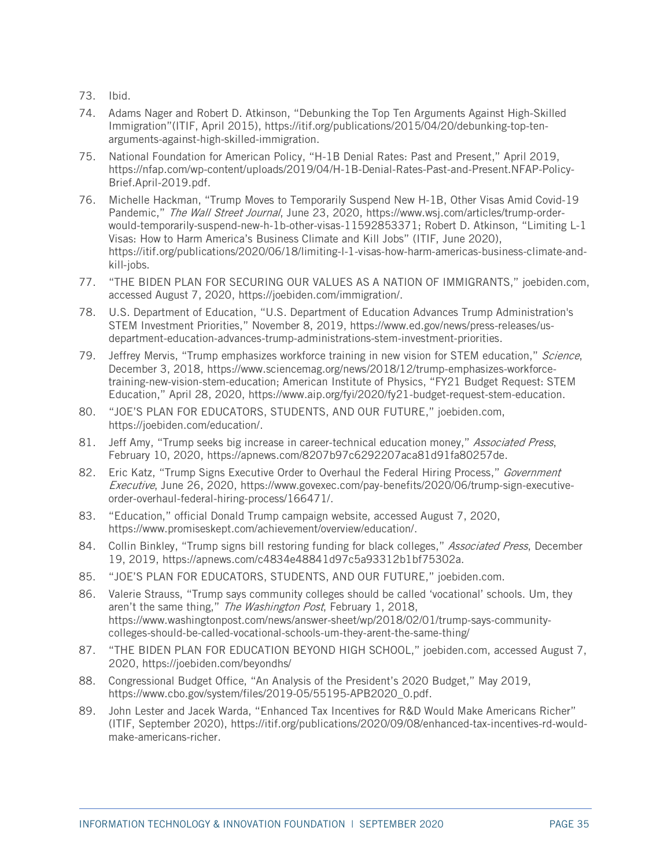- <span id="page-34-0"></span>73. Ibid.
- <span id="page-34-1"></span>74. Adams Nager and Robert D. Atkinson, "Debunking the Top Ten Arguments Against High-Skilled Immigration"(ITIF, April 2015), [https://itif.org/publications/2015/04/20/debunking-top-ten](https://itif.org/publications/2015/04/20/debunking-top-ten-arguments-against-high-skilled-immigration)[arguments-against-high-skilled-immigration.](https://itif.org/publications/2015/04/20/debunking-top-ten-arguments-against-high-skilled-immigration)
- <span id="page-34-2"></span>75. National Foundation for American Policy, "H-1B Denial Rates: Past and Present," April 2019, https://nfap.com/wp-content/uploads/2019/04/H-1B-Denial-Rates-Past-and-Present.NFAP-Policy-Brief.April-2019.pdf.
- <span id="page-34-3"></span>76. Michelle Hackman, "Trump Moves to Temporarily Suspend New H-1B, Other Visas Amid Covid-19 Pandemic," The Wall Street Journal, June 23, 2020, [https://www.wsj.com/articles/trump-order](https://www.wsj.com/articles/trump-order-would-temporarily-suspend-new-h-1b-other-visas-11592853371)[would-temporarily-suspend-new-h-1b-other-visas-11592853371;](https://www.wsj.com/articles/trump-order-would-temporarily-suspend-new-h-1b-other-visas-11592853371) Robert D. Atkinson, "Limiting L-1 Visas: How to Harm America's Business Climate and Kill Jobs" (ITIF, June 2020), https://itif.org/publications/2020/06/18/limiting-l-1-visas-how-harm-americas-business-climate-andkill-jobs.
- <span id="page-34-4"></span>77. "THE BIDEN PLAN FOR SECURING OUR VALUES AS A NATION OF IMMIGRANTS," joebiden.com, accessed August 7, 2020, https://joebiden.com/immigration/.
- <span id="page-34-5"></span>78. U.S. Department of Education, "U.S. Department of Education Advances Trump Administration's STEM Investment Priorities," November 8, 2019, https://www.ed.gov/news/press-releases/usdepartment-education-advances-trump-administrations-stem-investment-priorities.
- <span id="page-34-7"></span>79. Jeffrey Mervis, "Trump emphasizes workforce training in new vision for STEM education," Science, December 3, 2018, [https://www.sciencemag.org/news/2018/12/trump-emphasizes-workforce](https://www.sciencemag.org/news/2018/12/trump-emphasizes-workforce-training-new-vision-stem-education)[training-new-vision-stem-education;](https://www.sciencemag.org/news/2018/12/trump-emphasizes-workforce-training-new-vision-stem-education) American Institute of Physics, "FY21 Budget Request: STEM Education," April 28, 2020, https://www.aip.org/fyi/2020/fy21-budget-request-stem-education.
- <span id="page-34-6"></span>80. "JOE'S PLAN FOR EDUCATORS, STUDENTS, AND OUR FUTURE," joebiden.com, [https://joebiden.com/education/.](https://joebiden.com/education/)
- <span id="page-34-8"></span>81. Jeff Amy, "Trump seeks big increase in career-technical education money," *Associated Press*, February 10, 2020, https://apnews.com/8207b97c6292207aca81d91fa80257de.
- <span id="page-34-9"></span>82. Eric Katz, "Trump Signs Executive Order to Overhaul the Federal Hiring Process," Government Executive, June 26, 2020, [https://www.govexec.com/pay-benefits/2020/06/trump-sign-executive](https://www.govexec.com/pay-benefits/2020/06/trump-sign-executive-order-overhaul-federal-hiring-process/166471/)[order-overhaul-federal-hiring-process/166471/.](https://www.govexec.com/pay-benefits/2020/06/trump-sign-executive-order-overhaul-federal-hiring-process/166471/)
- <span id="page-34-10"></span>83. "Education," official Donald Trump campaign website, accessed August 7, 2020, https://www.promiseskept.com/achievement/overview/education/.
- <span id="page-34-11"></span>84. Collin Binkley, "Trump signs bill restoring funding for black colleges," Associated Press, December 19, 2019, https://apnews.com/c4834e48841d97c5a93312b1bf75302a.
- <span id="page-34-12"></span>85. "JOE'S PLAN FOR EDUCATORS, STUDENTS, AND OUR FUTURE," joebiden.com.
- <span id="page-34-13"></span>86. Valerie Strauss, "Trump says community colleges should be called 'vocational' schools. Um, they aren't the same thing," The Washington Post, February 1, 2018, [https://www.washingtonpost.com/news/answer-sheet/wp/2018/02/01/trump-says-community](https://www.washingtonpost.com/news/answer-sheet/wp/2018/02/01/trump-says-community-colleges-should-be-called-vocational-schools-um-they-arent-the-same-thing/)[colleges-should-be-called-vocational-schools-um-they-arent-the-same-thing/](https://www.washingtonpost.com/news/answer-sheet/wp/2018/02/01/trump-says-community-colleges-should-be-called-vocational-schools-um-they-arent-the-same-thing/)
- <span id="page-34-14"></span>87. "THE BIDEN PLAN FOR EDUCATION BEYOND HIGH SCHOOL," joebiden.com, accessed August 7, 2020, https://joebiden.com/beyondhs/
- <span id="page-34-15"></span>88. Congressional Budget Office, "An Analysis of the President's 2020 Budget," May 2019, [https://www.cbo.gov/system/files/2019-05/55195-APB2020\\_0.pdf.](https://www.cbo.gov/system/files/2019-05/55195-APB2020_0.pdf)
- <span id="page-34-16"></span>89. John Lester and Jacek Warda, "Enhanced Tax Incentives for R&D Would Make Americans Richer" (ITIF, September 2020), [https://itif.org/publications/2020/09/08/enhanced-tax-incentives-rd-would](https://itif.org/publications/2020/09/08/enhanced-tax-incentives-rd-would-make-americans-richer)[make-americans-richer.](https://itif.org/publications/2020/09/08/enhanced-tax-incentives-rd-would-make-americans-richer)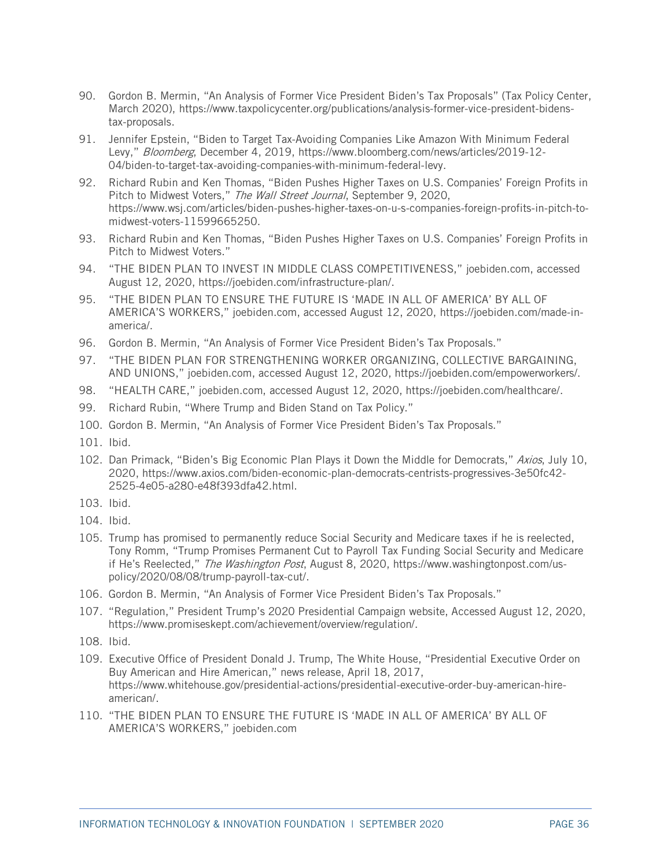- <span id="page-35-0"></span>90. Gordon B. Mermin, "An Analysis of Former Vice President Biden's Tax Proposals" (Tax Policy Center, March 2020), [https://www.taxpolicycenter.org/publications/analysis-former-vice-president-bidens](https://www.taxpolicycenter.org/publications/analysis-former-vice-president-bidens-tax-proposals)[tax-proposals.](https://www.taxpolicycenter.org/publications/analysis-former-vice-president-bidens-tax-proposals)
- <span id="page-35-1"></span>91. Jennifer Epstein, "Biden to Target Tax-Avoiding Companies Like Amazon With Minimum Federal Levy," Bloomberg, December 4, 2019, [https://www.bloomberg.com/news/articles/2019-12-](https://www.bloomberg.com/news/articles/2019-12-04/biden-to-target-tax-avoiding-companies-with-minimum-federal-levy) [04/biden-to-target-tax-avoiding-companies-with-minimum-federal-levy.](https://www.bloomberg.com/news/articles/2019-12-04/biden-to-target-tax-avoiding-companies-with-minimum-federal-levy)
- <span id="page-35-2"></span>92. Richard Rubin and Ken Thomas, "Biden Pushes Higher Taxes on U.S. Companies' Foreign Profits in Pitch to Midwest Voters," The Wall Street Journal, September 9, 2020, [https://www.wsj.com/articles/biden-pushes-higher-taxes-on-u-s-companies-foreign-profits-in-pitch-to](https://www.wsj.com/articles/biden-pushes-higher-taxes-on-u-s-companies-foreign-profits-in-pitch-to-midwest-voters-11599665250)[midwest-voters-11599665250.](https://www.wsj.com/articles/biden-pushes-higher-taxes-on-u-s-companies-foreign-profits-in-pitch-to-midwest-voters-11599665250)
- <span id="page-35-3"></span>93. Richard Rubin and Ken Thomas, "Biden Pushes Higher Taxes on U.S. Companies' Foreign Profits in Pitch to Midwest Voters."
- <span id="page-35-4"></span>94. "THE BIDEN PLAN TO INVEST IN MIDDLE CLASS COMPETITIVENESS," joebiden.com, accessed August 12, 2020, [https://joebiden.com/infrastructure-plan/.](https://joebiden.com/infrastructure-plan/)
- <span id="page-35-5"></span>95. "THE BIDEN PLAN TO ENSURE THE FUTURE IS 'MADE IN ALL OF AMERICA' BY ALL OF AMERICA'S WORKERS," joebiden.com, accessed August 12, 2020, [https://joebiden.com/made-in](https://joebiden.com/made-in-america/)[america/.](https://joebiden.com/made-in-america/)
- <span id="page-35-6"></span>96. Gordon B. Mermin, "An Analysis of Former Vice President Biden's Tax Proposals."
- <span id="page-35-7"></span>97. "THE BIDEN PLAN FOR STRENGTHENING WORKER ORGANIZING, COLLECTIVE BARGAINING, AND UNIONS," joebiden.com, accessed August 12, 2020, [https://joebiden.com/empowerworkers/.](https://joebiden.com/empowerworkers/)
- <span id="page-35-8"></span>98. "HEALTH CARE," joebiden.com, accessed August 12, 2020, [https://joebiden.com/healthcare/.](https://joebiden.com/healthcare/)
- <span id="page-35-9"></span>99. Richard Rubin, "Where Trump and Biden Stand on Tax Policy."
- <span id="page-35-10"></span>100. Gordon B. Mermin, "An Analysis of Former Vice President Biden's Tax Proposals."
- <span id="page-35-11"></span>101. Ibid.
- <span id="page-35-12"></span>102. Dan Primack, "Biden's Big Economic Plan Plays it Down the Middle for Democrats," Axios, July 10, 2020, [https://www.axios.com/biden-economic-plan-democrats-centrists-progressives-3e50fc42-](https://www.axios.com/biden-economic-plan-democrats-centrists-progressives-3e50fc42-2525-4e05-a280-e48f393dfa42.html) [2525-4e05-a280-e48f393dfa42.html.](https://www.axios.com/biden-economic-plan-democrats-centrists-progressives-3e50fc42-2525-4e05-a280-e48f393dfa42.html)
- <span id="page-35-13"></span>103. Ibid.
- <span id="page-35-14"></span>104. Ibid.
- <span id="page-35-15"></span>105. Trump has promised to permanently reduce Social Security and Medicare taxes if he is reelected, Tony Romm, "Trump Promises Permanent Cut to Payroll Tax Funding Social Security and Medicare if He's Reelected," The Washington Post, August 8, 2020, [https://www.washingtonpost.com/us](https://www.washingtonpost.com/us-policy/2020/08/08/trump-payroll-tax-cut/)[policy/2020/08/08/trump-payroll-tax-cut/.](https://www.washingtonpost.com/us-policy/2020/08/08/trump-payroll-tax-cut/)
- <span id="page-35-16"></span>106. Gordon B. Mermin, "An Analysis of Former Vice President Biden's Tax Proposals."
- <span id="page-35-17"></span>107. "Regulation," President Trump's 2020 Presidential Campaign website, Accessed August 12, 2020, [https://www.promiseskept.com/achievement/overview/regulation/.](https://www.promiseskept.com/achievement/overview/regulation/)
- <span id="page-35-18"></span>108. Ibid.
- <span id="page-35-19"></span>109. Executive Office of President Donald J. Trump, The White House, "Presidential Executive Order on Buy American and Hire American," news release, April 18, 2017, [https://www.whitehouse.gov/presidential-actions/presidential-executive-order-buy-american-hire](https://www.whitehouse.gov/presidential-actions/presidential-executive-order-buy-american-hire-american/)[american/.](https://www.whitehouse.gov/presidential-actions/presidential-executive-order-buy-american-hire-american/)
- <span id="page-35-20"></span>110. "THE BIDEN PLAN TO ENSURE THE FUTURE IS 'MADE IN ALL OF AMERICA' BY ALL OF AMERICA'S WORKERS," joebiden.com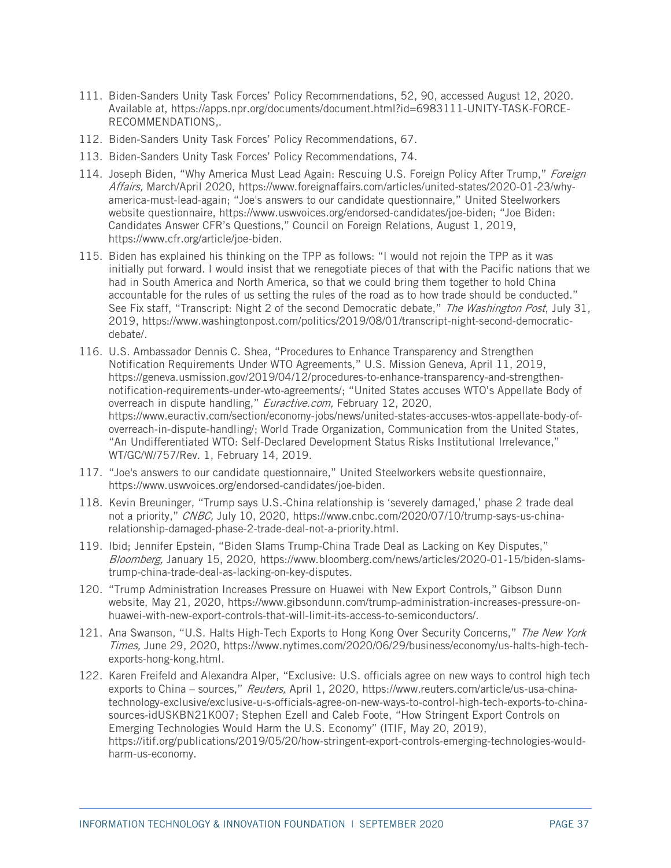- <span id="page-36-0"></span>111. Biden-Sanders Unity Task Forces' Policy Recommendations, 52, 90, accessed August 12, 2020. Available at, [https://apps.npr.org/documents/document.html?id=6983111-UNITY-TASK-FORCE-](https://apps.npr.org/documents/document.html?id=6983111-UNITY-TASK-FORCE-RECOMMENDATIONS)[RECOMMENDATIONS,](https://apps.npr.org/documents/document.html?id=6983111-UNITY-TASK-FORCE-RECOMMENDATIONS).
- <span id="page-36-1"></span>112. Biden-Sanders Unity Task Forces' Policy Recommendations, 67.
- <span id="page-36-2"></span>113. Biden-Sanders Unity Task Forces' Policy Recommendations, 74.
- <span id="page-36-3"></span>114. Joseph Biden, "Why America Must Lead Again: Rescuing U.S. Foreign Policy After Trump," Foreign Affairs, March/April 2020, [https://www.foreignaffairs.com/articles/united-states/2020-01-23/why](https://www.foreignaffairs.com/articles/united-states/2020-01-23/why-america-must-lead-again)[america-must-lead-again;](https://www.foreignaffairs.com/articles/united-states/2020-01-23/why-america-must-lead-again) "Joe's answers to our candidate questionnaire," United Steelworkers website questionnaire, [https://www.uswvoices.org/endorsed-candidates/joe-biden;](https://www.uswvoices.org/endorsed-candidates/joe-biden) "Joe Biden: Candidates Answer CFR's Questions," Council on Foreign Relations, August 1, 2019, [https://www.cfr.org/article/joe-biden.](https://www.cfr.org/article/joe-biden)
- <span id="page-36-4"></span>115. Biden has explained his thinking on the TPP as follows: "I would not rejoin the TPP as it was initially put forward. I would insist that we renegotiate pieces of that with the Pacific nations that we had in South America and North America, so that we could bring them together to hold China accountable for the rules of us setting the rules of the road as to how trade should be conducted." See Fix staff, "Transcript: Night 2 of the second Democratic debate," The Washington Post, July 31, 2019, [https://www.washingtonpost.com/politics/2019/08/01/transcript-night-second-democratic](https://www.washingtonpost.com/politics/2019/08/01/transcript-night-second-democratic-debate/)[debate/.](https://www.washingtonpost.com/politics/2019/08/01/transcript-night-second-democratic-debate/)
- <span id="page-36-5"></span>116. U.S. Ambassador Dennis C. Shea, "Procedures to Enhance Transparency and Strengthen Notification Requirements Under WTO Agreements," U.S. Mission Geneva, April 11, 2019, [https://geneva.usmission.gov/2019/04/12/procedures-to-enhance-transparency-and-strengthen](https://geneva.usmission.gov/2019/04/12/procedures-to-enhance-transparency-and-strengthen-notification-requirements-under-wto-agreements/)[notification-requirements-under-wto-agreements/;](https://geneva.usmission.gov/2019/04/12/procedures-to-enhance-transparency-and-strengthen-notification-requirements-under-wto-agreements/) "United States accuses WTO's Appellate Body of overreach in dispute handling," Euractive.com, February 12, 2020, [https://www.euractiv.com/section/economy-jobs/news/united-states-accuses-wtos-appellate-body-of](https://www.euractiv.com/section/economy-jobs/news/united-states-accuses-wtos-appellate-body-of-overreach-in-dispute-handling/)[overreach-in-dispute-handling/;](https://www.euractiv.com/section/economy-jobs/news/united-states-accuses-wtos-appellate-body-of-overreach-in-dispute-handling/) World Trade Organization, Communication from the United States, "An Undifferentiated WTO: Self-Declared Development Status Risks Institutional Irrelevance," WT/GC/W/757/Rev. 1, February 14, 2019.
- <span id="page-36-6"></span>117. "Joe's answers to our candidate questionnaire," United Steelworkers website questionnaire, [https://www.uswvoices.org/endorsed-candidates/joe-biden.](https://www.uswvoices.org/endorsed-candidates/joe-biden)
- <span id="page-36-7"></span>118. Kevin Breuninger, "Trump says U.S.-China relationship is 'severely damaged,' phase 2 trade deal not a priority," CNBC, July 10, 2020, [https://www.cnbc.com/2020/07/10/trump-says-us-china](https://www.cnbc.com/2020/07/10/trump-says-us-china-relationship-damaged-phase-2-trade-deal-not-a-priority.html)[relationship-damaged-phase-2-trade-deal-not-a-priority.html.](https://www.cnbc.com/2020/07/10/trump-says-us-china-relationship-damaged-phase-2-trade-deal-not-a-priority.html)
- <span id="page-36-8"></span>119. Ibid; Jennifer Epstein, "Biden Slams Trump-China Trade Deal as Lacking on Key Disputes," Bloomberg, January 15, 2020, [https://www.bloomberg.com/news/articles/2020-01-15/biden-slams](https://www.bloomberg.com/news/articles/2020-01-15/biden-slams-trump-china-trade-deal-as-lacking-on-key-disputes)[trump-china-trade-deal-as-lacking-on-key-disputes.](https://www.bloomberg.com/news/articles/2020-01-15/biden-slams-trump-china-trade-deal-as-lacking-on-key-disputes)
- <span id="page-36-9"></span>120. "Trump Administration Increases Pressure on Huawei with New Export Controls," Gibson Dunn website, May 21, 2020, [https://www.gibsondunn.com/trump-administration-increases-pressure-on](https://www.gibsondunn.com/trump-administration-increases-pressure-on-huawei-with-new-export-controls-that-will-limit-its-access-to-semiconductors/)[huawei-with-new-export-controls-that-will-limit-its-access-to-semiconductors/.](https://www.gibsondunn.com/trump-administration-increases-pressure-on-huawei-with-new-export-controls-that-will-limit-its-access-to-semiconductors/)
- <span id="page-36-10"></span>121. Ana Swanson, "U.S. Halts High-Tech Exports to Hong Kong Over Security Concerns," The New York Times, June 29, 2020, [https://www.nytimes.com/2020/06/29/business/economy/us-halts-high-tech](https://www.nytimes.com/2020/06/29/business/economy/us-halts-high-tech-exports-hong-kong.html)[exports-hong-kong.html.](https://www.nytimes.com/2020/06/29/business/economy/us-halts-high-tech-exports-hong-kong.html)
- <span id="page-36-11"></span>122. Karen Freifeld and Alexandra Alper, "Exclusive: U.S. officials agree on new ways to control high tech exports to China – sources," Reuters, April 1, 2020, [https://www.reuters.com/article/us-usa-china](https://www.reuters.com/article/us-usa-china-technology-exclusive/exclusive-u-s-officials-agree-on-new-ways-to-control-high-tech-exports-to-china-sources-idUSKBN21K007)[technology-exclusive/exclusive-u-s-officials-agree-on-new-ways-to-control-high-tech-exports-to-china](https://www.reuters.com/article/us-usa-china-technology-exclusive/exclusive-u-s-officials-agree-on-new-ways-to-control-high-tech-exports-to-china-sources-idUSKBN21K007)[sources-idUSKBN21K007;](https://www.reuters.com/article/us-usa-china-technology-exclusive/exclusive-u-s-officials-agree-on-new-ways-to-control-high-tech-exports-to-china-sources-idUSKBN21K007) Stephen Ezell and Caleb Foote, "How Stringent Export Controls on Emerging Technologies Would Harm the U.S. Economy" (ITIF, May 20, 2019), [https://itif.org/publications/2019/05/20/how-stringent-export-controls-emerging-technologies-would](https://itif.org/publications/2019/05/20/how-stringent-export-controls-emerging-technologies-would-harm-us-economy)[harm-us-economy.](https://itif.org/publications/2019/05/20/how-stringent-export-controls-emerging-technologies-would-harm-us-economy)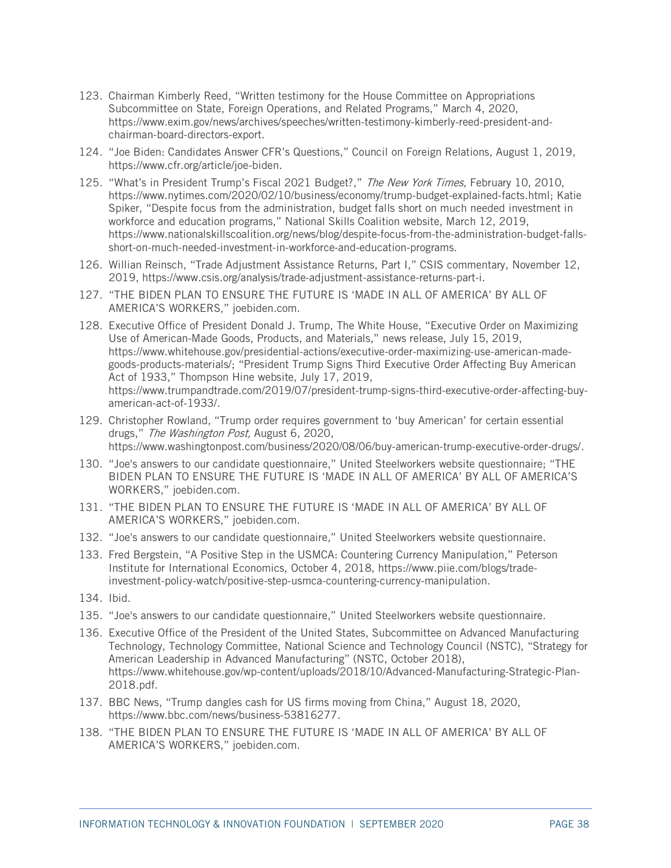- <span id="page-37-0"></span>123. Chairman Kimberly Reed, "Written testimony for the House Committee on Appropriations Subcommittee on State, Foreign Operations, and Related Programs," March 4, 2020, [https://www.exim.gov/news/archives/speeches/written-testimony-kimberly-reed-president-and](https://www.exim.gov/news/archives/speeches/written-testimony-kimberly-reed-president-and-chairman-board-directors-export)[chairman-board-directors-export.](https://www.exim.gov/news/archives/speeches/written-testimony-kimberly-reed-president-and-chairman-board-directors-export)
- <span id="page-37-1"></span>124. "Joe Biden: Candidates Answer CFR's Questions," Council on Foreign Relations, August 1, 2019, [https://www.cfr.org/article/joe-biden.](https://www.cfr.org/article/joe-biden)
- <span id="page-37-2"></span>125. "What's in President Trump's Fiscal 2021 Budget?," The New York Times, February 10, 2010, [https://www.nytimes.com/2020/02/10/business/economy/trump-budget-explained-facts.html;](https://www.nytimes.com/2020/02/10/business/economy/trump-budget-explained-facts.html) Katie Spiker, "Despite focus from the administration, budget falls short on much needed investment in workforce and education programs," National Skills Coalition website, March 12, 2019, [https://www.nationalskillscoalition.org/news/blog/despite-focus-from-the-administration-budget-falls](https://www.nationalskillscoalition.org/news/blog/despite-focus-from-the-administration-budget-falls-short-on-much-needed-investment-in-workforce-and-education-programs)[short-on-much-needed-investment-in-workforce-and-education-programs.](https://www.nationalskillscoalition.org/news/blog/despite-focus-from-the-administration-budget-falls-short-on-much-needed-investment-in-workforce-and-education-programs)
- <span id="page-37-3"></span>126. Willian Reinsch, "Trade Adjustment Assistance Returns, Part I," CSIS commentary, November 12, 2019, [https://www.csis.org/analysis/trade-adjustment-assistance-returns-part-i.](https://www.csis.org/analysis/trade-adjustment-assistance-returns-part-i)
- <span id="page-37-4"></span>127. "THE BIDEN PLAN TO ENSURE THE FUTURE IS 'MADE IN ALL OF AMERICA' BY ALL OF AMERICA'S WORKERS," joebiden.com.
- <span id="page-37-5"></span>128. Executive Office of President Donald J. Trump, The White House, "Executive Order on Maximizing Use of American-Made Goods, Products, and Materials," news release, July 15, 2019, [https://www.whitehouse.gov/presidential-actions/executive-order-maximizing-use-american-made](https://www.whitehouse.gov/presidential-actions/executive-order-maximizing-use-american-made-goods-products-materials/)[goods-products-materials/;](https://www.whitehouse.gov/presidential-actions/executive-order-maximizing-use-american-made-goods-products-materials/) "President Trump Signs Third Executive Order Affecting Buy American Act of 1933," Thompson Hine website, July 17, 2019, [https://www.trumpandtrade.com/2019/07/president-trump-signs-third-executive-order-affecting-buy](https://www.trumpandtrade.com/2019/07/president-trump-signs-third-executive-order-affecting-buy-american-act-of-1933/)[american-act-of-1933/.](https://www.trumpandtrade.com/2019/07/president-trump-signs-third-executive-order-affecting-buy-american-act-of-1933/)
- <span id="page-37-6"></span>129. Christopher Rowland, "Trump order requires government to 'buy American' for certain essential drugs," The Washington Post, August 6, 2020, [https://www.washingtonpost.com/business/2020/08/06/buy-american-trump-executive-order-drugs/.](https://www.washingtonpost.com/business/2020/08/06/buy-american-trump-executive-order-drugs/)
- <span id="page-37-7"></span>130. "Joe's answers to our candidate questionnaire," United Steelworkers website questionnaire; "THE BIDEN PLAN TO ENSURE THE FUTURE IS 'MADE IN ALL OF AMERICA' BY ALL OF AMERICA'S WORKERS," joebiden.com.
- <span id="page-37-8"></span>131. "THE BIDEN PLAN TO ENSURE THE FUTURE IS 'MADE IN ALL OF AMERICA' BY ALL OF AMERICA'S WORKERS," joebiden.com.
- <span id="page-37-9"></span>132. "Joe's answers to our candidate questionnaire," United Steelworkers website questionnaire.
- <span id="page-37-10"></span>133. Fred Bergstein, "A Positive Step in the USMCA: Countering Currency Manipulation," Peterson Institute for International Economics, October 4, 2018, [https://www.piie.com/blogs/trade](https://www.piie.com/blogs/trade-investment-policy-watch/positive-step-usmca-countering-currency-manipulation)[investment-policy-watch/positive-step-usmca-countering-currency-manipulation.](https://www.piie.com/blogs/trade-investment-policy-watch/positive-step-usmca-countering-currency-manipulation)
- <span id="page-37-11"></span>134. Ibid.
- <span id="page-37-12"></span>135. "Joe's answers to our candidate questionnaire," United Steelworkers website questionnaire.
- <span id="page-37-13"></span>136. Executive Office of the President of the United States, Subcommittee on Advanced Manufacturing Technology, Technology Committee, National Science and Technology Council (NSTC), "Strategy for American Leadership in Advanced Manufacturing" (NSTC, October 2018), https://www.whitehouse.gov/wp-content/uploads/2018/10/Advanced-Manufacturing-Strategic-Plan-2018.pdf.
- <span id="page-37-14"></span>137. BBC News, "Trump dangles cash for US firms moving from China," August 18, 2020, https://www.bbc.com/news/business-53816277.
- <span id="page-37-15"></span>138. "THE BIDEN PLAN TO ENSURE THE FUTURE IS 'MADE IN ALL OF AMERICA' BY ALL OF AMERICA'S WORKERS," joebiden.com.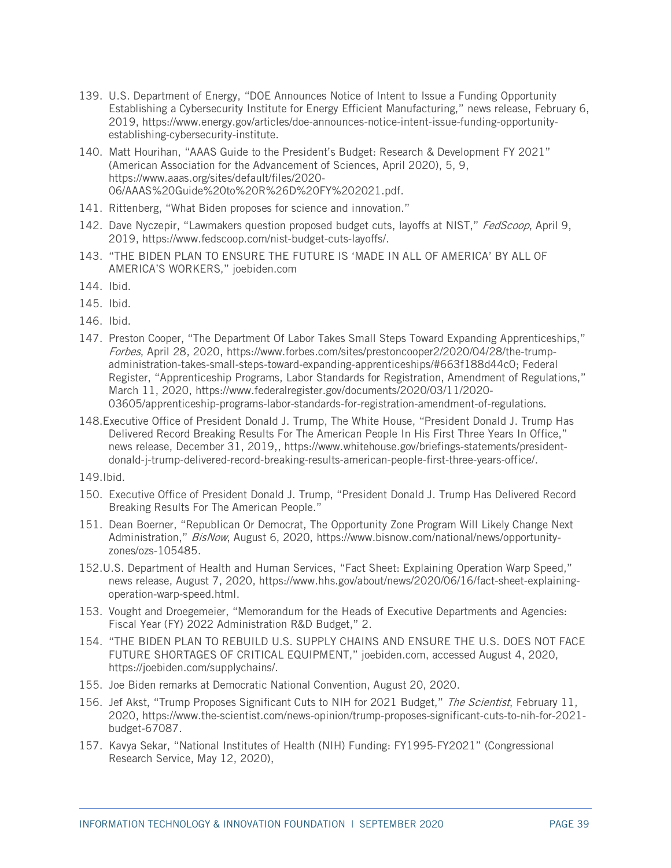- <span id="page-38-0"></span>139. U.S. Department of Energy, "DOE Announces Notice of Intent to Issue a Funding Opportunity Establishing a Cybersecurity Institute for Energy Efficient Manufacturing," news release, February 6, 2019, [https://www.energy.gov/articles/doe-announces-notice-intent-issue-funding-opportunity](https://www.energy.gov/articles/doe-announces-notice-intent-issue-funding-opportunity-establishing-cybersecurity-institute)[establishing-cybersecurity-institute.](https://www.energy.gov/articles/doe-announces-notice-intent-issue-funding-opportunity-establishing-cybersecurity-institute)
- <span id="page-38-1"></span>140. Matt Hourihan, "AAAS Guide to the President's Budget: Research & Development FY 2021" (American Association for the Advancement of Sciences, April 2020), 5, 9, https://www.aaas.org/sites/default/files/2020- 06/AAAS%20Guide%20to%20R%26D%20FY%202021.pdf.
- <span id="page-38-2"></span>141. Rittenberg, "What Biden proposes for science and innovation."
- <span id="page-38-3"></span>142. Dave Nyczepir, "Lawmakers question proposed budget cuts, layoffs at NIST," FedScoop, April 9, 2019, [https://www.fedscoop.com/nist-budget-cuts-layoffs/.](https://www.fedscoop.com/nist-budget-cuts-layoffs/)
- <span id="page-38-4"></span>143. "THE BIDEN PLAN TO ENSURE THE FUTURE IS 'MADE IN ALL OF AMERICA' BY ALL OF AMERICA'S WORKERS," joebiden.com
- <span id="page-38-5"></span>144. Ibid.
- <span id="page-38-6"></span>145. Ibid.
- <span id="page-38-7"></span>146. Ibid.
- <span id="page-38-8"></span>147. Preston Cooper, "The Department Of Labor Takes Small Steps Toward Expanding Apprenticeships," Forbes, April 28, 2020, [https://www.forbes.com/sites/prestoncooper2/2020/04/28/the-trump](https://www.forbes.com/sites/prestoncooper2/2020/04/28/the-trump-administration-takes-small-steps-toward-expanding-apprenticeships/#663f188d44c0)[administration-takes-small-steps-toward-expanding-apprenticeships/#663f188d44c0;](https://www.forbes.com/sites/prestoncooper2/2020/04/28/the-trump-administration-takes-small-steps-toward-expanding-apprenticeships/#663f188d44c0) Federal Register, "Apprenticeship Programs, Labor Standards for Registration, Amendment of Regulations," March 11, 2020, [https://www.federalregister.gov/documents/2020/03/11/2020-](https://www.federalregister.gov/documents/2020/03/11/2020-03605/apprenticeship-programs-labor-standards-for-registration-amendment-of-regulations) [03605/apprenticeship-programs-labor-standards-for-registration-amendment-of-regulations.](https://www.federalregister.gov/documents/2020/03/11/2020-03605/apprenticeship-programs-labor-standards-for-registration-amendment-of-regulations)
- <span id="page-38-9"></span>148.Executive Office of President Donald J. Trump, The White House, "President Donald J. Trump Has Delivered Record Breaking Results For The American People In His First Three Years In Office," news release, December 31, 2019,, [https://www.whitehouse.gov/briefings-statements/president](https://www.whitehouse.gov/briefings-statements/president-donald-j-trump-delivered-record-breaking-results-american-people-first-three-years-office/)[donald-j-trump-delivered-record-breaking-results-american-people-first-three-years-office/.](https://www.whitehouse.gov/briefings-statements/president-donald-j-trump-delivered-record-breaking-results-american-people-first-three-years-office/)

<span id="page-38-10"></span>149.Ibid.

- <span id="page-38-11"></span>150. Executive Office of President Donald J. Trump, "President Donald J. Trump Has Delivered Record Breaking Results For The American People."
- <span id="page-38-12"></span>151. Dean Boerner, "Republican Or Democrat, The Opportunity Zone Program Will Likely Change Next Administration," BisNow, August 6, 2020, [https://www.bisnow.com/national/news/opportunity](https://www.bisnow.com/national/news/opportunity-zones/ozs-105485)[zones/ozs-105485.](https://www.bisnow.com/national/news/opportunity-zones/ozs-105485)
- <span id="page-38-13"></span>152.U.S. Department of Health and Human Services, "Fact Sheet: Explaining Operation Warp Speed," news release, August 7, 2020, [https://www.hhs.gov/about/news/2020/06/16/fact-sheet-explaining](https://www.hhs.gov/about/news/2020/06/16/fact-sheet-explaining-operation-warp-speed.html)[operation-warp-speed.html.](https://www.hhs.gov/about/news/2020/06/16/fact-sheet-explaining-operation-warp-speed.html)
- <span id="page-38-14"></span>153. Vought and Droegemeier, "Memorandum for the Heads of Executive Departments and Agencies: Fiscal Year (FY) 2022 Administration R&D Budget," 2.
- <span id="page-38-15"></span>154. "THE BIDEN PLAN TO REBUILD U.S. SUPPLY CHAINS AND ENSURE THE U.S. DOES NOT FACE FUTURE SHORTAGES OF CRITICAL EQUIPMENT," joebiden.com, accessed August 4, 2020, https://joebiden.com/supplychains/.
- <span id="page-38-16"></span>155. Joe Biden remarks at Democratic National Convention, August 20, 2020.
- <span id="page-38-17"></span>156. Jef Akst, "Trump Proposes Significant Cuts to NIH for 2021 Budget," The Scientist, February 11, 2020, [https://www.the-scientist.com/news-opinion/trump-proposes-significant-cuts-to-nih-for-2021](https://www.the-scientist.com/news-opinion/trump-proposes-significant-cuts-to-nih-for-2021-budget-67087) [budget-67087.](https://www.the-scientist.com/news-opinion/trump-proposes-significant-cuts-to-nih-for-2021-budget-67087)
- <span id="page-38-18"></span>157. Kavya Sekar, "National Institutes of Health (NIH) Funding: FY1995-FY2021" (Congressional Research Service, May 12, 2020),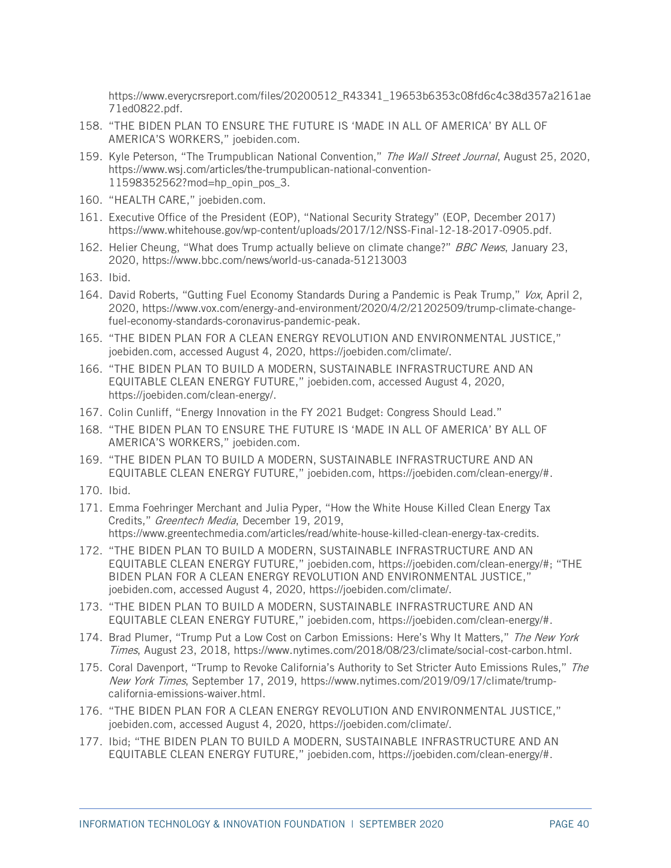[https://www.everycrsreport.com/files/20200512\\_R43341\\_19653b6353c08fd6c4c38d357a2161ae](https://www.everycrsreport.com/files/20200512_R43341_19653b6353c08fd6c4c38d357a2161ae71ed0822.pdf) [71ed0822.pdf.](https://www.everycrsreport.com/files/20200512_R43341_19653b6353c08fd6c4c38d357a2161ae71ed0822.pdf)

- <span id="page-39-0"></span>158. "THE BIDEN PLAN TO ENSURE THE FUTURE IS 'MADE IN ALL OF AMERICA' BY ALL OF AMERICA'S WORKERS," joebiden.com.
- <span id="page-39-1"></span>159. Kyle Peterson, "The Trumpublican National Convention," The Wall Street Journal, August 25, 2020, [https://www.wsj.com/articles/the-trumpublican-national-convention-](https://www.wsj.com/articles/the-trumpublican-national-convention-11598352562?mod=hp_opin_pos_3)[11598352562?mod=hp\\_opin\\_pos\\_3.](https://www.wsj.com/articles/the-trumpublican-national-convention-11598352562?mod=hp_opin_pos_3)
- <span id="page-39-2"></span>160. "HEALTH CARE," joebiden.com.
- <span id="page-39-3"></span>161. Executive Office of the President (EOP), "National Security Strategy" (EOP, December 2017) https://www.whitehouse.gov/wp-content/uploads/2017/12/NSS-Final-12-18-2017-0905.pdf.
- <span id="page-39-4"></span>162. Helier Cheung, "What does Trump actually believe on climate change?" BBC News, January 23, 2020, https://www.bbc.com/news/world-us-canada-51213003
- <span id="page-39-5"></span>163. Ibid.
- <span id="page-39-6"></span>164. David Roberts, "Gutting Fuel Economy Standards During a Pandemic is Peak Trump," Vox, April 2, 2020, https://www.vox.com/energy-and-environment/2020/4/2/21202509/trump-climate-changefuel-economy-standards-coronavirus-pandemic-peak.
- <span id="page-39-7"></span>165. "THE BIDEN PLAN FOR A CLEAN ENERGY REVOLUTION AND ENVIRONMENTAL JUSTICE," joebiden.com, accessed August 4, 2020, https://joebiden.com/climate/.
- <span id="page-39-8"></span>166. "THE BIDEN PLAN TO BUILD A MODERN, SUSTAINABLE INFRASTRUCTURE AND AN EQUITABLE CLEAN ENERGY FUTURE," joebiden.com, accessed August 4, 2020, https://joebiden.com/clean-energy/.
- <span id="page-39-10"></span>167. Colin Cunliff, "Energy Innovation in the FY 2021 Budget: Congress Should Lead."
- <span id="page-39-9"></span>168. "THE BIDEN PLAN TO ENSURE THE FUTURE IS 'MADE IN ALL OF AMERICA' BY ALL OF AMERICA'S WORKERS," joebiden.com.
- <span id="page-39-11"></span>169. "THE BIDEN PLAN TO BUILD A MODERN, SUSTAINABLE INFRASTRUCTURE AND AN EQUITABLE CLEAN ENERGY FUTURE," joebiden.com, https://joebiden.com/clean-energy/#.
- <span id="page-39-12"></span>170. Ibid.
- <span id="page-39-13"></span>171. Emma Foehringer Merchant and Julia Pyper, "How the White House Killed Clean Energy Tax Credits," Greentech Media, December 19, 2019, https://www.greentechmedia.com/articles/read/white-house-killed-clean-energy-tax-credits.
- <span id="page-39-14"></span>172. "THE BIDEN PLAN TO BUILD A MODERN, SUSTAINABLE INFRASTRUCTURE AND AN EQUITABLE CLEAN ENERGY FUTURE," joebiden.com, https://joebiden.com/clean-energy/#; "THE BIDEN PLAN FOR A CLEAN ENERGY REVOLUTION AND ENVIRONMENTAL JUSTICE," joebiden.com, accessed August 4, 2020, https://joebiden.com/climate/.
- <span id="page-39-15"></span>173. "THE BIDEN PLAN TO BUILD A MODERN, SUSTAINABLE INFRASTRUCTURE AND AN EQUITABLE CLEAN ENERGY FUTURE," joebiden.com, https://joebiden.com/clean-energy/#.
- <span id="page-39-16"></span>174. Brad Plumer, "Trump Put a Low Cost on Carbon Emissions: Here's Why It Matters," The New York Times, August 23, 2018, https://www.nytimes.com/2018/08/23/climate/social-cost-carbon.html.
- <span id="page-39-17"></span>175. Coral Davenport, "Trump to Revoke California's Authority to Set Stricter Auto Emissions Rules," The New York Times, September 17, 2019, https://www.nytimes.com/2019/09/17/climate/trumpcalifornia-emissions-waiver.html.
- <span id="page-39-18"></span>176. "THE BIDEN PLAN FOR A CLEAN ENERGY REVOLUTION AND ENVIRONMENTAL JUSTICE," joebiden.com, accessed August 4, 2020, https://joebiden.com/climate/.
- <span id="page-39-19"></span>177. Ibid; "THE BIDEN PLAN TO BUILD A MODERN, SUSTAINABLE INFRASTRUCTURE AND AN EQUITABLE CLEAN ENERGY FUTURE," joebiden.com, https://joebiden.com/clean-energy/#.